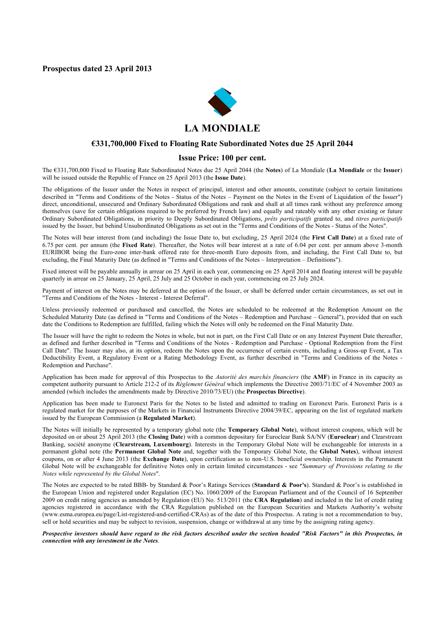**Prospectus dated 23 April 2013**



#### **€331,700,000 Fixed to Floating Rate Subordinated Notes due 25 April 2044**

#### **Issue Price: 100 per cent.**

The €331,700,000 Fixed to Floating Rate Subordinated Notes due 25 April 2044 (the **Notes**) of La Mondiale (**La Mondiale** or the **Issuer**) will be issued outside the Republic of France on 25 April 2013 (the **Issue Date**).

The obligations of the Issuer under the Notes in respect of principal, interest and other amounts, constitute (subject to certain limitations described in "Terms and Conditions of the Notes - Status of the Notes – Payment on the Notes in the Event of Liquidation of the Issuer") direct, unconditional, unsecured and Ordinary Subordinated Obligations and rank and shall at all times rank without any preference among themselves (save for certain obligations required to be preferred by French law) and equally and rateably with any other existing or future Ordinary Subordinated Obligations, in priority to Deeply Subordinated Obligations, *prêts participatifs* granted to, and *titres participatifs*  issued by the Issuer, but behind Unsubordinated Obligations as set out in the "Terms and Conditions of the Notes - Status of the Notes".

The Notes will bear interest from (and including) the Issue Date to, but excluding, 25 April 2024 (the **First Call Date**) at a fixed rate of 6.75 per cent. per annum (the **Fixed Rate**). Thereafter, the Notes will bear interest at a rate of 6.04 per cent. per annum above 3-month EURIBOR being the Euro-zone inter-bank offered rate for three-month Euro deposits from, and including, the First Call Date to, but excluding, the Final Maturity Date (as defined in "Terms and Conditions of the Notes – Interpretation – Definitions").

Fixed interest will be payable annually in arrear on 25 April in each year, commencing on 25 April 2014 and floating interest will be payable quarterly in arrear on 25 January, 25 April, 25 July and 25 October in each year, commencing on 25 July 2024.

Payment of interest on the Notes may be deferred at the option of the Issuer, or shall be deferred under certain circumstances, as set out in "Terms and Conditions of the Notes - Interest - Interest Deferral".

Unless previously redeemed or purchased and cancelled, the Notes are scheduled to be redeemed at the Redemption Amount on the Scheduled Maturity Date (as defined in "Terms and Conditions of the Notes – Redemption and Purchase – General"), provided that on such date the Conditions to Redemption are fulfilled, failing which the Notes will only be redeemed on the Final Maturity Date.

The Issuer will have the right to redeem the Notes in whole, but not in part, on the First Call Date or on any Interest Payment Date thereafter, as defined and further described in "Terms and Conditions of the Notes - Redemption and Purchase - Optional Redemption from the First Call Date". The Issuer may also, at its option, redeem the Notes upon the occurrence of certain events, including a Gross-up Event, a Tax Deductibility Event, a Regulatory Event or a Rating Methodology Event, as further described in "Terms and Conditions of the Notes - Redemption and Purchase".

Application has been made for approval of this Prospectus to the *Autorité des marchés financiers* (the **AMF**) in France in its capacity as competent authority pursuant to Article 212-2 of its *Règlement Général* which implements the Directive 2003/71/EC of 4 November 2003 as amended (which includes the amendments made by Directive 2010/73/EU) (the **Prospectus Directive**).

Application has been made to Euronext Paris for the Notes to be listed and admitted to trading on Euronext Paris. Euronext Paris is a regulated market for the purposes of the Markets in Financial Instruments Directive 2004/39/EC, appearing on the list of regulated markets issued by the European Commission (a **Regulated Market**).

The Notes will initially be represented by a temporary global note (the **Temporary Global Note**), without interest coupons, which will be deposited on or about 25 April 2013 (the **Closing Date**) with a common depositary for Euroclear Bank SA/NV (**Euroclear**) and Clearstream Banking, société anonyme (**Clearstream, Luxembourg**). Interests in the Temporary Global Note will be exchangeable for interests in a permanent global note (the **Permanent Global Note** and, together with the Temporary Global Note, the **Global Notes**), without interest coupons, on or after 4 June 2013 (the **Exchange Date**), upon certification as to non-U.S. beneficial ownership. Interests in the Permanent Global Note will be exchangeable for definitive Notes only in certain limited circumstances - see "*Summary of Provisions relating to the Notes while represented by the Global Notes*".

The Notes are expected to be rated BBB- by Standard & Poor's Ratings Services (**Standard & Poor's**). Standard & Poor's is established in the European Union and registered under Regulation (EC) No. 1060/2009 of the European Parliament and of the Council of 16 September 2009 on credit rating agencies as amended by Regulation (EU) No. 513/2011 (the **CRA Regulation**) and included in the list of credit rating agencies registered in accordance with the CRA Regulation published on the European Securities and Markets Authority's website ([www.esma.europea.eu/page/List-registered-and-certified-CRAs\)](www.esma.europea.eu/page/List-registered-and-certified-CRAs)) as of the date of this Prospectus. A rating is not a recommendation to buy, sell or hold securities and may be subject to revision, suspension, change or withdrawal at any time by the assigning rating agency.

*Prospective investors should have regard to the risk factors described under the section headed "Risk Factors" in this Prospectus, in connection with any investment in the Notes.*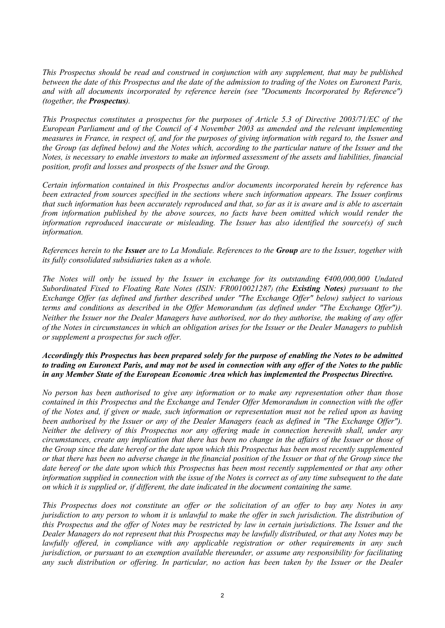*This Prospectus should be read and construed in conjunction with any supplement, that may be published between the date of this Prospectus and the date of the admission to trading of the Notes on Euronext Paris, and with all documents incorporated by reference herein (see "Documents Incorporated by Reference") (together, the Prospectus).*

*This Prospectus constitutes a prospectus for the purposes of Article 5.3 of Directive 2003/71/EC of the European Parliament and of the Council of 4 November 2003 as amended and the relevant implementing measures in France, in respect of, and for the purposes of giving information with regard to, the Issuer and the Group (as defined below) and the Notes which, according to the particular nature of the Issuer and the Notes, is necessary to enable investors to make an informed assessment of the assets and liabilities, financial position, profit and losses and prospects of the Issuer and the Group.*

*Certain information contained in this Prospectus and/or documents incorporated herein by reference has been extracted from sources specified in the sections where such information appears. The Issuer confirms that such information has been accurately reproduced and that, so far as it is aware and is able to ascertain from information published by the above sources, no facts have been omitted which would render the information reproduced inaccurate or misleading. The Issuer has also identified the source(s) of such information.*

*References herein to the Issuer are to La Mondiale. References to the Group are to the Issuer, together with its fully consolidated subsidiaries taken as a whole.*

*The Notes will only be issued by the Issuer in exchange for its outstanding €400,000,000 Undated Subordinated Fixed to Floating Rate Notes (ISIN: FR0010021287) (the Existing Notes) pursuant to the Exchange Offer (as defined and further described under "The Exchange Offer" below) subject to various terms and conditions as described in the Offer Memorandum (as defined under "The Exchange Offer")). Neither the Issuer nor the Dealer Managers have authorised, nor do they authorise, the making of any offer of the Notes in circumstances in which an obligation arises for the Issuer or the Dealer Managers to publish or supplement a prospectus for such offer.* 

## *Accordingly this Prospectus has been prepared solely for the purpose of enabling the Notes to be admitted to trading on Euronext Paris, and may not be used in connection with any offer of the Notes to the public in any Member State of the European Economic Area which has implemented the Prospectus Directive.*

*No person has been authorised to give any information or to make any representation other than those contained in this Prospectus and the Exchange and Tender Offer Memorandum in connection with the offer of the Notes and, if given or made, such information or representation must not be relied upon as having been authorised by the Issuer or any of the Dealer Managers (each as defined in "The Exchange Offer"). Neither the delivery of this Prospectus nor any offering made in connection herewith shall, under any circumstances, create any implication that there has been no change in the affairs of the Issuer or those of the Group since the date hereof or the date upon which this Prospectus has been most recently supplemented or that there has been no adverse change in the financial position of the Issuer or that of the Group since the date hereof or the date upon which this Prospectus has been most recently supplemented or that any other information supplied in connection with the issue of the Notes is correct as of any time subsequent to the date on which it is supplied or, if different, the date indicated in the document containing the same.*

*This Prospectus does not constitute an offer or the solicitation of an offer to buy any Notes in any jurisdiction to any person to whom it is unlawful to make the offer in such jurisdiction. The distribution of this Prospectus and the offer of Notes may be restricted by law in certain jurisdictions. The Issuer and the Dealer Managers do not represent that this Prospectus may be lawfully distributed, or that any Notes may be lawfully offered, in compliance with any applicable registration or other requirements in any such jurisdiction, or pursuant to an exemption available thereunder, or assume any responsibility for facilitating any such distribution or offering. In particular, no action has been taken by the Issuer or the Dealer*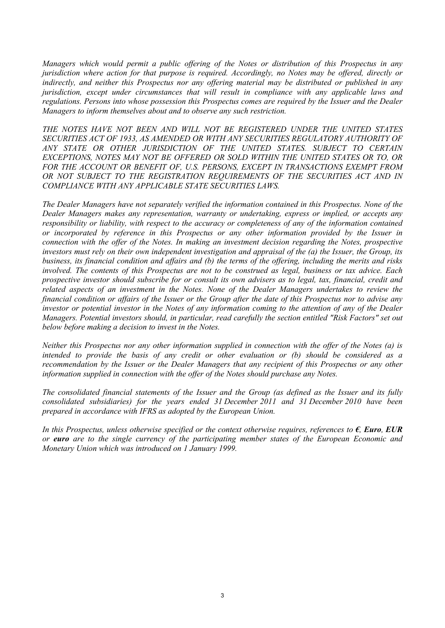*Managers which would permit a public offering of the Notes or distribution of this Prospectus in any jurisdiction where action for that purpose is required. Accordingly, no Notes may be offered, directly or indirectly, and neither this Prospectus nor any offering material may be distributed or published in any jurisdiction, except under circumstances that will result in compliance with any applicable laws and regulations. Persons into whose possession this Prospectus comes are required by the Issuer and the Dealer Managers to inform themselves about and to observe any such restriction.* 

*THE NOTES HAVE NOT BEEN AND WILL NOT BE REGISTERED UNDER THE UNITED STATES SECURITIES ACT OF 1933, AS AMENDED OR WITH ANY SECURITIES REGULATORY AUTHORITY OF ANY STATE OR OTHER JURISDICTION OF THE UNITED STATES. SUBJECT TO CERTAIN EXCEPTIONS, NOTES MAY NOT BE OFFERED OR SOLD WITHIN THE UNITED STATES OR TO, OR*  FOR THE ACCOUNT OR BENEFIT OF, U.S. PERSONS, EXCEPT IN TRANSACTIONS EXEMPT FROM *OR NOT SUBJECT TO THE REGISTRATION REQUIREMENTS OF THE SECURITIES ACT AND IN COMPLIANCE WITH ANY APPLICABLE STATE SECURITIES LAWS.* 

*The Dealer Managers have not separately verified the information contained in this Prospectus. None of the Dealer Managers makes any representation, warranty or undertaking, express or implied, or accepts any responsibility or liability, with respect to the accuracy or completeness of any of the information contained or incorporated by reference in this Prospectus or any other information provided by the Issuer in connection with the offer of the Notes. In making an investment decision regarding the Notes, prospective investors must rely on their own independent investigation and appraisal of the (a) the Issuer, the Group, its business, its financial condition and affairs and (b) the terms of the offering, including the merits and risks involved. The contents of this Prospectus are not to be construed as legal, business or tax advice. Each prospective investor should subscribe for or consult its own advisers as to legal, tax, financial, credit and related aspects of an investment in the Notes. None of the Dealer Managers undertakes to review the financial condition or affairs of the Issuer or the Group after the date of this Prospectus nor to advise any investor or potential investor in the Notes of any information coming to the attention of any of the Dealer Managers. Potential investors should, in particular, read carefully the section entitled "Risk Factors" set out below before making a decision to invest in the Notes.*

*Neither this Prospectus nor any other information supplied in connection with the offer of the Notes (a) is intended to provide the basis of any credit or other evaluation or (b) should be considered as a recommendation by the Issuer or the Dealer Managers that any recipient of this Prospectus or any other information supplied in connection with the offer of the Notes should purchase any Notes.* 

*The consolidated financial statements of the Issuer and the Group (as defined as the Issuer and its fully consolidated subsidiaries) for the years ended 31 December 2011 and 31 December 2010 have been prepared in accordance with IFRS as adopted by the European Union.*

*In this Prospectus, unless otherwise specified or the context otherwise requires, references to €, Euro, EUR or euro are to the single currency of the participating member states of the European Economic and Monetary Union which was introduced on 1 January 1999.*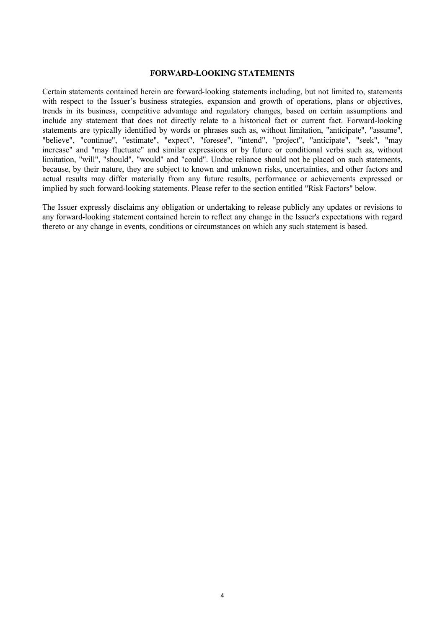#### **FORWARD-LOOKING STATEMENTS**

Certain statements contained herein are forward-looking statements including, but not limited to, statements with respect to the Issuer's business strategies, expansion and growth of operations, plans or objectives, trends in its business, competitive advantage and regulatory changes, based on certain assumptions and include any statement that does not directly relate to a historical fact or current fact. Forward-looking statements are typically identified by words or phrases such as, without limitation, "anticipate", "assume", "believe", "continue", "estimate", "expect", "foresee", "intend", "project", "anticipate", "seek", "may increase" and "may fluctuate" and similar expressions or by future or conditional verbs such as, without limitation, "will", "should", "would" and "could". Undue reliance should not be placed on such statements, because, by their nature, they are subject to known and unknown risks, uncertainties, and other factors and actual results may differ materially from any future results, performance or achievements expressed or implied by such forward-looking statements. Please refer to the section entitled "Risk Factors" below.

The Issuer expressly disclaims any obligation or undertaking to release publicly any updates or revisions to any forward-looking statement contained herein to reflect any change in the Issuer's expectations with regard thereto or any change in events, conditions or circumstances on which any such statement is based.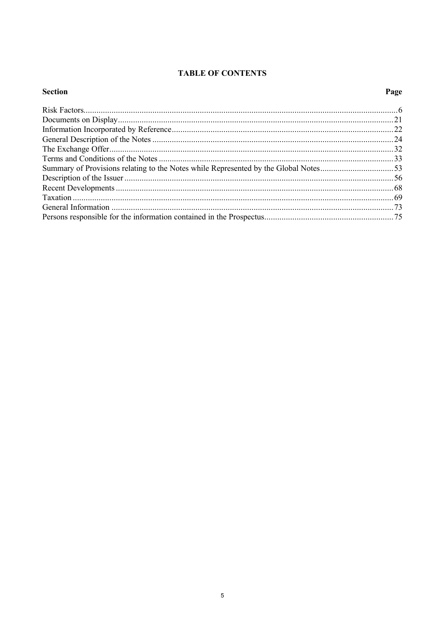## **TABLE OF CONTENTS**

## **Section**

# Page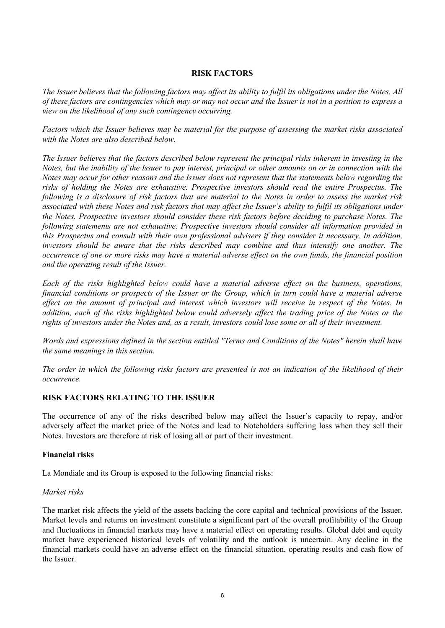## **RISK FACTORS**

*The Issuer believes that the following factors may affect its ability to fulfil its obligations under the Notes. All of these factors are contingencies which may or may not occur and the Issuer is not in a position to express a view on the likelihood of any such contingency occurring.*

*Factors which the Issuer believes may be material for the purpose of assessing the market risks associated with the Notes are also described below.*

*The Issuer believes that the factors described below represent the principal risks inherent in investing in the Notes, but the inability of the Issuer to pay interest, principal or other amounts on or in connection with the Notes may occur for other reasons and the Issuer does not represent that the statements below regarding the risks of holding the Notes are exhaustive. Prospective investors should read the entire Prospectus. The following is a disclosure of risk factors that are material to the Notes in order to assess the market risk associated with these Notes and risk factors that may affect the Issuer's ability to fulfil its obligations under the Notes. Prospective investors should consider these risk factors before deciding to purchase Notes. The following statements are not exhaustive. Prospective investors should consider all information provided in this Prospectus and consult with their own professional advisers if they consider it necessary. In addition, investors should be aware that the risks described may combine and thus intensify one another. The occurrence of one or more risks may have a material adverse effect on the own funds, the financial position and the operating result of the Issuer.*

*Each of the risks highlighted below could have a material adverse effect on the business, operations, financial conditions or prospects of the Issuer or the Group, which in turn could have a material adverse effect on the amount of principal and interest which investors will receive in respect of the Notes. In addition, each of the risks highlighted below could adversely affect the trading price of the Notes or the rights of investors under the Notes and, as a result, investors could lose some or all of their investment.* 

*Words and expressions defined in the section entitled "Terms and Conditions of the Notes" herein shall have the same meanings in this section.* 

*The order in which the following risks factors are presented is not an indication of the likelihood of their occurrence.*

## **RISK FACTORS RELATING TO THE ISSUER**

The occurrence of any of the risks described below may affect the Issuer's capacity to repay, and/or adversely affect the market price of the Notes and lead to Noteholders suffering loss when they sell their Notes. Investors are therefore at risk of losing all or part of their investment.

## **Financial risks**

La Mondiale and its Group is exposed to the following financial risks:

#### *Market risks*

The market risk affects the yield of the assets backing the core capital and technical provisions of the Issuer. Market levels and returns on investment constitute a significant part of the overall profitability of the Group and fluctuations in financial markets may have a material effect on operating results. Global debt and equity market have experienced historical levels of volatility and the outlook is uncertain. Any decline in the financial markets could have an adverse effect on the financial situation, operating results and cash flow of the Issuer.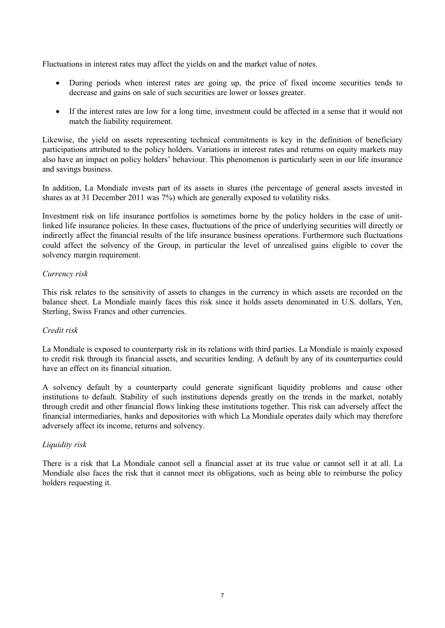Fluctuations in interest rates may affect the yields on and the market value of notes.

- · During periods when interest rates are going up, the price of fixed income securities tends to decrease and gains on sale of such securities are lower or losses greater.
- · If the interest rates are low for a long time, investment could be affected in a sense that it would not match the liability requirement.

Likewise, the yield on assets representing technical commitments is key in the definition of beneficiary participations attributed to the policy holders. Variations in interest rates and returns on equity markets may also have an impact on policy holders' behaviour. This phenomenon is particularly seen in our life insurance and savings business.

In addition, La Mondiale invests part of its assets in shares (the percentage of general assets invested in shares as at 31 December 2011 was 7%) which are generally exposed to volatility risks.

Investment risk on life insurance portfolios is sometimes borne by the policy holders in the case of unitlinked life insurance policies. In these cases, fluctuations of the price of underlying securities will directly or indirectly affect the financial results of the life insurance business operations. Furthermore such fluctuations could affect the solvency of the Group, in particular the level of unrealised gains eligible to cover the solvency margin requirement.

## *Currency risk*

This risk relates to the sensitivity of assets to changes in the currency in which assets are recorded on the balance sheet. La Mondiale mainly faces this risk since it holds assets denominated in U.S. dollars, Yen, Sterling, Swiss Francs and other currencies.

## *Credit risk*

La Mondiale is exposed to counterparty risk in its relations with third parties. La Mondiale is mainly exposed to credit risk through its financial assets, and securities lending. A default by any of its counterparties could have an effect on its financial situation.

A solvency default by a counterparty could generate significant liquidity problems and cause other institutions to default. Stability of such institutions depends greatly on the trends in the market, notably through credit and other financial flows linking these institutions together. This risk can adversely affect the financial intermediaries, banks and depositories with which La Mondiale operates daily which may therefore adversely affect its income, returns and solvency.

## *Liquidity risk*

There is a risk that La Mondiale cannot sell a financial asset at its true value or cannot sell it at all. La Mondiale also faces the risk that it cannot meet its obligations, such as being able to reimburse the policy holders requesting it.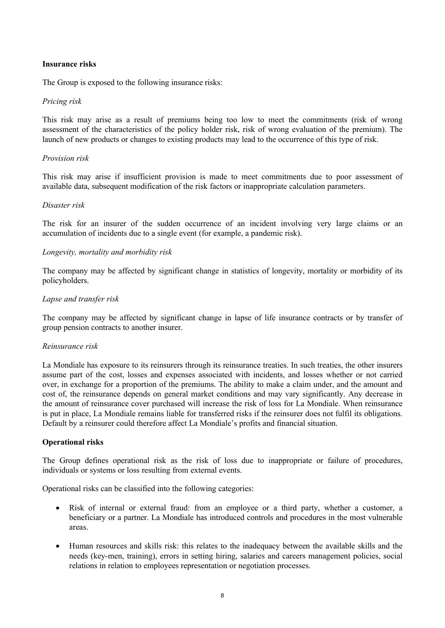## **Insurance risks**

The Group is exposed to the following insurance risks:

## *Pricing risk*

This risk may arise as a result of premiums being too low to meet the commitments (risk of wrong assessment of the characteristics of the policy holder risk, risk of wrong evaluation of the premium). The launch of new products or changes to existing products may lead to the occurrence of this type of risk.

## *Provision risk*

This risk may arise if insufficient provision is made to meet commitments due to poor assessment of available data, subsequent modification of the risk factors or inappropriate calculation parameters.

## *Disaster risk*

The risk for an insurer of the sudden occurrence of an incident involving very large claims or an accumulation of incidents due to a single event (for example, a pandemic risk).

## *Longevity, mortality and morbidity risk*

The company may be affected by significant change in statistics of longevity, mortality or morbidity of its policyholders.

## *Lapse and transfer risk*

The company may be affected by significant change in lapse of life insurance contracts or by transfer of group pension contracts to another insurer.

## *Reinsurance risk*

La Mondiale has exposure to its reinsurers through its reinsurance treaties. In such treaties, the other insurers assume part of the cost, losses and expenses associated with incidents, and losses whether or not carried over, in exchange for a proportion of the premiums. The ability to make a claim under, and the amount and cost of, the reinsurance depends on general market conditions and may vary significantly. Any decrease in the amount of reinsurance cover purchased will increase the risk of loss for La Mondiale. When reinsurance is put in place, La Mondiale remains liable for transferred risks if the reinsurer does not fulfil its obligations. Default by a reinsurer could therefore affect La Mondiale's profits and financial situation.

## **Operational risks**

The Group defines operational risk as the risk of loss due to inappropriate or failure of procedures, individuals or systems or loss resulting from external events.

Operational risks can be classified into the following categories:

- · Risk of internal or external fraud: from an employee or a third party, whether a customer, a beneficiary or a partner. La Mondiale has introduced controls and procedures in the most vulnerable areas.
- · Human resources and skills risk: this relates to the inadequacy between the available skills and the needs (key-men, training), errors in setting hiring, salaries and careers management policies, social relations in relation to employees representation or negotiation processes.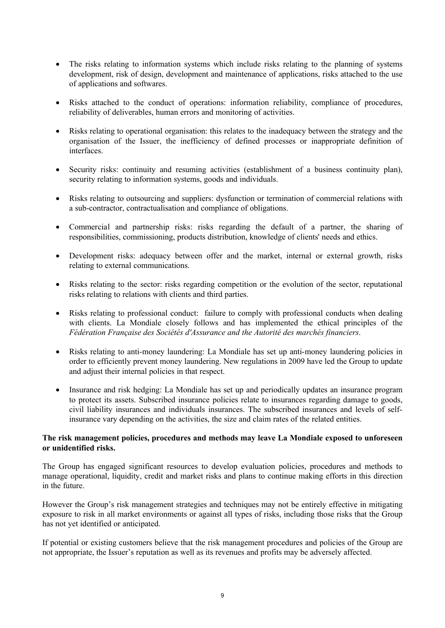- The risks relating to information systems which include risks relating to the planning of systems development, risk of design, development and maintenance of applications, risks attached to the use of applications and softwares.
- · Risks attached to the conduct of operations: information reliability, compliance of procedures, reliability of deliverables, human errors and monitoring of activities.
- Risks relating to operational organisation: this relates to the inadequacy between the strategy and the organisation of the Issuer, the inefficiency of defined processes or inappropriate definition of interfaces.
- Security risks: continuity and resuming activities (establishment of a business continuity plan), security relating to information systems, goods and individuals.
- · Risks relating to outsourcing and suppliers: dysfunction or termination of commercial relations with a sub-contractor, contractualisation and compliance of obligations.
- · Commercial and partnership risks: risks regarding the default of a partner, the sharing of responsibilities, commissioning, products distribution, knowledge of clients' needs and ethics.
- Development risks: adequacy between offer and the market, internal or external growth, risks relating to external communications.
- Risks relating to the sector: risks regarding competition or the evolution of the sector, reputational risks relating to relations with clients and third parties.
- · Risks relating to professional conduct: failure to comply with professional conducts when dealing with clients. La Mondiale closely follows and has implemented the ethical principles of the *Fédération Française des Sociétés d'Assurance and the Autorité des marchés financiers*.
- · Risks relating to anti-money laundering: La Mondiale has set up anti-money laundering policies in order to efficiently prevent money laundering. New regulations in 2009 have led the Group to update and adjust their internal policies in that respect.
- · Insurance and risk hedging: La Mondiale has set up and periodically updates an insurance program to protect its assets. Subscribed insurance policies relate to insurances regarding damage to goods, civil liability insurances and individuals insurances. The subscribed insurances and levels of selfinsurance vary depending on the activities, the size and claim rates of the related entities.

## **The risk management policies, procedures and methods may leave La Mondiale exposed to unforeseen or unidentified risks.**

The Group has engaged significant resources to develop evaluation policies, procedures and methods to manage operational, liquidity, credit and market risks and plans to continue making efforts in this direction in the future.

However the Group's risk management strategies and techniques may not be entirely effective in mitigating exposure to risk in all market environments or against all types of risks, including those risks that the Group has not yet identified or anticipated.

If potential or existing customers believe that the risk management procedures and policies of the Group are not appropriate, the Issuer's reputation as well as its revenues and profits may be adversely affected.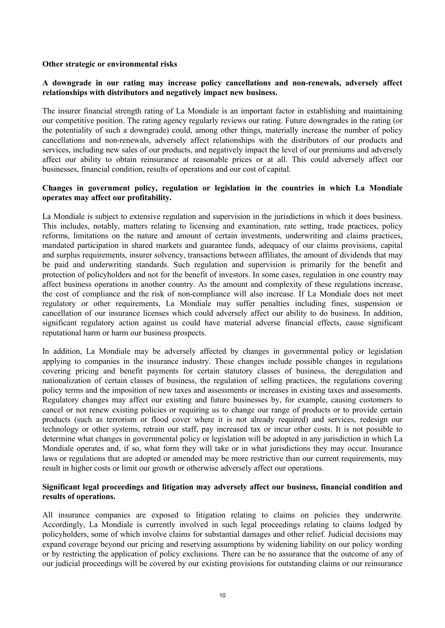### **Other strategic or environmental risks**

## **A downgrade in our rating may increase policy cancellations and non-renewals, adversely affect relationships with distributors and negatively impact new business.**

The insurer financial strength rating of La Mondiale is an important factor in establishing and maintaining our competitive position. The rating agency regularly reviews our rating. Future downgrades in the rating (or the potentiality of such a downgrade) could, among other things, materially increase the number of policy cancellations and non-renewals, adversely affect relationships with the distributors of our products and services, including new sales of our products, and negatively impact the level of our premiums and adversely affect our ability to obtain reinsurance at reasonable prices or at all. This could adversely affect our businesses, financial condition, results of operations and our cost of capital.

### **Changes in government policy, regulation or legislation in the countries in which La Mondiale operates may affect our profitability.**

La Mondiale is subject to extensive regulation and supervision in the jurisdictions in which it does business. This includes, notably, matters relating to licensing and examination, rate setting, trade practices, policy reforms, limitations on the nature and amount of certain investments, underwriting and claims practices, mandated participation in shared markets and guarantee funds, adequacy of our claims provisions, capital and surplus requirements, insurer solvency, transactions between affiliates, the amount of dividends that may be paid and underwriting standards. Such regulation and supervision is primarily for the benefit and protection of policyholders and not for the benefit of investors. In some cases, regulation in one country may affect business operations in another country. As the amount and complexity of these regulations increase, the cost of compliance and the risk of non-compliance will also increase. If La Mondiale does not meet regulatory or other requirements, La Mondiale may suffer penalties including fines, suspension or cancellation of our insurance licenses which could adversely affect our ability to do business. In addition, significant regulatory action against us could have material adverse financial effects, cause significant reputational harm or harm our business prospects.

In addition, La Mondiale may be adversely affected by changes in governmental policy or legislation applying to companies in the insurance industry. These changes include possible changes in regulations covering pricing and benefit payments for certain statutory classes of business, the deregulation and nationalization of certain classes of business, the regulation of selling practices, the regulations covering policy terms and the imposition of new taxes and assessments or increases in existing taxes and assessments. Regulatory changes may affect our existing and future businesses by, for example, causing customers to cancel or not renew existing policies or requiring us to change our range of products or to provide certain products (such as terrorism or flood cover where it is not already required) and services, redesign our technology or other systems, retrain our staff, pay increased tax or incur other costs. It is not possible to determine what changes in governmental policy or legislation will be adopted in any jurisdiction in which La Mondiale operates and, if so, what form they will take or in what jurisdictions they may occur. Insurance laws or regulations that are adopted or amended may be more restrictive than our current requirements, may result in higher costs or limit our growth or otherwise adversely affect our operations.

## **Significant legal proceedings and litigation may adversely affect our business, financial condition and results of operations.**

All insurance companies are exposed to litigation relating to claims on policies they underwrite. Accordingly, La Mondiale is currently involved in such legal proceedings relating to claims lodged by policyholders, some of which involve claims for substantial damages and other relief. Judicial decisions may expand coverage beyond our pricing and reserving assumptions by widening liability on our policy wording or by restricting the application of policy exclusions. There can be no assurance that the outcome of any of our judicial proceedings will be covered by our existing provisions for outstanding claims or our reinsurance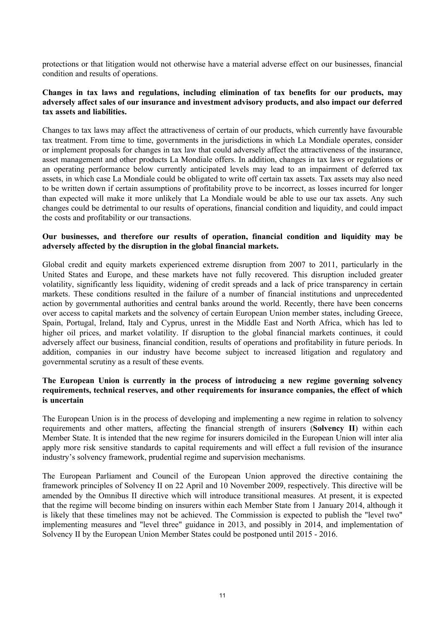protections or that litigation would not otherwise have a material adverse effect on our businesses, financial condition and results of operations.

## **Changes in tax laws and regulations, including elimination of tax benefits for our products, may adversely affect sales of our insurance and investment advisory products, and also impact our deferred tax assets and liabilities.**

Changes to tax laws may affect the attractiveness of certain of our products, which currently have favourable tax treatment. From time to time, governments in the jurisdictions in which La Mondiale operates, consider or implement proposals for changes in tax law that could adversely affect the attractiveness of the insurance, asset management and other products La Mondiale offers. In addition, changes in tax laws or regulations or an operating performance below currently anticipated levels may lead to an impairment of deferred tax assets, in which case La Mondiale could be obligated to write off certain tax assets. Tax assets may also need to be written down if certain assumptions of profitability prove to be incorrect, as losses incurred for longer than expected will make it more unlikely that La Mondiale would be able to use our tax assets. Any such changes could be detrimental to our results of operations, financial condition and liquidity, and could impact the costs and profitability or our transactions.

## **Our businesses, and therefore our results of operation, financial condition and liquidity may be adversely affected by the disruption in the global financial markets.**

Global credit and equity markets experienced extreme disruption from 2007 to 2011, particularly in the United States and Europe, and these markets have not fully recovered. This disruption included greater volatility, significantly less liquidity, widening of credit spreads and a lack of price transparency in certain markets. These conditions resulted in the failure of a number of financial institutions and unprecedented action by governmental authorities and central banks around the world. Recently, there have been concerns over access to capital markets and the solvency of certain European Union member states, including Greece, Spain, Portugal, Ireland, Italy and Cyprus, unrest in the Middle East and North Africa, which has led to higher oil prices, and market volatility. If disruption to the global financial markets continues, it could adversely affect our business, financial condition, results of operations and profitability in future periods. In addition, companies in our industry have become subject to increased litigation and regulatory and governmental scrutiny as a result of these events.

## **The European Union is currently in the process of introducing a new regime governing solvency requirements, technical reserves, and other requirements for insurance companies, the effect of which is uncertain**

The European Union is in the process of developing and implementing a new regime in relation to solvency requirements and other matters, affecting the financial strength of insurers (**Solvency II**) within each Member State. It is intended that the new regime for insurers domiciled in the European Union will inter alia apply more risk sensitive standards to capital requirements and will effect a full revision of the insurance industry's solvency framework, prudential regime and supervision mechanisms.

The European Parliament and Council of the European Union approved the directive containing the framework principles of Solvency II on 22 April and 10 November 2009, respectively. This directive will be amended by the Omnibus II directive which will introduce transitional measures. At present, it is expected that the regime will become binding on insurers within each Member State from 1 January 2014, although it is likely that these timelines may not be achieved. The Commission is expected to publish the "level two" implementing measures and "level three" guidance in 2013, and possibly in 2014, and implementation of Solvency II by the European Union Member States could be postponed until 2015 - 2016.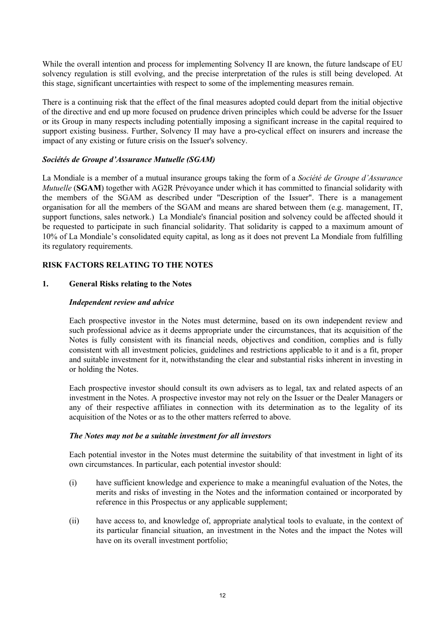While the overall intention and process for implementing Solvency II are known, the future landscape of EU solvency regulation is still evolving, and the precise interpretation of the rules is still being developed. At this stage, significant uncertainties with respect to some of the implementing measures remain.

There is a continuing risk that the effect of the final measures adopted could depart from the initial objective of the directive and end up more focused on prudence driven principles which could be adverse for the Issuer or its Group in many respects including potentially imposing a significant increase in the capital required to support existing business. Further, Solvency II may have a pro-cyclical effect on insurers and increase the impact of any existing or future crisis on the Issuer's solvency.

## *Sociétés de Groupe d'Assurance Mutuelle (SGAM)*

La Mondiale is a member of a mutual insurance groups taking the form of a *Société de Groupe d'Assurance Mutuelle* (SGAM) together with AG2R Prévoyance under which it has committed to financial solidarity with the members of the SGAM as described under "Description of the Issuer". There is a management organisation for all the members of the SGAM and means are shared between them (e.g. management, IT, support functions, sales network.) La Mondiale's financial position and solvency could be affected should it be requested to participate in such financial solidarity. That solidarity is capped to a maximum amount of 10% of La Mondiale's consolidated equity capital, as long as it does not prevent La Mondiale from fulfilling its regulatory requirements.

## **RISK FACTORS RELATING TO THE NOTES**

## **1. General Risks relating to the Notes**

## *Independent review and advice*

Each prospective investor in the Notes must determine, based on its own independent review and such professional advice as it deems appropriate under the circumstances, that its acquisition of the Notes is fully consistent with its financial needs, objectives and condition, complies and is fully consistent with all investment policies, guidelines and restrictions applicable to it and is a fit, proper and suitable investment for it, notwithstanding the clear and substantial risks inherent in investing in or holding the Notes.

Each prospective investor should consult its own advisers as to legal, tax and related aspects of an investment in the Notes. A prospective investor may not rely on the Issuer or the Dealer Managers or any of their respective affiliates in connection with its determination as to the legality of its acquisition of the Notes or as to the other matters referred to above.

## *The Notes may not be a suitable investment for all investors*

Each potential investor in the Notes must determine the suitability of that investment in light of its own circumstances. In particular, each potential investor should:

- (i) have sufficient knowledge and experience to make a meaningful evaluation of the Notes, the merits and risks of investing in the Notes and the information contained or incorporated by reference in this Prospectus or any applicable supplement;
- (ii) have access to, and knowledge of, appropriate analytical tools to evaluate, in the context of its particular financial situation, an investment in the Notes and the impact the Notes will have on its overall investment portfolio;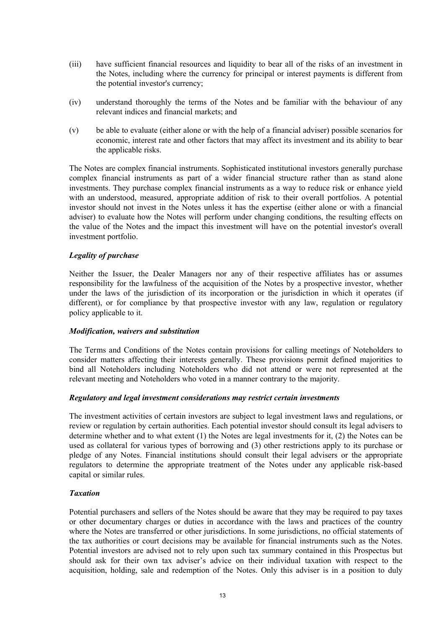- (iii) have sufficient financial resources and liquidity to bear all of the risks of an investment in the Notes, including where the currency for principal or interest payments is different from the potential investor's currency;
- (iv) understand thoroughly the terms of the Notes and be familiar with the behaviour of any relevant indices and financial markets; and
- (v) be able to evaluate (either alone or with the help of a financial adviser) possible scenarios for economic, interest rate and other factors that may affect its investment and its ability to bear the applicable risks.

The Notes are complex financial instruments. Sophisticated institutional investors generally purchase complex financial instruments as part of a wider financial structure rather than as stand alone investments. They purchase complex financial instruments as a way to reduce risk or enhance yield with an understood, measured, appropriate addition of risk to their overall portfolios. A potential investor should not invest in the Notes unless it has the expertise (either alone or with a financial adviser) to evaluate how the Notes will perform under changing conditions, the resulting effects on the value of the Notes and the impact this investment will have on the potential investor's overall investment portfolio.

## *Legality of purchase*

Neither the Issuer, the Dealer Managers nor any of their respective affiliates has or assumes responsibility for the lawfulness of the acquisition of the Notes by a prospective investor, whether under the laws of the jurisdiction of its incorporation or the jurisdiction in which it operates (if different), or for compliance by that prospective investor with any law, regulation or regulatory policy applicable to it.

## *Modification, waivers and substitution*

The Terms and Conditions of the Notes contain provisions for calling meetings of Noteholders to consider matters affecting their interests generally. These provisions permit defined majorities to bind all Noteholders including Noteholders who did not attend or were not represented at the relevant meeting and Noteholders who voted in a manner contrary to the majority.

## *Regulatory and legal investment considerations may restrict certain investments*

The investment activities of certain investors are subject to legal investment laws and regulations, or review or regulation by certain authorities. Each potential investor should consult its legal advisers to determine whether and to what extent (1) the Notes are legal investments for it, (2) the Notes can be used as collateral for various types of borrowing and (3) other restrictions apply to its purchase or pledge of any Notes. Financial institutions should consult their legal advisers or the appropriate regulators to determine the appropriate treatment of the Notes under any applicable risk-based capital or similar rules.

## *Taxation*

Potential purchasers and sellers of the Notes should be aware that they may be required to pay taxes or other documentary charges or duties in accordance with the laws and practices of the country where the Notes are transferred or other jurisdictions. In some jurisdictions, no official statements of the tax authorities or court decisions may be available for financial instruments such as the Notes. Potential investors are advised not to rely upon such tax summary contained in this Prospectus but should ask for their own tax adviser's advice on their individual taxation with respect to the acquisition, holding, sale and redemption of the Notes. Only this adviser is in a position to duly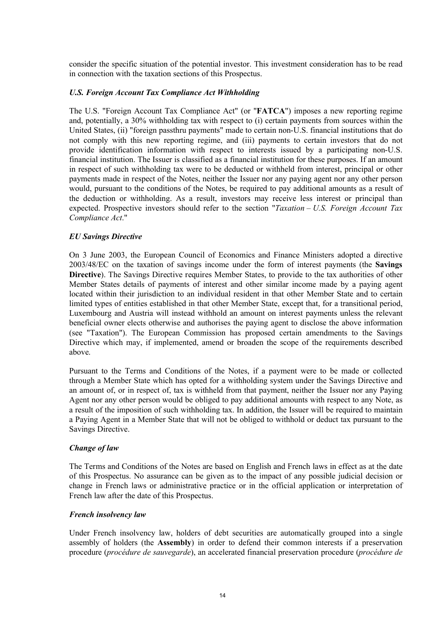consider the specific situation of the potential investor. This investment consideration has to be read in connection with the taxation sections of this Prospectus.

### *U.S. Foreign Account Tax Compliance Act Withholding*

The U.S. "Foreign Account Tax Compliance Act" (or "**FATCA**") imposes a new reporting regime and, potentially, a 30% withholding tax with respect to (i) certain payments from sources within the United States, (ii) "foreign passthru payments" made to certain non-U.S. financial institutions that do not comply with this new reporting regime, and (iii) payments to certain investors that do not provide identification information with respect to interests issued by a participating non-U.S. financial institution. The Issuer is classified as a financial institution for these purposes. If an amount in respect of such withholding tax were to be deducted or withheld from interest, principal or other payments made in respect of the Notes, neither the Issuer nor any paying agent nor any other person would, pursuant to the conditions of the Notes, be required to pay additional amounts as a result of the deduction or withholding. As a result, investors may receive less interest or principal than expected. Prospective investors should refer to the section "*Taxation* – *U.S. Foreign Account Tax Compliance Act*."

### *EU Savings Directive*

On 3 June 2003, the European Council of Economics and Finance Ministers adopted a directive 2003/48/EC on the taxation of savings income under the form of interest payments (the **Savings Directive**). The Savings Directive requires Member States, to provide to the tax authorities of other Member States details of payments of interest and other similar income made by a paying agent located within their jurisdiction to an individual resident in that other Member State and to certain limited types of entities established in that other Member State, except that, for a transitional period, Luxembourg and Austria will instead withhold an amount on interest payments unless the relevant beneficial owner elects otherwise and authorises the paying agent to disclose the above information (see "Taxation"). The European Commission has proposed certain amendments to the Savings Directive which may, if implemented, amend or broaden the scope of the requirements described above.

Pursuant to the Terms and Conditions of the Notes, if a payment were to be made or collected through a Member State which has opted for a withholding system under the Savings Directive and an amount of, or in respect of, tax is withheld from that payment, neither the Issuer nor any Paying Agent nor any other person would be obliged to pay additional amounts with respect to any Note, as a result of the imposition of such withholding tax. In addition, the Issuer will be required to maintain a Paying Agent in a Member State that will not be obliged to withhold or deduct tax pursuant to the Savings Directive.

#### *Change of law*

The Terms and Conditions of the Notes are based on English and French laws in effect as at the date of this Prospectus. No assurance can be given as to the impact of any possible judicial decision or change in French laws or administrative practice or in the official application or interpretation of French law after the date of this Prospectus.

#### *French insolvency law*

Under French insolvency law, holders of debt securities are automatically grouped into a single assembly of holders (the **Assembly**) in order to defend their common interests if a preservation procedure (*procédure de sauvegarde*), an accelerated financial preservation procedure (*procédure de*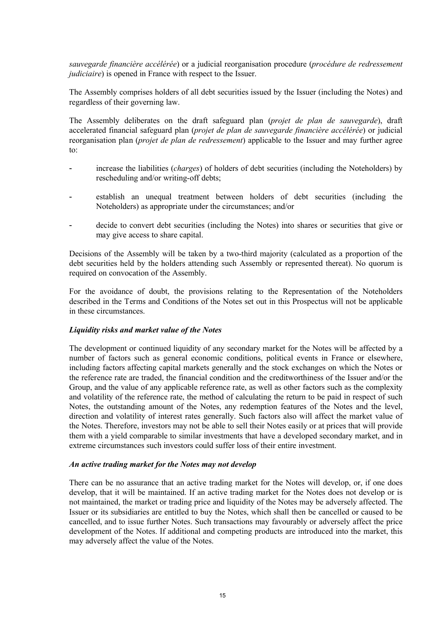*sauvegarde financière accélérée*) or a judicial reorganisation procedure (*procédure de redressement judiciaire*) is opened in France with respect to the Issuer.

The Assembly comprises holders of all debt securities issued by the Issuer (including the Notes) and regardless of their governing law.

The Assembly deliberates on the draft safeguard plan (*projet de plan de sauvegarde*), draft accelerated financial safeguard plan (*projet de plan de sauvegarde financière accélérée*) or judicial reorganisation plan (*projet de plan de redressement*) applicable to the Issuer and may further agree to:

- increase the liabilities (*charges*) of holders of debt securities (including the Noteholders) by rescheduling and/or writing-off debts;
- establish an unequal treatment between holders of debt securities (including the Noteholders) as appropriate under the circumstances; and/or
- decide to convert debt securities (including the Notes) into shares or securities that give or may give access to share capital.

Decisions of the Assembly will be taken by a two-third majority (calculated as a proportion of the debt securities held by the holders attending such Assembly or represented thereat). No quorum is required on convocation of the Assembly.

For the avoidance of doubt, the provisions relating to the Representation of the Noteholders described in the Terms and Conditions of the Notes set out in this Prospectus will not be applicable in these circumstances.

## *Liquidity risks and market value of the Notes*

The development or continued liquidity of any secondary market for the Notes will be affected by a number of factors such as general economic conditions, political events in France or elsewhere, including factors affecting capital markets generally and the stock exchanges on which the Notes or the reference rate are traded, the financial condition and the creditworthiness of the Issuer and/or the Group, and the value of any applicable reference rate, as well as other factors such as the complexity and volatility of the reference rate, the method of calculating the return to be paid in respect of such Notes, the outstanding amount of the Notes, any redemption features of the Notes and the level, direction and volatility of interest rates generally. Such factors also will affect the market value of the Notes. Therefore, investors may not be able to sell their Notes easily or at prices that will provide them with a yield comparable to similar investments that have a developed secondary market, and in extreme circumstances such investors could suffer loss of their entire investment.

#### *An active trading market for the Notes may not develop*

There can be no assurance that an active trading market for the Notes will develop, or, if one does develop, that it will be maintained. If an active trading market for the Notes does not develop or is not maintained, the market or trading price and liquidity of the Notes may be adversely affected. The Issuer or its subsidiaries are entitled to buy the Notes, which shall then be cancelled or caused to be cancelled, and to issue further Notes. Such transactions may favourably or adversely affect the price development of the Notes. If additional and competing products are introduced into the market, this may adversely affect the value of the Notes.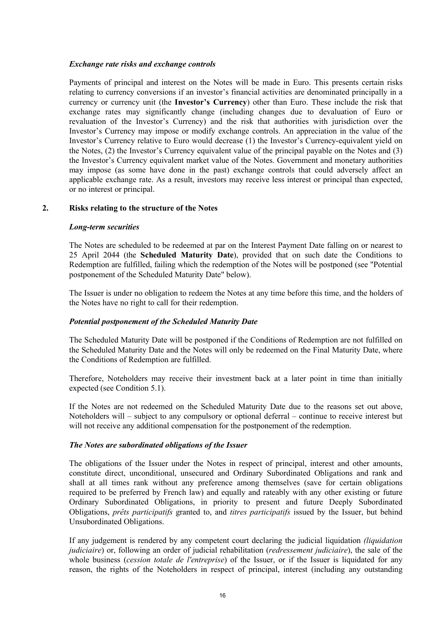## *Exchange rate risks and exchange controls*

Payments of principal and interest on the Notes will be made in Euro. This presents certain risks relating to currency conversions if an investor's financial activities are denominated principally in a currency or currency unit (the **Investor's Currency**) other than Euro. These include the risk that exchange rates may significantly change (including changes due to devaluation of Euro or revaluation of the Investor's Currency) and the risk that authorities with jurisdiction over the Investor's Currency may impose or modify exchange controls. An appreciation in the value of the Investor's Currency relative to Euro would decrease (1) the Investor's Currency-equivalent yield on the Notes, (2) the Investor's Currency equivalent value of the principal payable on the Notes and (3) the Investor's Currency equivalent market value of the Notes. Government and monetary authorities may impose (as some have done in the past) exchange controls that could adversely affect an applicable exchange rate. As a result, investors may receive less interest or principal than expected, or no interest or principal.

## **2. Risks relating to the structure of the Notes**

## *Long-term securities*

The Notes are scheduled to be redeemed at par on the Interest Payment Date falling on or nearest to 25 April 2044 (the **Scheduled Maturity Date**), provided that on such date the Conditions to Redemption are fulfilled, failing which the redemption of the Notes will be postponed (see "Potential postponement of the Scheduled Maturity Date" below).

The Issuer is under no obligation to redeem the Notes at any time before this time, and the holders of the Notes have no right to call for their redemption.

## *Potential postponement of the Scheduled Maturity Date*

The Scheduled Maturity Date will be postponed if the Conditions of Redemption are not fulfilled on the Scheduled Maturity Date and the Notes will only be redeemed on the Final Maturity Date, where the Conditions of Redemption are fulfilled.

Therefore, Noteholders may receive their investment back at a later point in time than initially expected (see Condition 5.1).

If the Notes are not redeemed on the Scheduled Maturity Date due to the reasons set out above, Noteholders will – subject to any compulsory or optional deferral – continue to receive interest but will not receive any additional compensation for the postponement of the redemption.

## *The Notes are subordinated obligations of the Issuer*

The obligations of the Issuer under the Notes in respect of principal, interest and other amounts, constitute direct, unconditional, unsecured and Ordinary Subordinated Obligations and rank and shall at all times rank without any preference among themselves (save for certain obligations required to be preferred by French law) and equally and rateably with any other existing or future Ordinary Subordinated Obligations, in priority to present and future Deeply Subordinated Obligations, *prêts participatifs* granted to, and *titres participatifs* issued by the Issuer, but behind Unsubordinated Obligations.

If any judgement is rendered by any competent court declaring the judicial liquidation *(liquidation judiciaire*) or, following an order of judicial rehabilitation (*redressement judiciaire*), the sale of the whole business (*cession totale de l'entreprise*) of the Issuer, or if the Issuer is liquidated for any reason, the rights of the Noteholders in respect of principal, interest (including any outstanding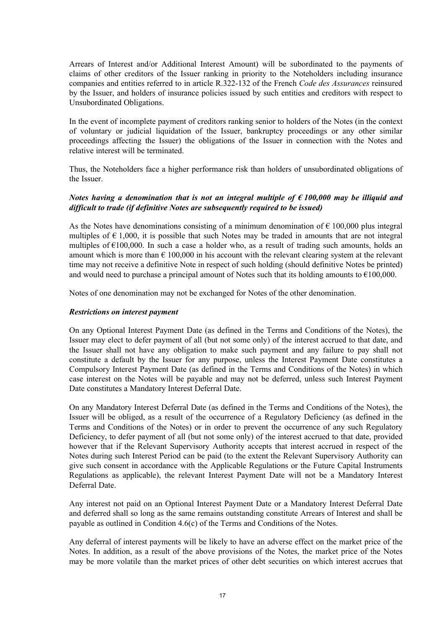Arrears of Interest and/or Additional Interest Amount) will be subordinated to the payments of claims of other creditors of the Issuer ranking in priority to the Noteholders including insurance companies and entities referred to in article R.322-132 of the French *Code des Assurances* reinsured by the Issuer, and holders of insurance policies issued by such entities and creditors with respect to Unsubordinated Obligations.

In the event of incomplete payment of creditors ranking senior to holders of the Notes (in the context of voluntary or judicial liquidation of the Issuer, bankruptcy proceedings or any other similar proceedings affecting the Issuer) the obligations of the Issuer in connection with the Notes and relative interest will be terminated.

Thus, the Noteholders face a higher performance risk than holders of unsubordinated obligations of the Issuer.

## *Notes having a denomination that is not an integral multiple of € 100,000 may be illiquid and difficult to trade (if definitive Notes are subsequently required to be issued)*

As the Notes have denominations consisting of a minimum denomination of  $\epsilon$  100,000 plus integral multiples of  $\epsilon$  1,000, it is possible that such Notes may be traded in amounts that are not integral multiples of  $\epsilon$ 100,000. In such a case a holder who, as a result of trading such amounts, holds an amount which is more than  $\epsilon$  100,000 in his account with the relevant clearing system at the relevant time may not receive a definitive Note in respect of such holding (should definitive Notes be printed) and would need to purchase a principal amount of Notes such that its holding amounts to  $\epsilon$ 100,000.

Notes of one denomination may not be exchanged for Notes of the other denomination.

### *Restrictions on interest payment*

On any Optional Interest Payment Date (as defined in the Terms and Conditions of the Notes), the Issuer may elect to defer payment of all (but not some only) of the interest accrued to that date, and the Issuer shall not have any obligation to make such payment and any failure to pay shall not constitute a default by the Issuer for any purpose, unless the Interest Payment Date constitutes a Compulsory Interest Payment Date (as defined in the Terms and Conditions of the Notes) in which case interest on the Notes will be payable and may not be deferred, unless such Interest Payment Date constitutes a Mandatory Interest Deferral Date.

On any Mandatory Interest Deferral Date (as defined in the Terms and Conditions of the Notes), the Issuer will be obliged, as a result of the occurrence of a Regulatory Deficiency (as defined in the Terms and Conditions of the Notes) or in order to prevent the occurrence of any such Regulatory Deficiency, to defer payment of all (but not some only) of the interest accrued to that date, provided however that if the Relevant Supervisory Authority accepts that interest accrued in respect of the Notes during such Interest Period can be paid (to the extent the Relevant Supervisory Authority can give such consent in accordance with the Applicable Regulations or the Future Capital Instruments Regulations as applicable), the relevant Interest Payment Date will not be a Mandatory Interest Deferral Date.

Any interest not paid on an Optional Interest Payment Date or a Mandatory Interest Deferral Date and deferred shall so long as the same remains outstanding constitute Arrears of Interest and shall be payable as outlined in Condition 4.6(c) of the Terms and Conditions of the Notes.

Any deferral of interest payments will be likely to have an adverse effect on the market price of the Notes. In addition, as a result of the above provisions of the Notes, the market price of the Notes may be more volatile than the market prices of other debt securities on which interest accrues that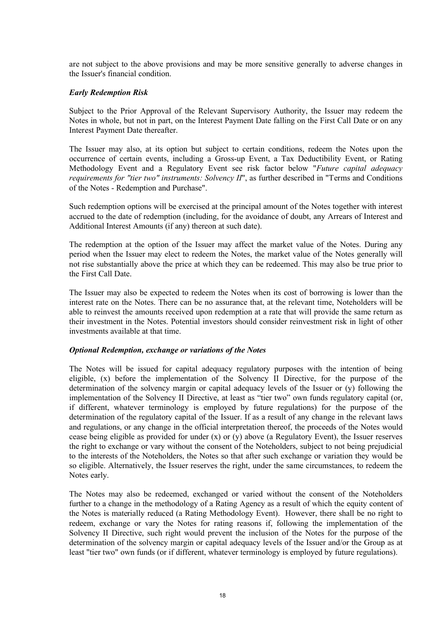are not subject to the above provisions and may be more sensitive generally to adverse changes in the Issuer's financial condition.

### *Early Redemption Risk*

Subject to the Prior Approval of the Relevant Supervisory Authority, the Issuer may redeem the Notes in whole, but not in part, on the Interest Payment Date falling on the First Call Date or on any Interest Payment Date thereafter.

The Issuer may also, at its option but subject to certain conditions, redeem the Notes upon the occurrence of certain events, including a Gross-up Event, a Tax Deductibility Event, or Rating Methodology Event and a Regulatory Event see risk factor below "*Future capital adequacy requirements for "tier two" instruments: Solvency II*", as further described in "Terms and Conditions of the Notes - Redemption and Purchase".

Such redemption options will be exercised at the principal amount of the Notes together with interest accrued to the date of redemption (including, for the avoidance of doubt, any Arrears of Interest and Additional Interest Amounts (if any) thereon at such date).

The redemption at the option of the Issuer may affect the market value of the Notes. During any period when the Issuer may elect to redeem the Notes, the market value of the Notes generally will not rise substantially above the price at which they can be redeemed. This may also be true prior to the First Call Date.

The Issuer may also be expected to redeem the Notes when its cost of borrowing is lower than the interest rate on the Notes. There can be no assurance that, at the relevant time, Noteholders will be able to reinvest the amounts received upon redemption at a rate that will provide the same return as their investment in the Notes. Potential investors should consider reinvestment risk in light of other investments available at that time.

#### *Optional Redemption, exchange or variations of the Notes*

The Notes will be issued for capital adequacy regulatory purposes with the intention of being eligible, (x) before the implementation of the Solvency II Directive, for the purpose of the determination of the solvency margin or capital adequacy levels of the Issuer or (y) following the implementation of the Solvency II Directive, at least as "tier two" own funds regulatory capital (or, if different, whatever terminology is employed by future regulations) for the purpose of the determination of the regulatory capital of the Issuer. If as a result of any change in the relevant laws and regulations, or any change in the official interpretation thereof, the proceeds of the Notes would cease being eligible as provided for under (x) or (y) above (a Regulatory Event), the Issuer reserves the right to exchange or vary without the consent of the Noteholders, subject to not being prejudicial to the interests of the Noteholders, the Notes so that after such exchange or variation they would be so eligible. Alternatively, the Issuer reserves the right, under the same circumstances, to redeem the Notes early.

The Notes may also be redeemed, exchanged or varied without the consent of the Noteholders further to a change in the methodology of a Rating Agency as a result of which the equity content of the Notes is materially reduced (a Rating Methodology Event). However, there shall be no right to redeem, exchange or vary the Notes for rating reasons if, following the implementation of the Solvency II Directive, such right would prevent the inclusion of the Notes for the purpose of the determination of the solvency margin or capital adequacy levels of the Issuer and/or the Group as at least "tier two" own funds (or if different, whatever terminology is employed by future regulations).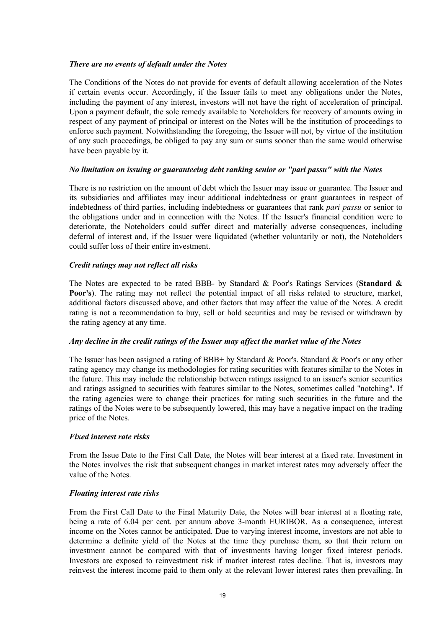## *There are no events of default under the Notes*

The Conditions of the Notes do not provide for events of default allowing acceleration of the Notes if certain events occur. Accordingly, if the Issuer fails to meet any obligations under the Notes, including the payment of any interest, investors will not have the right of acceleration of principal. Upon a payment default, the sole remedy available to Noteholders for recovery of amounts owing in respect of any payment of principal or interest on the Notes will be the institution of proceedings to enforce such payment. Notwithstanding the foregoing, the Issuer will not, by virtue of the institution of any such proceedings, be obliged to pay any sum or sums sooner than the same would otherwise have been payable by it.

## *No limitation on issuing or guaranteeing debt ranking senior or "pari passu" with the Notes*

There is no restriction on the amount of debt which the Issuer may issue or guarantee. The Issuer and its subsidiaries and affiliates may incur additional indebtedness or grant guarantees in respect of indebtedness of third parties, including indebtedness or guarantees that rank *pari passu* or senior to the obligations under and in connection with the Notes. If the Issuer's financial condition were to deteriorate, the Noteholders could suffer direct and materially adverse consequences, including deferral of interest and, if the Issuer were liquidated (whether voluntarily or not), the Noteholders could suffer loss of their entire investment.

## *Credit ratings may not reflect all risks*

The Notes are expected to be rated BBB- by Standard & Poor's Ratings Services (**Standard & Poor's**). The rating may not reflect the potential impact of all risks related to structure, market, additional factors discussed above, and other factors that may affect the value of the Notes. A credit rating is not a recommendation to buy, sell or hold securities and may be revised or withdrawn by the rating agency at any time.

## *Any decline in the credit ratings of the Issuer may affect the market value of the Notes*

The Issuer has been assigned a rating of BBB+ by Standard & Poor's. Standard & Poor's or any other rating agency may change its methodologies for rating securities with features similar to the Notes in the future. This may include the relationship between ratings assigned to an issuer's senior securities and ratings assigned to securities with features similar to the Notes, sometimes called "notching". If the rating agencies were to change their practices for rating such securities in the future and the ratings of the Notes were to be subsequently lowered, this may have a negative impact on the trading price of the Notes.

## *Fixed interest rate risks*

From the Issue Date to the First Call Date, the Notes will bear interest at a fixed rate. Investment in the Notes involves the risk that subsequent changes in market interest rates may adversely affect the value of the Notes.

## *Floating interest rate risks*

From the First Call Date to the Final Maturity Date, the Notes will bear interest at a floating rate, being a rate of 6.04 per cent. per annum above 3-month EURIBOR. As a consequence, interest income on the Notes cannot be anticipated. Due to varying interest income, investors are not able to determine a definite yield of the Notes at the time they purchase them, so that their return on investment cannot be compared with that of investments having longer fixed interest periods. Investors are exposed to reinvestment risk if market interest rates decline. That is, investors may reinvest the interest income paid to them only at the relevant lower interest rates then prevailing. In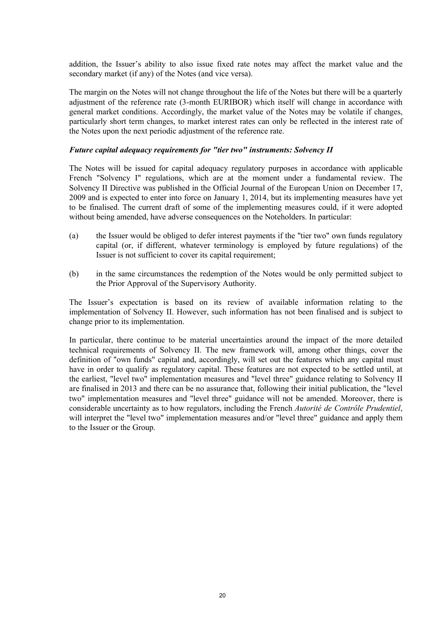addition, the Issuer's ability to also issue fixed rate notes may affect the market value and the secondary market (if any) of the Notes (and vice versa).

The margin on the Notes will not change throughout the life of the Notes but there will be a quarterly adjustment of the reference rate (3-month EURIBOR) which itself will change in accordance with general market conditions. Accordingly, the market value of the Notes may be volatile if changes, particularly short term changes, to market interest rates can only be reflected in the interest rate of the Notes upon the next periodic adjustment of the reference rate.

## *Future capital adequacy requirements for "tier two" instruments: Solvency II*

The Notes will be issued for capital adequacy regulatory purposes in accordance with applicable French "Solvency I" regulations, which are at the moment under a fundamental review. The Solvency II Directive was published in the Official Journal of the European Union on December 17, 2009 and is expected to enter into force on January 1, 2014, but its implementing measures have yet to be finalised. The current draft of some of the implementing measures could, if it were adopted without being amended, have adverse consequences on the Noteholders. In particular:

- (a) the Issuer would be obliged to defer interest payments if the "tier two" own funds regulatory capital (or, if different, whatever terminology is employed by future regulations) of the Issuer is not sufficient to cover its capital requirement;
- (b) in the same circumstances the redemption of the Notes would be only permitted subject to the Prior Approval of the Supervisory Authority.

The Issuer's expectation is based on its review of available information relating to the implementation of Solvency II. However, such information has not been finalised and is subject to change prior to its implementation.

In particular, there continue to be material uncertainties around the impact of the more detailed technical requirements of Solvency II. The new framework will, among other things, cover the definition of "own funds" capital and, accordingly, will set out the features which any capital must have in order to qualify as regulatory capital. These features are not expected to be settled until, at the earliest, "level two" implementation measures and "level three" guidance relating to Solvency II are finalised in 2013 and there can be no assurance that, following their initial publication, the "level two" implementation measures and "level three" guidance will not be amended. Moreover, there is considerable uncertainty as to how regulators, including the French *Autorité de Contrôle Prudentiel*, will interpret the "level two" implementation measures and/or "level three" guidance and apply them to the Issuer or the Group.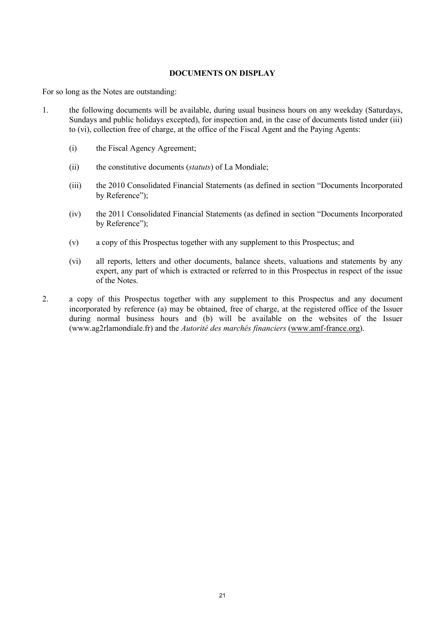## **DOCUMENTS ON DISPLAY**

For so long as the Notes are outstanding:

- 1. the following documents will be available, during usual business hours on any weekday (Saturdays, Sundays and public holidays excepted), for inspection and, in the case of documents listed under (iii) to (vi), collection free of charge, at the office of the Fiscal Agent and the Paying Agents:
	- (i) the Fiscal Agency Agreement;
	- (ii) the constitutive documents (*statuts*) of La Mondiale;
	- (iii) the 2010 Consolidated Financial Statements (as defined in section "Documents Incorporated by Reference");
	- (iv) the 2011 Consolidated Financial Statements (as defined in section "Documents Incorporated by Reference");
	- (v) a copy of this Prospectus together with any supplement to this Prospectus; and
	- (vi) all reports, letters and other documents, balance sheets, valuations and statements by any expert, any part of which is extracted or referred to in this Prospectus in respect of the issue of the Notes.
- 2. a copy of this Prospectus together with any supplement to this Prospectus and any document incorporated by reference (a) may be obtained, free of charge, at the registered office of the Issuer during normal business hours and (b) will be available on the websites of the Issuer [\(www.ag2rlamondiale.fr\)](www.ag2rlamondiale.fr)) and the *Autorité des marchés financiers* [\(www.amf-france.org](www.amf-france.org)).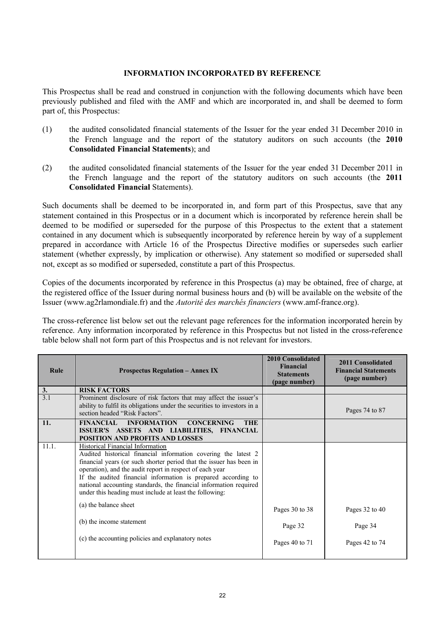### **INFORMATION INCORPORATED BY REFERENCE**

This Prospectus shall be read and construed in conjunction with the following documents which have been previously published and filed with the AMF and which are incorporated in, and shall be deemed to form part of, this Prospectus:

- (1) the audited consolidated financial statements of the Issuer for the year ended 31 December 2010 in the French language and the report of the statutory auditors on such accounts (the **2010 Consolidated Financial Statements**); and
- (2) the audited consolidated financial statements of the Issuer for the year ended 31 December 2011 in the French language and the report of the statutory auditors on such accounts (the **2011 Consolidated Financial** Statements).

Such documents shall be deemed to be incorporated in, and form part of this Prospectus, save that any statement contained in this Prospectus or in a document which is incorporated by reference herein shall be deemed to be modified or superseded for the purpose of this Prospectus to the extent that a statement contained in any document which is subsequently incorporated by reference herein by way of a supplement prepared in accordance with Article 16 of the Prospectus Directive modifies or supersedes such earlier statement (whether expressly, by implication or otherwise). Any statement so modified or superseded shall not, except as so modified or superseded, constitute a part of this Prospectus.

Copies of the documents incorporated by reference in this Prospectus (a) may be obtained, free of charge, at the registered office of the Issuer during normal business hours and (b) will be available on the website of the Issuer [\(www.ag2rlamondiale.fr\)](www.ag2rlamondiale.fr)) and the *Autorité des marchés financiers* [\(www.amf-france.org\).](www.amf-france.org).)

The cross-reference list below set out the relevant page references for the information incorporated herein by reference. Any information incorporated by reference in this Prospectus but not listed in the cross-reference table below shall not form part of this Prospectus and is not relevant for investors.

| Rule             | <b>Prospectus Regulation – Annex IX</b>                                                                                                                                                                                                                                                                                                                                                                                                | <b>2010 Consolidated</b><br><b>Financial</b><br><b>Statements</b><br>(page number) | 2011 Consolidated<br><b>Financial Statements</b><br>(page number) |
|------------------|----------------------------------------------------------------------------------------------------------------------------------------------------------------------------------------------------------------------------------------------------------------------------------------------------------------------------------------------------------------------------------------------------------------------------------------|------------------------------------------------------------------------------------|-------------------------------------------------------------------|
| 3.               | <b>RISK FACTORS</b>                                                                                                                                                                                                                                                                                                                                                                                                                    |                                                                                    |                                                                   |
| $\overline{3.1}$ | Prominent disclosure of risk factors that may affect the issuer's<br>ability to fulfil its obligations under the securities to investors in a<br>section headed "Risk Factors".                                                                                                                                                                                                                                                        |                                                                                    | Pages 74 to 87                                                    |
| 11.              | FINANCIAL INFORMATION<br><b>CONCERNING</b><br><b>THE</b>                                                                                                                                                                                                                                                                                                                                                                               |                                                                                    |                                                                   |
|                  | ISSUER'S ASSETS AND LIABILITIES, FINANCIAL                                                                                                                                                                                                                                                                                                                                                                                             |                                                                                    |                                                                   |
|                  | POSITION AND PROFITS AND LOSSES                                                                                                                                                                                                                                                                                                                                                                                                        |                                                                                    |                                                                   |
| 11.1.            | Historical Financial Information<br>Audited historical financial information covering the latest 2<br>financial years (or such shorter period that the issuer has been in<br>operation), and the audit report in respect of each year<br>If the audited financial information is prepared according to<br>national accounting standards, the financial information required<br>under this heading must include at least the following: |                                                                                    |                                                                   |
|                  | (a) the balance sheet                                                                                                                                                                                                                                                                                                                                                                                                                  | Pages 30 to 38                                                                     | Pages 32 to 40                                                    |
|                  | (b) the income statement                                                                                                                                                                                                                                                                                                                                                                                                               | Page 32                                                                            | Page 34                                                           |
|                  | (c) the accounting policies and explanatory notes                                                                                                                                                                                                                                                                                                                                                                                      | Pages 40 to 71                                                                     | Pages 42 to 74                                                    |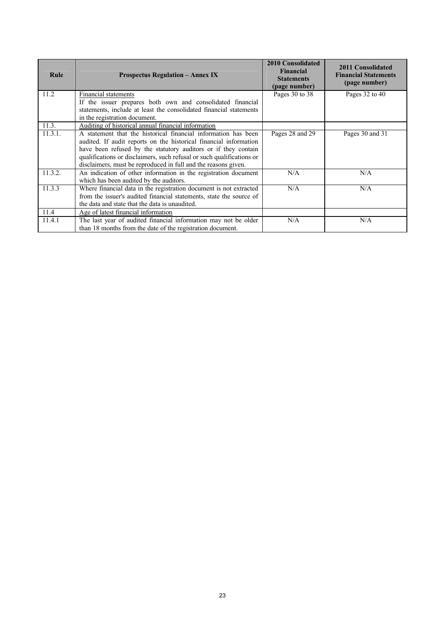| Rule    | <b>Prospectus Regulation - Annex IX</b>                                                                                                                                                                                                                                                                                                          | <b>2010 Consolidated</b><br><b>Financial</b><br><b>Statements</b><br>(page number) | 2011 Consolidated<br><b>Financial Statements</b><br>(page number) |
|---------|--------------------------------------------------------------------------------------------------------------------------------------------------------------------------------------------------------------------------------------------------------------------------------------------------------------------------------------------------|------------------------------------------------------------------------------------|-------------------------------------------------------------------|
| 11.2    | Financial statements                                                                                                                                                                                                                                                                                                                             | Pages 30 to 38                                                                     | Pages 32 to 40                                                    |
|         | If the issuer prepares both own and consolidated financial                                                                                                                                                                                                                                                                                       |                                                                                    |                                                                   |
|         | statements, include at least the consolidated financial statements                                                                                                                                                                                                                                                                               |                                                                                    |                                                                   |
|         | in the registration document.                                                                                                                                                                                                                                                                                                                    |                                                                                    |                                                                   |
| 11.3.   | Auditing of historical annual financial information                                                                                                                                                                                                                                                                                              |                                                                                    |                                                                   |
| 11.3.1. | A statement that the historical financial information has been<br>audited. If audit reports on the historical financial information<br>have been refused by the statutory auditors or if they contain<br>qualifications or disclaimers, such refusal or such qualifications or<br>disclaimers, must be reproduced in full and the reasons given. | Pages 28 and 29                                                                    | Pages 30 and 31                                                   |
| 11.3.2. | An indication of other information in the registration document<br>which has been audited by the auditors.                                                                                                                                                                                                                                       | N/A                                                                                | N/A                                                               |
| 11.3.3  | Where financial data in the registration document is not extracted<br>from the issuer's audited financial statements, state the source of<br>the data and state that the data is unaudited.                                                                                                                                                      | N/A                                                                                | N/A                                                               |
| 11.4    | Age of latest financial information                                                                                                                                                                                                                                                                                                              |                                                                                    |                                                                   |
| 11.4.1  | The last year of audited financial information may not be older<br>than 18 months from the date of the registration document.                                                                                                                                                                                                                    | N/A                                                                                | N/A                                                               |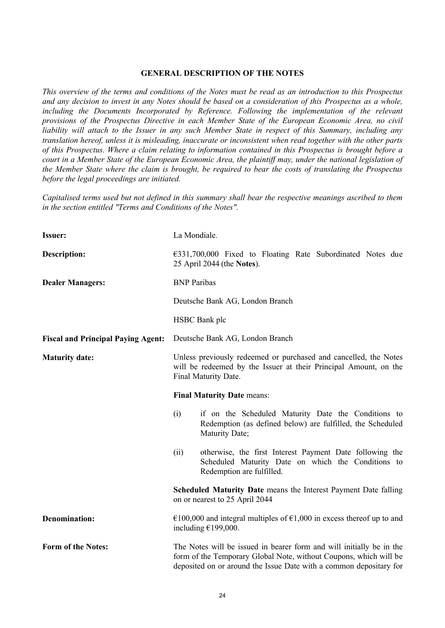#### **GENERAL DESCRIPTION OF THE NOTES**

*This overview of the terms and conditions of the Notes must be read as an introduction to this Prospectus and any decision to invest in any Notes should be based on a consideration of this Prospectus as a whole, including the Documents Incorporated by Reference. Following the implementation of the relevant provisions of the Prospectus Directive in each Member State of the European Economic Area, no civil liability will attach to the Issuer in any such Member State in respect of this Summary, including any translation hereof, unless it is misleading, inaccurate or inconsistent when read together with the other parts of this Prospectus. Where a claim relating to information contained in this Prospectus is brought before a court in a Member State of the European Economic Area, the plaintiff may, under the national legislation of the Member State where the claim is brought, be required to bear the costs of translating the Prospectus before the legal proceedings are initiated.* 

*Capitalised terms used but not defined in this summary shall bear the respective meanings ascribed to them in the section entitled "Terms and Conditions of the Notes".*

| <b>Issuer:</b>                            | La Mondiale.                                                                                                                                                                                                    |  |
|-------------------------------------------|-----------------------------------------------------------------------------------------------------------------------------------------------------------------------------------------------------------------|--|
| <b>Description:</b>                       | $\epsilon$ 331,700,000 Fixed to Floating Rate Subordinated Notes due<br>25 April 2044 (the Notes).                                                                                                              |  |
| <b>Dealer Managers:</b>                   | <b>BNP</b> Paribas                                                                                                                                                                                              |  |
|                                           | Deutsche Bank AG, London Branch                                                                                                                                                                                 |  |
|                                           | HSBC Bank plc                                                                                                                                                                                                   |  |
| <b>Fiscal and Principal Paying Agent:</b> | Deutsche Bank AG, London Branch                                                                                                                                                                                 |  |
| <b>Maturity date:</b>                     | Unless previously redeemed or purchased and cancelled, the Notes<br>will be redeemed by the Issuer at their Principal Amount, on the<br>Final Maturity Date.                                                    |  |
|                                           | <b>Final Maturity Date means:</b>                                                                                                                                                                               |  |
|                                           | (i)<br>if on the Scheduled Maturity Date the Conditions to<br>Redemption (as defined below) are fulfilled, the Scheduled<br>Maturity Date;                                                                      |  |
|                                           | otherwise, the first Interest Payment Date following the<br>(ii)<br>Scheduled Maturity Date on which the Conditions to<br>Redemption are fulfilled.                                                             |  |
|                                           | Scheduled Maturity Date means the Interest Payment Date falling<br>on or nearest to 25 April 2044                                                                                                               |  |
| <b>Denomination:</b>                      | €100,000 and integral multiples of €1,000 in excess thereof up to and<br>including $£199,000$ .                                                                                                                 |  |
| <b>Form of the Notes:</b>                 | The Notes will be issued in bearer form and will initially be in the<br>form of the Temporary Global Note, without Coupons, which will be<br>deposited on or around the Issue Date with a common depositary for |  |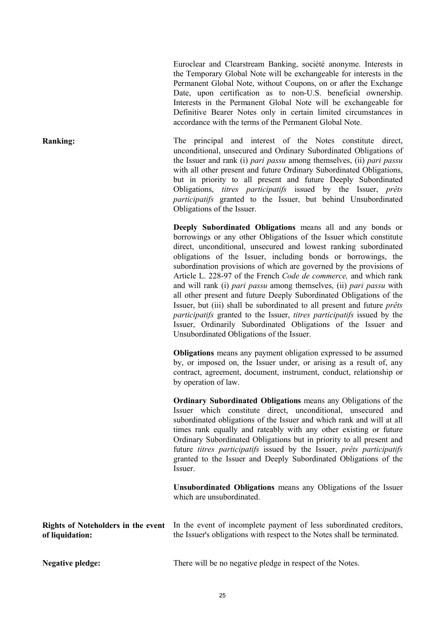Euroclear and Clearstream Banking, société anonyme. Interests in the Temporary Global Note will be exchangeable for interests in the Permanent Global Note, without Coupons, on or after the Exchange Date, upon certification as to non-U.S. beneficial ownership. Interests in the Permanent Global Note will be exchangeable for Definitive Bearer Notes only in certain limited circumstances in accordance with the terms of the Permanent Global Note.

**Ranking:** The principal and interest of the Notes constitute direct, unconditional, unsecured and Ordinary Subordinated Obligations of the Issuer and rank (i) *pari passu* among themselves, (ii) *pari passu* with all other present and future Ordinary Subordinated Obligations, but in priority to all present and future Deeply Subordinated Obligations, *titres participatifs* issued by the Issuer, *prêts participatifs* granted to the Issuer, but behind Unsubordinated Obligations of the Issuer.

> **Deeply Subordinated Obligations** means all and any bonds or borrowings or any other Obligations of the Issuer which constitute direct, unconditional, unsecured and lowest ranking subordinated obligations of the Issuer, including bonds or borrowings, the subordination provisions of which are governed by the provisions of Article L. 228-97 of the French *Code de commerce,* and which rank and will rank (i) *pari passu* among themselves, (ii) *pari passu* with all other present and future Deeply Subordinated Obligations of the Issuer, but (iii) shall be subordinated to all present and future *prêts participatifs* granted to the Issuer, *titres participatifs* issued by the Issuer, Ordinarily Subordinated Obligations of the Issuer and Unsubordinated Obligations of the Issuer.

> **Obligations** means any payment obligation expressed to be assumed by, or imposed on, the Issuer under, or arising as a result of, any contract, agreement, document, instrument, conduct, relationship or by operation of law.

> **Ordinary Subordinated Obligations** means any Obligations of the Issuer which constitute direct, unconditional, unsecured and subordinated obligations of the Issuer and which rank and will at all times rank equally and rateably with any other existing or future Ordinary Subordinated Obligations but in priority to all present and future *titres participatifs* issued by the Issuer, *prêts participatifs* granted to the Issuer and Deeply Subordinated Obligations of the Issuer.

> **Unsubordinated Obligations** means any Obligations of the Issuer which are unsubordinated.

|                 | <b>Rights of Noteholders in the event</b> In the event of incomplete payment of less subordinated creditors, |
|-----------------|--------------------------------------------------------------------------------------------------------------|
| of liquidation: | the Issuer's obligations with respect to the Notes shall be terminated.                                      |

**Negative pledge:** There will be no negative pledge in respect of the Notes.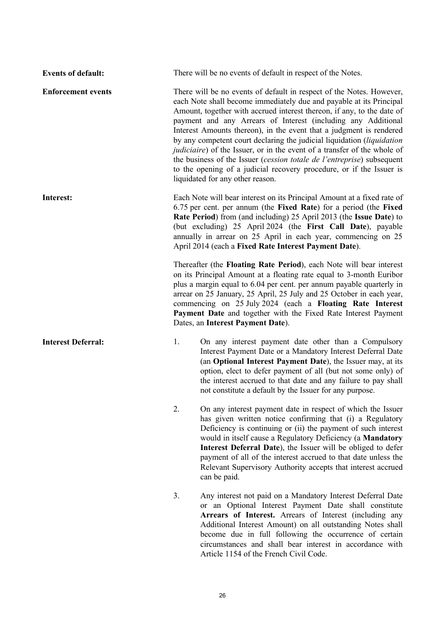**Events of default:** There will be no events of default in respect of the Notes. **Enforcement events** There will be no events of default in respect of the Notes. However, each Note shall become immediately due and payable at its Principal Amount, together with accrued interest thereon, if any, to the date of payment and any Arrears of Interest (including any Additional Interest Amounts thereon), in the event that a judgment is rendered by any competent court declaring the judicial liquidation (*liquidation judiciaire*) of the Issuer, or in the event of a transfer of the whole of the business of the Issuer (*cession totale de l'entreprise*) subsequent to the opening of a judicial recovery procedure, or if the Issuer is liquidated for any other reason. **Interest:** Each Note will bear interest on its Principal Amount at a fixed rate of 6.75 per cent. per annum (the **Fixed Rate**) for a period (the **Fixed Rate Period**) from (and including) 25 April 2013 (the **Issue Date**) to (but excluding) 25 April 2024 (the **First Call Date**), payable annually in arrear on 25 April in each year, commencing on 25 April 2014 (each a **Fixed Rate Interest Payment Date**). Thereafter (the **Floating Rate Period**), each Note will bear interest on its Principal Amount at a floating rate equal to 3-month Euribor plus a margin equal to 6.04 per cent. per annum payable quarterly in arrear on 25 January, 25 April, 25 July and 25 October in each year, commencing on 25 July 2024 (each a **Floating Rate Interest Payment Date** and together with the Fixed Rate Interest Payment Dates, an **Interest Payment Date**). **Interest Deferral:** 1. On any interest payment date other than a Compulsory Interest Payment Date or a Mandatory Interest Deferral Date (an **Optional Interest Payment Date**), the Issuer may, at its option, elect to defer payment of all (but not some only) of the interest accrued to that date and any failure to pay shall not constitute a default by the Issuer for any purpose. 2. On any interest payment date in respect of which the Issuer

- has given written notice confirming that (i) a Regulatory Deficiency is continuing or (ii) the payment of such interest would in itself cause a Regulatory Deficiency (a **Mandatory Interest Deferral Date**), the Issuer will be obliged to defer payment of all of the interest accrued to that date unless the Relevant Supervisory Authority accepts that interest accrued can be paid.
- 3. Any interest not paid on a Mandatory Interest Deferral Date or an Optional Interest Payment Date shall constitute **Arrears of Interest.** Arrears of Interest (including any Additional Interest Amount) on all outstanding Notes shall become due in full following the occurrence of certain circumstances and shall bear interest in accordance with Article 1154 of the French Civil Code.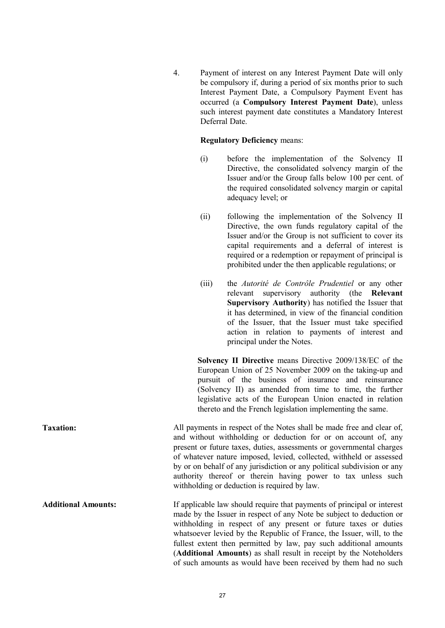4. Payment of interest on any Interest Payment Date will only be compulsory if, during a period of six months prior to such Interest Payment Date, a Compulsory Payment Event has occurred (a **Compulsory Interest Payment Date**), unless such interest payment date constitutes a Mandatory Interest Deferral Date.

## **Regulatory Deficiency** means:

- (i) before the implementation of the Solvency II Directive, the consolidated solvency margin of the Issuer and/or the Group falls below 100 per cent. of the required consolidated solvency margin or capital adequacy level; or
- (ii) following the implementation of the Solvency II Directive, the own funds regulatory capital of the Issuer and/or the Group is not sufficient to cover its capital requirements and a deferral of interest is required or a redemption or repayment of principal is prohibited under the then applicable regulations; or
- (iii) the *Autorité de Contrôle Prudentiel* or any other relevant supervisory authority (the **Relevant Supervisory Authority**) has notified the Issuer that it has determined, in view of the financial condition of the Issuer, that the Issuer must take specified action in relation to payments of interest and principal under the Notes.

**Solvency II Directive** means Directive 2009/138/EC of the European Union of 25 November 2009 on the taking-up and pursuit of the business of insurance and reinsurance (Solvency II) as amended from time to time, the further legislative acts of the European Union enacted in relation thereto and the French legislation implementing the same.

**Taxation:** All payments in respect of the Notes shall be made free and clear of, and without withholding or deduction for or on account of, any present or future taxes, duties, assessments or governmental charges of whatever nature imposed, levied, collected, withheld or assessed by or on behalf of any jurisdiction or any political subdivision or any authority thereof or therein having power to tax unless such withholding or deduction is required by law.

**Additional Amounts:** If applicable law should require that payments of principal or interest made by the Issuer in respect of any Note be subject to deduction or withholding in respect of any present or future taxes or duties whatsoever levied by the Republic of France, the Issuer, will, to the fullest extent then permitted by law, pay such additional amounts (**Additional Amounts**) as shall result in receipt by the Noteholders of such amounts as would have been received by them had no such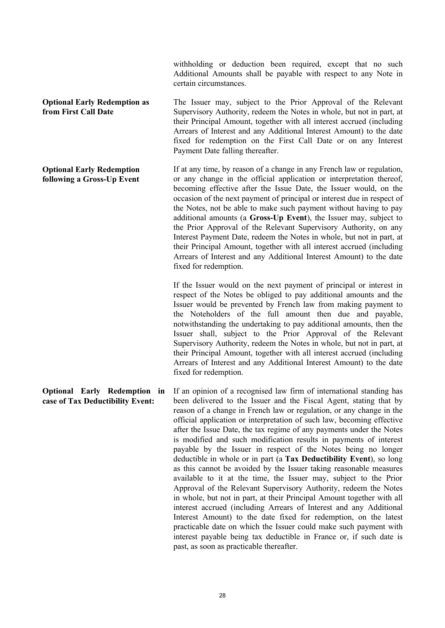withholding or deduction been required, except that no such Additional Amounts shall be payable with respect to any Note in certain circumstances.

**Optional Early Redemption as from First Call Date** The Issuer may, subject to the Prior Approval of the Relevant Supervisory Authority, redeem the Notes in whole, but not in part, at their Principal Amount, together with all interest accrued (including Arrears of Interest and any Additional Interest Amount) to the date fixed for redemption on the First Call Date or on any Interest Payment Date falling thereafter.

**Optional Early Redemption following a Gross-Up Event** If at any time, by reason of a change in any French law or regulation, or any change in the official application or interpretation thereof, becoming effective after the Issue Date, the Issuer would, on the occasion of the next payment of principal or interest due in respect of the Notes, not be able to make such payment without having to pay additional amounts (a **Gross-Up Event**), the Issuer may, subject to the Prior Approval of the Relevant Supervisory Authority, on any Interest Payment Date, redeem the Notes in whole, but not in part, at their Principal Amount, together with all interest accrued (including Arrears of Interest and any Additional Interest Amount) to the date fixed for redemption.

> If the Issuer would on the next payment of principal or interest in respect of the Notes be obliged to pay additional amounts and the Issuer would be prevented by French law from making payment to the Noteholders of the full amount then due and payable, notwithstanding the undertaking to pay additional amounts, then the Issuer shall, subject to the Prior Approval of the Relevant Supervisory Authority, redeem the Notes in whole, but not in part, at their Principal Amount, together with all interest accrued (including Arrears of Interest and any Additional Interest Amount) to the date fixed for redemption.

**Optional Early Redemption in case of Tax Deductibility Event:** If an opinion of a recognised law firm of international standing has been delivered to the Issuer and the Fiscal Agent, stating that by reason of a change in French law or regulation, or any change in the official application or interpretation of such law, becoming effective after the Issue Date, the tax regime of any payments under the Notes is modified and such modification results in payments of interest payable by the Issuer in respect of the Notes being no longer deductible in whole or in part (a **Tax Deductibility Event**), so long as this cannot be avoided by the Issuer taking reasonable measures available to it at the time, the Issuer may, subject to the Prior Approval of the Relevant Supervisory Authority, redeem the Notes in whole, but not in part, at their Principal Amount together with all interest accrued (including Arrears of Interest and any Additional Interest Amount) to the date fixed for redemption, on the latest practicable date on which the Issuer could make such payment with interest payable being tax deductible in France or, if such date is past, as soon as practicable thereafter.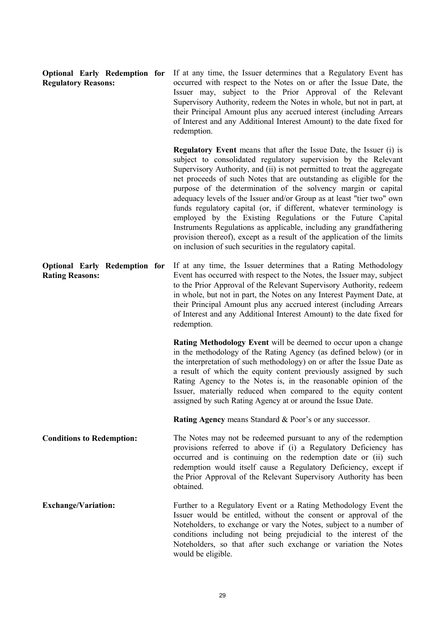| <b>Optional Early Redemption for</b><br><b>Regulatory Reasons:</b> | If at any time, the Issuer determines that a Regulatory Event has<br>occurred with respect to the Notes on or after the Issue Date, the<br>Issuer may, subject to the Prior Approval of the Relevant<br>Supervisory Authority, redeem the Notes in whole, but not in part, at<br>their Principal Amount plus any accrued interest (including Arrears<br>of Interest and any Additional Interest Amount) to the date fixed for<br>redemption.                                                                                                                                                                                                                                                                                                                                                   |
|--------------------------------------------------------------------|------------------------------------------------------------------------------------------------------------------------------------------------------------------------------------------------------------------------------------------------------------------------------------------------------------------------------------------------------------------------------------------------------------------------------------------------------------------------------------------------------------------------------------------------------------------------------------------------------------------------------------------------------------------------------------------------------------------------------------------------------------------------------------------------|
|                                                                    | <b>Regulatory Event</b> means that after the Issue Date, the Issuer (i) is<br>subject to consolidated regulatory supervision by the Relevant<br>Supervisory Authority, and (ii) is not permitted to treat the aggregate<br>net proceeds of such Notes that are outstanding as eligible for the<br>purpose of the determination of the solvency margin or capital<br>adequacy levels of the Issuer and/or Group as at least "tier two" own<br>funds regulatory capital (or, if different, whatever terminology is<br>employed by the Existing Regulations or the Future Capital<br>Instruments Regulations as applicable, including any grandfathering<br>provision thereof), except as a result of the application of the limits<br>on inclusion of such securities in the regulatory capital. |
| <b>Optional Early Redemption for</b><br><b>Rating Reasons:</b>     | If at any time, the Issuer determines that a Rating Methodology<br>Event has occurred with respect to the Notes, the Issuer may, subject<br>to the Prior Approval of the Relevant Supervisory Authority, redeem<br>in whole, but not in part, the Notes on any Interest Payment Date, at<br>their Principal Amount plus any accrued interest (including Arrears<br>of Interest and any Additional Interest Amount) to the date fixed for<br>redemption.                                                                                                                                                                                                                                                                                                                                        |
|                                                                    | Rating Methodology Event will be deemed to occur upon a change<br>in the methodology of the Rating Agency (as defined below) (or in<br>the interpretation of such methodology) on or after the Issue Date as<br>a result of which the equity content previously assigned by such<br>Rating Agency to the Notes is, in the reasonable opinion of the<br>Issuer, materially reduced when compared to the equity content<br>assigned by such Rating Agency at or around the Issue Date.                                                                                                                                                                                                                                                                                                           |
|                                                                    | <b>Rating Agency means Standard &amp; Poor's or any successor.</b>                                                                                                                                                                                                                                                                                                                                                                                                                                                                                                                                                                                                                                                                                                                             |
| <b>Conditions to Redemption:</b>                                   | The Notes may not be redeemed pursuant to any of the redemption<br>provisions referred to above if (i) a Regulatory Deficiency has<br>occurred and is continuing on the redemption date or (ii) such<br>redemption would itself cause a Regulatory Deficiency, except if<br>the Prior Approval of the Relevant Supervisory Authority has been<br>obtained.                                                                                                                                                                                                                                                                                                                                                                                                                                     |
| <b>Exchange/Variation:</b>                                         | Further to a Regulatory Event or a Rating Methodology Event the<br>Issuer would be entitled, without the consent or approval of the<br>Noteholders, to exchange or vary the Notes, subject to a number of<br>conditions including not being prejudicial to the interest of the<br>Noteholders, so that after such exchange or variation the Notes<br>would be eligible.                                                                                                                                                                                                                                                                                                                                                                                                                        |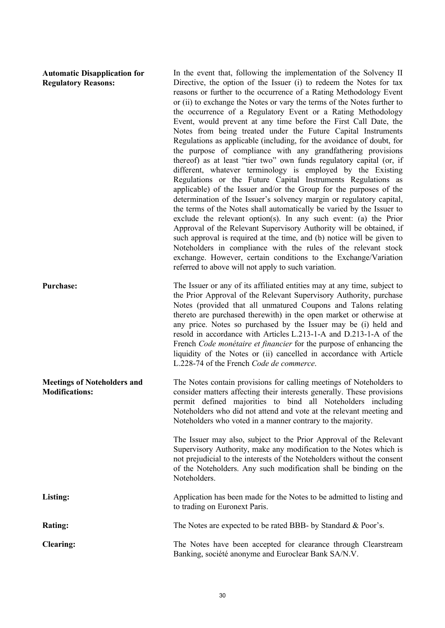**Automatic Disapplication for Regulatory Reasons:**

**Meetings of Noteholders and** 

**Modifications:**

In the event that, following the implementation of the Solvency II Directive, the option of the Issuer (i) to redeem the Notes for tax reasons or further to the occurrence of a Rating Methodology Event or (ii) to exchange the Notes or vary the terms of the Notes further to the occurrence of a Regulatory Event or a Rating Methodology Event, would prevent at any time before the First Call Date, the Notes from being treated under the Future Capital Instruments Regulations as applicable (including, for the avoidance of doubt, for the purpose of compliance with any grandfathering provisions thereof) as at least "tier two" own funds regulatory capital (or, if different, whatever terminology is employed by the Existing Regulations or the Future Capital Instruments Regulations as applicable) of the Issuer and/or the Group for the purposes of the determination of the Issuer's solvency margin or regulatory capital, the terms of the Notes shall automatically be varied by the Issuer to exclude the relevant option(s). In any such event: (a) the Prior Approval of the Relevant Supervisory Authority will be obtained, if such approval is required at the time, and (b) notice will be given to Noteholders in compliance with the rules of the relevant stock exchange. However, certain conditions to the Exchange/Variation referred to above will not apply to such variation.

**Purchase:** The Issuer or any of its affiliated entities may at any time, subject to the Prior Approval of the Relevant Supervisory Authority, purchase Notes (provided that all unmatured Coupons and Talons relating thereto are purchased therewith) in the open market or otherwise at any price. Notes so purchased by the Issuer may be (i) held and resold in accordance with Articles L.213-1-A and D.213-1-A of the French *Code monétaire et financier* for the purpose of enhancing the liquidity of the Notes or (ii) cancelled in accordance with Article L.228-74 of the French *Code de commerce*.

> The Notes contain provisions for calling meetings of Noteholders to consider matters affecting their interests generally. These provisions permit defined majorities to bind all Noteholders including Noteholders who did not attend and vote at the relevant meeting and Noteholders who voted in a manner contrary to the majority.

The Issuer may also, subject to the Prior Approval of the Relevant Supervisory Authority, make any modification to the Notes which is not prejudicial to the interests of the Noteholders without the consent of the Noteholders. Any such modification shall be binding on the Noteholders.

Listing: Application has been made for the Notes to be admitted to listing and to trading on Euronext Paris.

**Rating:** The Notes are expected to be rated BBB- by Standard & Poor's.

**Clearing:** The Notes have been accepted for clearance through Clearstream Banking, société anonyme and Euroclear Bank SA/N.V.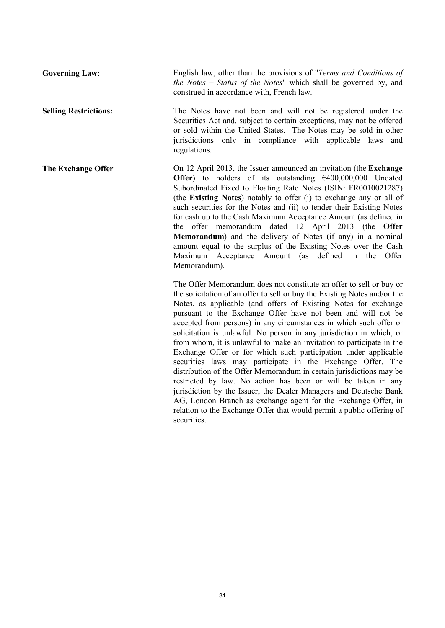**Governing Law:** English law, other than the provisions of "*Terms and Conditions of the Notes – Status of the Notes*" which shall be governed by, and construed in accordance with, French law. **Selling Restrictions:** The Notes have not been and will not be registered under the Securities Act and, subject to certain exceptions, may not be offered or sold within the United States. The Notes may be sold in other jurisdictions only in compliance with applicable laws and regulations. **The Exchange Offer** On 12 April 2013, the Issuer announced an invitation (the **Exchange Offer**) to holders of its outstanding €400,000,000 Undated Subordinated Fixed to Floating Rate Notes (ISIN: FR0010021287) (the **Existing Notes**) notably to offer (i) to exchange any or all of such securities for the Notes and (ii) to tender their Existing Notes for cash up to the Cash Maximum Acceptance Amount (as defined in the offer memorandum dated 12 April 2013 (the **Offer Memorandum**) and the delivery of Notes (if any) in a nominal amount equal to the surplus of the Existing Notes over the Cash Maximum Acceptance Amount (as defined in the Offer Memorandum). The Offer Memorandum does not constitute an offer to sell or buy or the solicitation of an offer to sell or buy the Existing Notes and/or the Notes, as applicable (and offers of Existing Notes for exchange pursuant to the Exchange Offer have not been and will not be

accepted from persons) in any circumstances in which such offer or solicitation is unlawful. No person in any jurisdiction in which, or from whom, it is unlawful to make an invitation to participate in the Exchange Offer or for which such participation under applicable securities laws may participate in the Exchange Offer. The distribution of the Offer Memorandum in certain jurisdictions may be restricted by law. No action has been or will be taken in any jurisdiction by the Issuer, the Dealer Managers and Deutsche Bank AG, London Branch as exchange agent for the Exchange Offer, in relation to the Exchange Offer that would permit a public offering of securities.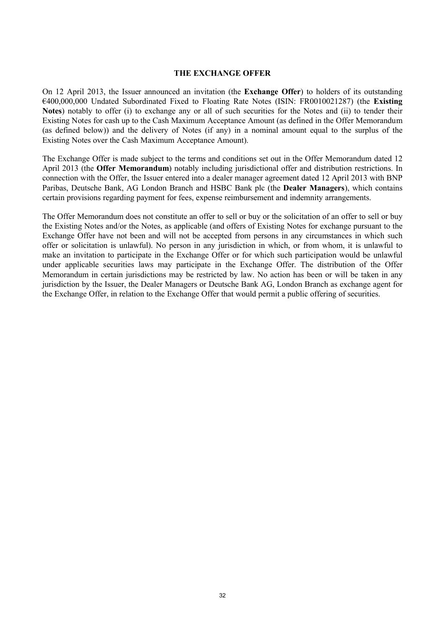#### **THE EXCHANGE OFFER**

On 12 April 2013, the Issuer announced an invitation (the **Exchange Offer**) to holders of its outstanding €400,000,000 Undated Subordinated Fixed to Floating Rate Notes (ISIN: FR0010021287) (the **Existing Notes**) notably to offer (i) to exchange any or all of such securities for the Notes and (ii) to tender their Existing Notes for cash up to the Cash Maximum Acceptance Amount (as defined in the Offer Memorandum (as defined below)) and the delivery of Notes (if any) in a nominal amount equal to the surplus of the Existing Notes over the Cash Maximum Acceptance Amount).

The Exchange Offer is made subject to the terms and conditions set out in the Offer Memorandum dated 12 April 2013 (the **Offer Memorandum**) notably including jurisdictional offer and distribution restrictions. In connection with the Offer, the Issuer entered into a dealer manager agreement dated 12 April 2013 with BNP Paribas, Deutsche Bank, AG London Branch and HSBC Bank plc (the **Dealer Managers**), which contains certain provisions regarding payment for fees, expense reimbursement and indemnity arrangements.

The Offer Memorandum does not constitute an offer to sell or buy or the solicitation of an offer to sell or buy the Existing Notes and/or the Notes, as applicable (and offers of Existing Notes for exchange pursuant to the Exchange Offer have not been and will not be accepted from persons in any circumstances in which such offer or solicitation is unlawful). No person in any jurisdiction in which, or from whom, it is unlawful to make an invitation to participate in the Exchange Offer or for which such participation would be unlawful under applicable securities laws may participate in the Exchange Offer. The distribution of the Offer Memorandum in certain jurisdictions may be restricted by law. No action has been or will be taken in any jurisdiction by the Issuer, the Dealer Managers or Deutsche Bank AG, London Branch as exchange agent for the Exchange Offer, in relation to the Exchange Offer that would permit a public offering of securities.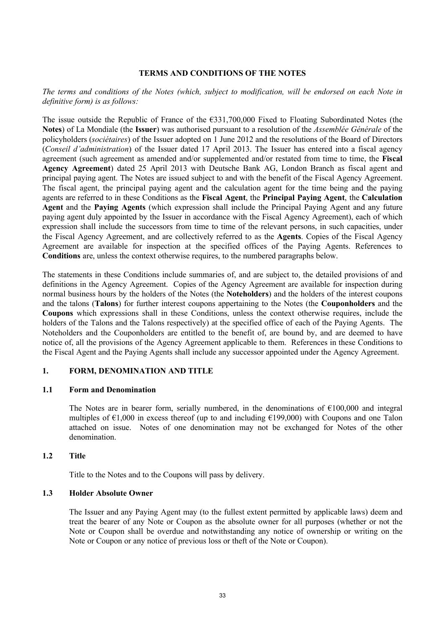### **TERMS AND CONDITIONS OF THE NOTES**

## *The terms and conditions of the Notes (which, subject to modification, will be endorsed on each Note in definitive form) is as follows:*

The issue outside the Republic of France of the €331,700,000 Fixed to Floating Subordinated Notes (the **Notes**) of La Mondiale (the **Issuer**) was authorised pursuant to a resolution of the *Assemblée Générale* of the policyholders (*sociétaires*) of the Issuer adopted on 1 June 2012 and the resolutions of the Board of Directors (*Conseil d'administration*) of the Issuer dated 17 April 2013. The Issuer has entered into a fiscal agency agreement (such agreement as amended and/or supplemented and/or restated from time to time, the **Fiscal Agency Agreement**) dated 25 April 2013 with Deutsche Bank AG, London Branch as fiscal agent and principal paying agent. The Notes are issued subject to and with the benefit of the Fiscal Agency Agreement. The fiscal agent, the principal paying agent and the calculation agent for the time being and the paying agents are referred to in these Conditions as the **Fiscal Agent**, the **Principal Paying Agent**, the **Calculation Agent** and the **Paying Agents** (which expression shall include the Principal Paying Agent and any future paying agent duly appointed by the Issuer in accordance with the Fiscal Agency Agreement), each of which expression shall include the successors from time to time of the relevant persons, in such capacities, under the Fiscal Agency Agreement, and are collectively referred to as the **Agents**. Copies of the Fiscal Agency Agreement are available for inspection at the specified offices of the Paying Agents. References to **Conditions** are, unless the context otherwise requires, to the numbered paragraphs below.

The statements in these Conditions include summaries of, and are subject to, the detailed provisions of and definitions in the Agency Agreement. Copies of the Agency Agreement are available for inspection during normal business hours by the holders of the Notes (the **Noteholders**) and the holders of the interest coupons and the talons (**Talons**) for further interest coupons appertaining to the Notes (the **Couponholders** and the **Coupons** which expressions shall in these Conditions, unless the context otherwise requires, include the holders of the Talons and the Talons respectively) at the specified office of each of the Paying Agents. The Noteholders and the Couponholders are entitled to the benefit of, are bound by, and are deemed to have notice of, all the provisions of the Agency Agreement applicable to them. References in these Conditions to the Fiscal Agent and the Paying Agents shall include any successor appointed under the Agency Agreement.

## **1. FORM, DENOMINATION AND TITLE**

#### **1.1 Form and Denomination**

The Notes are in bearer form, serially numbered, in the denominations of  $\epsilon$ 100,000 and integral multiples of  $\epsilon$ 1,000 in excess thereof (up to and including  $\epsilon$ 199,000) with Coupons and one Talon attached on issue. Notes of one denomination may not be exchanged for Notes of the other denomination.

#### **1.2 Title**

Title to the Notes and to the Coupons will pass by delivery.

#### **1.3 Holder Absolute Owner**

The Issuer and any Paying Agent may (to the fullest extent permitted by applicable laws) deem and treat the bearer of any Note or Coupon as the absolute owner for all purposes (whether or not the Note or Coupon shall be overdue and notwithstanding any notice of ownership or writing on the Note or Coupon or any notice of previous loss or theft of the Note or Coupon).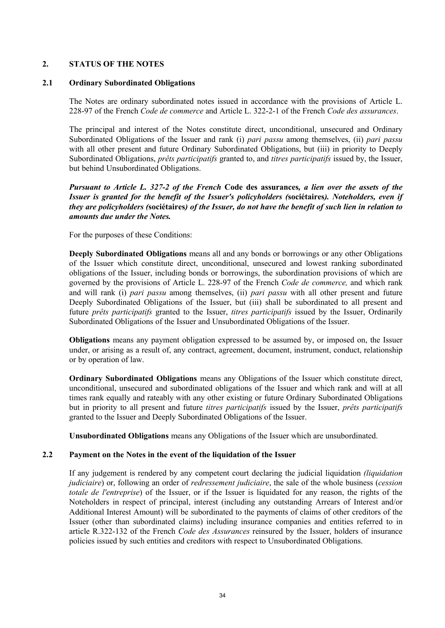## **2. STATUS OF THE NOTES**

## **2.1 Ordinary Subordinated Obligations**

The Notes are ordinary subordinated notes issued in accordance with the provisions of Article L. 228-97 of the French *Code de commerce* and Article L. 322-2-1 of the French *Code des assurances*.

The principal and interest of the Notes constitute direct, unconditional, unsecured and Ordinary Subordinated Obligations of the Issuer and rank (i) *pari passu* among themselves, (ii) *pari passu* with all other present and future Ordinary Subordinated Obligations, but (iii) in priority to Deeply Subordinated Obligations, *prêts participatifs* granted to, and *titres participatifs* issued by, the Issuer, but behind Unsubordinated Obligations.

*Pursuant to Article L. 327-2 of the French* **Code des assurances***, a lien over the assets of the Issuer is granted for the benefit of the Issuer's policyholders (***sociétaires***). Noteholders, even if they are policyholders (***sociétaires***) of the Issuer, do not have the benefit of such lien in relation to amounts due under the Notes.*

For the purposes of these Conditions:

**Deeply Subordinated Obligations** means all and any bonds or borrowings or any other Obligations of the Issuer which constitute direct, unconditional, unsecured and lowest ranking subordinated obligations of the Issuer, including bonds or borrowings, the subordination provisions of which are governed by the provisions of Article L. 228-97 of the French *Code de commerce,* and which rank and will rank (i) *pari passu* among themselves, (ii) *pari passu* with all other present and future Deeply Subordinated Obligations of the Issuer, but (iii) shall be subordinated to all present and future *prêts participatifs* granted to the Issuer, *titres participatifs* issued by the Issuer, Ordinarily Subordinated Obligations of the Issuer and Unsubordinated Obligations of the Issuer.

**Obligations** means any payment obligation expressed to be assumed by, or imposed on, the Issuer under, or arising as a result of, any contract, agreement, document, instrument, conduct, relationship or by operation of law.

**Ordinary Subordinated Obligations** means any Obligations of the Issuer which constitute direct, unconditional, unsecured and subordinated obligations of the Issuer and which rank and will at all times rank equally and rateably with any other existing or future Ordinary Subordinated Obligations but in priority to all present and future *titres participatifs* issued by the Issuer, *prêts participatifs* granted to the Issuer and Deeply Subordinated Obligations of the Issuer.

**Unsubordinated Obligations** means any Obligations of the Issuer which are unsubordinated.

## **2.2 Payment on the Notes in the event of the liquidation of the Issuer**

If any judgement is rendered by any competent court declaring the judicial liquidation *(liquidation judiciaire*) or, following an order of *redressement judiciaire*, the sale of the whole business (*cession totale de l'entreprise*) of the Issuer, or if the Issuer is liquidated for any reason, the rights of the Noteholders in respect of principal, interest (including any outstanding Arrears of Interest and/or Additional Interest Amount) will be subordinated to the payments of claims of other creditors of the Issuer (other than subordinated claims) including insurance companies and entities referred to in article R.322-132 of the French *Code des Assurances* reinsured by the Issuer, holders of insurance policies issued by such entities and creditors with respect to Unsubordinated Obligations.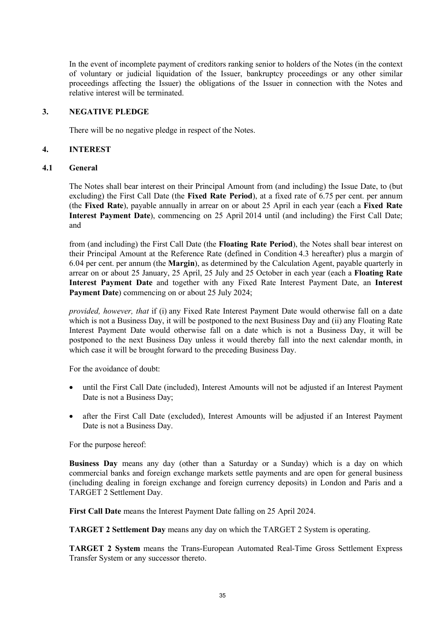In the event of incomplete payment of creditors ranking senior to holders of the Notes (in the context of voluntary or judicial liquidation of the Issuer, bankruptcy proceedings or any other similar proceedings affecting the Issuer) the obligations of the Issuer in connection with the Notes and relative interest will be terminated.

## **3. NEGATIVE PLEDGE**

There will be no negative pledge in respect of the Notes.

### **4. INTEREST**

### **4.1 General**

The Notes shall bear interest on their Principal Amount from (and including) the Issue Date, to (but excluding) the First Call Date (the **Fixed Rate Period**), at a fixed rate of 6.75 per cent. per annum (the **Fixed Rate**), payable annually in arrear on or about 25 April in each year (each a **Fixed Rate Interest Payment Date**), commencing on 25 April 2014 until (and including) the First Call Date; and

from (and including) the First Call Date (the **Floating Rate Period**), the Notes shall bear interest on their Principal Amount at the Reference Rate (defined in Condition 4.3 hereafter) plus a margin of 6.04 per cent. per annum (the **Margin**), as determined by the Calculation Agent, payable quarterly in arrear on or about 25 January, 25 April, 25 July and 25 October in each year (each a **Floating Rate Interest Payment Date** and together with any Fixed Rate Interest Payment Date, an **Interest**  Payment Date) commencing on or about 25 July 2024;

*provided, however, that* if (i) any Fixed Rate Interest Payment Date would otherwise fall on a date which is not a Business Day, it will be postponed to the next Business Day and (ii) any Floating Rate Interest Payment Date would otherwise fall on a date which is not a Business Day, it will be postponed to the next Business Day unless it would thereby fall into the next calendar month, in which case it will be brought forward to the preceding Business Day.

For the avoidance of doubt:

- until the First Call Date (included), Interest Amounts will not be adjusted if an Interest Payment Date is not a Business Day;
- · after the First Call Date (excluded), Interest Amounts will be adjusted if an Interest Payment Date is not a Business Day.

For the purpose hereof:

**Business Day** means any day (other than a Saturday or a Sunday) which is a day on which commercial banks and foreign exchange markets settle payments and are open for general business (including dealing in foreign exchange and foreign currency deposits) in London and Paris and a TARGET 2 Settlement Day.

**First Call Date** means the Interest Payment Date falling on 25 April 2024.

**TARGET 2 Settlement Day** means any day on which the TARGET 2 System is operating.

**TARGET 2 System** means the Trans-European Automated Real-Time Gross Settlement Express Transfer System or any successor thereto.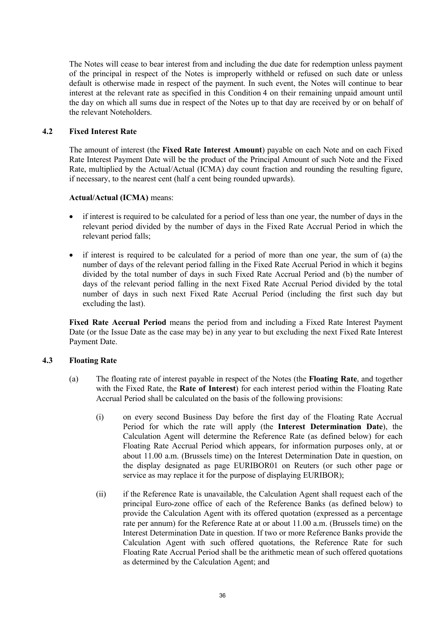The Notes will cease to bear interest from and including the due date for redemption unless payment of the principal in respect of the Notes is improperly withheld or refused on such date or unless default is otherwise made in respect of the payment. In such event, the Notes will continue to bear interest at the relevant rate as specified in this Condition 4 on their remaining unpaid amount until the day on which all sums due in respect of the Notes up to that day are received by or on behalf of the relevant Noteholders.

## **4.2 Fixed Interest Rate**

The amount of interest (the **Fixed Rate Interest Amount**) payable on each Note and on each Fixed Rate Interest Payment Date will be the product of the Principal Amount of such Note and the Fixed Rate, multiplied by the Actual/Actual (ICMA) day count fraction and rounding the resulting figure, if necessary, to the nearest cent (half a cent being rounded upwards).

### **Actual/Actual (ICMA)** means:

- if interest is required to be calculated for a period of less than one year, the number of days in the relevant period divided by the number of days in the Fixed Rate Accrual Period in which the relevant period falls;
- if interest is required to be calculated for a period of more than one year, the sum of (a) the number of days of the relevant period falling in the Fixed Rate Accrual Period in which it begins divided by the total number of days in such Fixed Rate Accrual Period and (b) the number of days of the relevant period falling in the next Fixed Rate Accrual Period divided by the total number of days in such next Fixed Rate Accrual Period (including the first such day but excluding the last).

**Fixed Rate Accrual Period** means the period from and including a Fixed Rate Interest Payment Date (or the Issue Date as the case may be) in any year to but excluding the next Fixed Rate Interest Payment Date.

## **4.3 Floating Rate**

- (a) The floating rate of interest payable in respect of the Notes (the **Floating Rate**, and together with the Fixed Rate, the **Rate of Interest**) for each interest period within the Floating Rate Accrual Period shall be calculated on the basis of the following provisions:
	- (i) on every second Business Day before the first day of the Floating Rate Accrual Period for which the rate will apply (the **Interest Determination Date**), the Calculation Agent will determine the Reference Rate (as defined below) for each Floating Rate Accrual Period which appears, for information purposes only, at or about 11.00 a.m. (Brussels time) on the Interest Determination Date in question, on the display designated as page EURIBOR01 on Reuters (or such other page or service as may replace it for the purpose of displaying EURIBOR);
	- (ii) if the Reference Rate is unavailable, the Calculation Agent shall request each of the principal Euro-zone office of each of the Reference Banks (as defined below) to provide the Calculation Agent with its offered quotation (expressed as a percentage rate per annum) for the Reference Rate at or about 11.00 a.m. (Brussels time) on the Interest Determination Date in question. If two or more Reference Banks provide the Calculation Agent with such offered quotations, the Reference Rate for such Floating Rate Accrual Period shall be the arithmetic mean of such offered quotations as determined by the Calculation Agent; and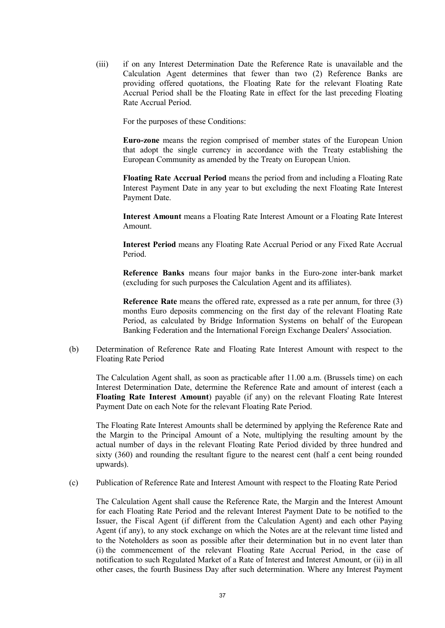(iii) if on any Interest Determination Date the Reference Rate is unavailable and the Calculation Agent determines that fewer than two (2) Reference Banks are providing offered quotations, the Floating Rate for the relevant Floating Rate Accrual Period shall be the Floating Rate in effect for the last preceding Floating Rate Accrual Period.

For the purposes of these Conditions:

**Euro-zone** means the region comprised of member states of the European Union that adopt the single currency in accordance with the Treaty establishing the European Community as amended by the Treaty on European Union.

**Floating Rate Accrual Period** means the period from and including a Floating Rate Interest Payment Date in any year to but excluding the next Floating Rate Interest Payment Date.

**Interest Amount** means a Floating Rate Interest Amount or a Floating Rate Interest Amount.

**Interest Period** means any Floating Rate Accrual Period or any Fixed Rate Accrual Period.

**Reference Banks** means four major banks in the Euro-zone inter-bank market (excluding for such purposes the Calculation Agent and its affiliates).

**Reference Rate** means the offered rate, expressed as a rate per annum, for three (3) months Euro deposits commencing on the first day of the relevant Floating Rate Period, as calculated by Bridge Information Systems on behalf of the European Banking Federation and the International Foreign Exchange Dealers' Association.

(b) Determination of Reference Rate and Floating Rate Interest Amount with respect to the Floating Rate Period

The Calculation Agent shall, as soon as practicable after 11.00 a.m. (Brussels time) on each Interest Determination Date, determine the Reference Rate and amount of interest (each a **Floating Rate Interest Amount**) payable (if any) on the relevant Floating Rate Interest Payment Date on each Note for the relevant Floating Rate Period.

The Floating Rate Interest Amounts shall be determined by applying the Reference Rate and the Margin to the Principal Amount of a Note, multiplying the resulting amount by the actual number of days in the relevant Floating Rate Period divided by three hundred and sixty (360) and rounding the resultant figure to the nearest cent (half a cent being rounded upwards).

(c) Publication of Reference Rate and Interest Amount with respect to the Floating Rate Period

The Calculation Agent shall cause the Reference Rate, the Margin and the Interest Amount for each Floating Rate Period and the relevant Interest Payment Date to be notified to the Issuer, the Fiscal Agent (if different from the Calculation Agent) and each other Paying Agent (if any), to any stock exchange on which the Notes are at the relevant time listed and to the Noteholders as soon as possible after their determination but in no event later than (i) the commencement of the relevant Floating Rate Accrual Period, in the case of notification to such Regulated Market of a Rate of Interest and Interest Amount, or (ii) in all other cases, the fourth Business Day after such determination. Where any Interest Payment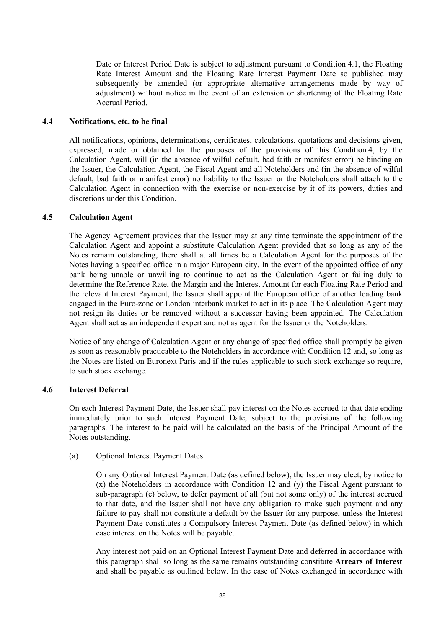Date or Interest Period Date is subject to adjustment pursuant to Condition 4.1, the Floating Rate Interest Amount and the Floating Rate Interest Payment Date so published may subsequently be amended (or appropriate alternative arrangements made by way of adjustment) without notice in the event of an extension or shortening of the Floating Rate Accrual Period.

#### **4.4 Notifications, etc. to be final**

All notifications, opinions, determinations, certificates, calculations, quotations and decisions given, expressed, made or obtained for the purposes of the provisions of this Condition 4, by the Calculation Agent, will (in the absence of wilful default, bad faith or manifest error) be binding on the Issuer, the Calculation Agent, the Fiscal Agent and all Noteholders and (in the absence of wilful default, bad faith or manifest error) no liability to the Issuer or the Noteholders shall attach to the Calculation Agent in connection with the exercise or non-exercise by it of its powers, duties and discretions under this Condition.

### **4.5 Calculation Agent**

The Agency Agreement provides that the Issuer may at any time terminate the appointment of the Calculation Agent and appoint a substitute Calculation Agent provided that so long as any of the Notes remain outstanding, there shall at all times be a Calculation Agent for the purposes of the Notes having a specified office in a major European city. In the event of the appointed office of any bank being unable or unwilling to continue to act as the Calculation Agent or failing duly to determine the Reference Rate, the Margin and the Interest Amount for each Floating Rate Period and the relevant Interest Payment, the Issuer shall appoint the European office of another leading bank engaged in the Euro-zone or London interbank market to act in its place. The Calculation Agent may not resign its duties or be removed without a successor having been appointed. The Calculation Agent shall act as an independent expert and not as agent for the Issuer or the Noteholders.

Notice of any change of Calculation Agent or any change of specified office shall promptly be given as soon as reasonably practicable to the Noteholders in accordance with Condition 12 and, so long as the Notes are listed on Euronext Paris and if the rules applicable to such stock exchange so require, to such stock exchange.

### **4.6 Interest Deferral**

On each Interest Payment Date, the Issuer shall pay interest on the Notes accrued to that date ending immediately prior to such Interest Payment Date, subject to the provisions of the following paragraphs. The interest to be paid will be calculated on the basis of the Principal Amount of the Notes outstanding.

### (a) Optional Interest Payment Dates

On any Optional Interest Payment Date (as defined below), the Issuer may elect, by notice to (x) the Noteholders in accordance with Condition 12 and (y) the Fiscal Agent pursuant to sub-paragraph (e) below, to defer payment of all (but not some only) of the interest accrued to that date, and the Issuer shall not have any obligation to make such payment and any failure to pay shall not constitute a default by the Issuer for any purpose, unless the Interest Payment Date constitutes a Compulsory Interest Payment Date (as defined below) in which case interest on the Notes will be payable.

Any interest not paid on an Optional Interest Payment Date and deferred in accordance with this paragraph shall so long as the same remains outstanding constitute **Arrears of Interest** and shall be payable as outlined below. In the case of Notes exchanged in accordance with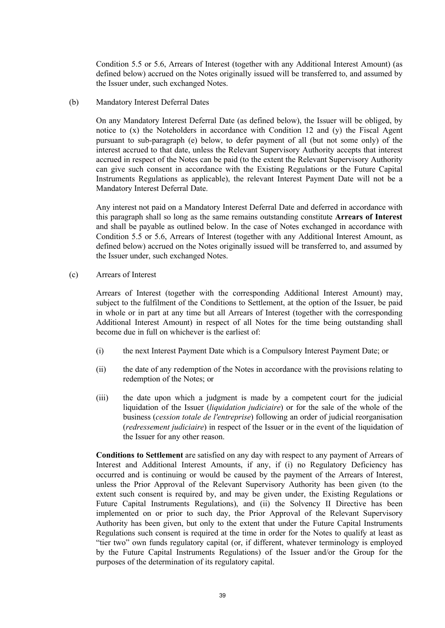Condition 5.5 or 5.6, Arrears of Interest (together with any Additional Interest Amount) (as defined below) accrued on the Notes originally issued will be transferred to, and assumed by the Issuer under, such exchanged Notes.

(b) Mandatory Interest Deferral Dates

On any Mandatory Interest Deferral Date (as defined below), the Issuer will be obliged, by notice to (x) the Noteholders in accordance with Condition 12 and (y) the Fiscal Agent pursuant to sub-paragraph (e) below, to defer payment of all (but not some only) of the interest accrued to that date, unless the Relevant Supervisory Authority accepts that interest accrued in respect of the Notes can be paid (to the extent the Relevant Supervisory Authority can give such consent in accordance with the Existing Regulations or the Future Capital Instruments Regulations as applicable), the relevant Interest Payment Date will not be a Mandatory Interest Deferral Date.

Any interest not paid on a Mandatory Interest Deferral Date and deferred in accordance with this paragraph shall so long as the same remains outstanding constitute **Arrears of Interest** and shall be payable as outlined below. In the case of Notes exchanged in accordance with Condition 5.5 or 5.6, Arrears of Interest (together with any Additional Interest Amount, as defined below) accrued on the Notes originally issued will be transferred to, and assumed by the Issuer under, such exchanged Notes.

(c) Arrears of Interest

Arrears of Interest (together with the corresponding Additional Interest Amount) may, subject to the fulfilment of the Conditions to Settlement, at the option of the Issuer, be paid in whole or in part at any time but all Arrears of Interest (together with the corresponding Additional Interest Amount) in respect of all Notes for the time being outstanding shall become due in full on whichever is the earliest of:

- (i) the next Interest Payment Date which is a Compulsory Interest Payment Date; or
- (ii) the date of any redemption of the Notes in accordance with the provisions relating to redemption of the Notes; or
- (iii) the date upon which a judgment is made by a competent court for the judicial liquidation of the Issuer (*liquidation judiciaire*) or for the sale of the whole of the business (*cession totale de l'entreprise*) following an order of judicial reorganisation (*redressement judiciaire*) in respect of the Issuer or in the event of the liquidation of the Issuer for any other reason.

**Conditions to Settlement** are satisfied on any day with respect to any payment of Arrears of Interest and Additional Interest Amounts, if any, if (i) no Regulatory Deficiency has occurred and is continuing or would be caused by the payment of the Arrears of Interest, unless the Prior Approval of the Relevant Supervisory Authority has been given (to the extent such consent is required by, and may be given under, the Existing Regulations or Future Capital Instruments Regulations), and (ii) the Solvency II Directive has been implemented on or prior to such day, the Prior Approval of the Relevant Supervisory Authority has been given, but only to the extent that under the Future Capital Instruments Regulations such consent is required at the time in order for the Notes to qualify at least as "tier two" own funds regulatory capital (or, if different, whatever terminology is employed by the Future Capital Instruments Regulations) of the Issuer and/or the Group for the purposes of the determination of its regulatory capital.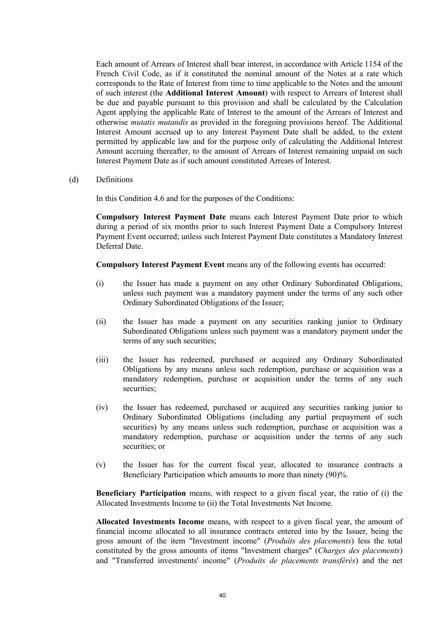Each amount of Arrears of Interest shall bear interest, in accordance with Article 1154 of the French Civil Code, as if it constituted the nominal amount of the Notes at a rate which corresponds to the Rate of Interest from time to time applicable to the Notes and the amount of such interest (the **Additional Interest Amount**) with respect to Arrears of Interest shall be due and payable pursuant to this provision and shall be calculated by the Calculation Agent applying the applicable Rate of Interest to the amount of the Arrears of Interest and otherwise *mutatis mutandis* as provided in the foregoing provisions hereof. The Additional Interest Amount accrued up to any Interest Payment Date shall be added, to the extent permitted by applicable law and for the purpose only of calculating the Additional Interest Amount accruing thereafter, to the amount of Arrears of Interest remaining unpaid on such Interest Payment Date as if such amount constituted Arrears of Interest.

(d) Definitions

In this Condition 4.6 and for the purposes of the Conditions:

**Compulsory Interest Payment Date** means each Interest Payment Date prior to which during a period of six months prior to such Interest Payment Date a Compulsory Interest Payment Event occurred; unless such Interest Payment Date constitutes a Mandatory Interest Deferral Date.

**Compulsory Interest Payment Event** means any of the following events has occurred:

- (i) the Issuer has made a payment on any other Ordinary Subordinated Obligations, unless such payment was a mandatory payment under the terms of any such other Ordinary Subordinated Obligations of the Issuer;
- (ii) the Issuer has made a payment on any securities ranking junior to Ordinary Subordinated Obligations unless such payment was a mandatory payment under the terms of any such securities;
- (iii) the Issuer has redeemed, purchased or acquired any Ordinary Subordinated Obligations by any means unless such redemption, purchase or acquisition was a mandatory redemption, purchase or acquisition under the terms of any such securities;
- (iv) the Issuer has redeemed, purchased or acquired any securities ranking junior to Ordinary Subordinated Obligations (including any partial prepayment of such securities) by any means unless such redemption, purchase or acquisition was a mandatory redemption, purchase or acquisition under the terms of any such securities; or
- (v) the Issuer has for the current fiscal year, allocated to insurance contracts a Beneficiary Participation which amounts to more than ninety (90)%.

**Beneficiary Participation** means, with respect to a given fiscal year, the ratio of (i) the Allocated Investments Income to (ii) the Total Investments Net Income.

**Allocated Investments Income** means, with respect to a given fiscal year, the amount of financial income allocated to all insurance contracts entered into by the Issuer, being the gross amount of the item "Investment income" (*Produits des placements*) less the total constituted by the gross amounts of items "Investment charges" (*Charges des placements*) and "Transferred investments' income" (*Produits de placements transférés*) and the net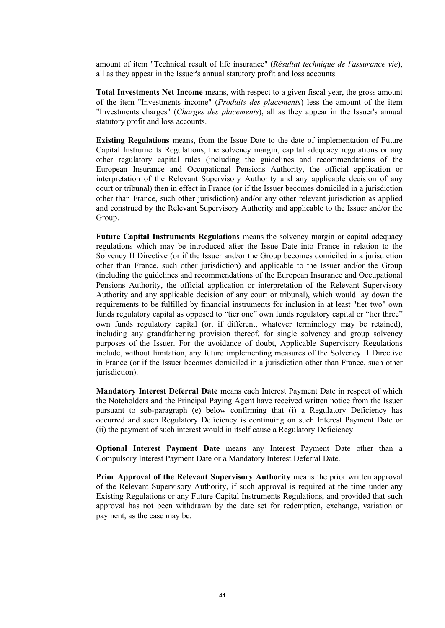amount of item "Technical result of life insurance" (*Résultat technique de l'assurance vie*), all as they appear in the Issuer's annual statutory profit and loss accounts.

**Total Investments Net Income** means, with respect to a given fiscal year, the gross amount of the item "Investments income" (*Produits des placements*) less the amount of the item "Investments charges" (*Charges des placements*), all as they appear in the Issuer's annual statutory profit and loss accounts.

**Existing Regulations** means, from the Issue Date to the date of implementation of Future Capital Instruments Regulations, the solvency margin, capital adequacy regulations or any other regulatory capital rules (including the guidelines and recommendations of the European Insurance and Occupational Pensions Authority, the official application or interpretation of the Relevant Supervisory Authority and any applicable decision of any court or tribunal) then in effect in France (or if the Issuer becomes domiciled in a jurisdiction other than France, such other jurisdiction) and/or any other relevant jurisdiction as applied and construed by the Relevant Supervisory Authority and applicable to the Issuer and/or the Group.

**Future Capital Instruments Regulations** means the solvency margin or capital adequacy regulations which may be introduced after the Issue Date into France in relation to the Solvency II Directive (or if the Issuer and/or the Group becomes domiciled in a jurisdiction other than France, such other jurisdiction) and applicable to the Issuer and/or the Group (including the guidelines and recommendations of the European Insurance and Occupational Pensions Authority, the official application or interpretation of the Relevant Supervisory Authority and any applicable decision of any court or tribunal), which would lay down the requirements to be fulfilled by financial instruments for inclusion in at least "tier two" own funds regulatory capital as opposed to "tier one" own funds regulatory capital or "tier three" own funds regulatory capital (or, if different, whatever terminology may be retained), including any grandfathering provision thereof, for single solvency and group solvency purposes of the Issuer. For the avoidance of doubt, Applicable Supervisory Regulations include, without limitation, any future implementing measures of the Solvency II Directive in France (or if the Issuer becomes domiciled in a jurisdiction other than France, such other jurisdiction).

**Mandatory Interest Deferral Date** means each Interest Payment Date in respect of which the Noteholders and the Principal Paying Agent have received written notice from the Issuer pursuant to sub-paragraph (e) below confirming that (i) a Regulatory Deficiency has occurred and such Regulatory Deficiency is continuing on such Interest Payment Date or (ii) the payment of such interest would in itself cause a Regulatory Deficiency.

**Optional Interest Payment Date** means any Interest Payment Date other than a Compulsory Interest Payment Date or a Mandatory Interest Deferral Date.

**Prior Approval of the Relevant Supervisory Authority** means the prior written approval of the Relevant Supervisory Authority, if such approval is required at the time under any Existing Regulations or any Future Capital Instruments Regulations, and provided that such approval has not been withdrawn by the date set for redemption, exchange, variation or payment, as the case may be.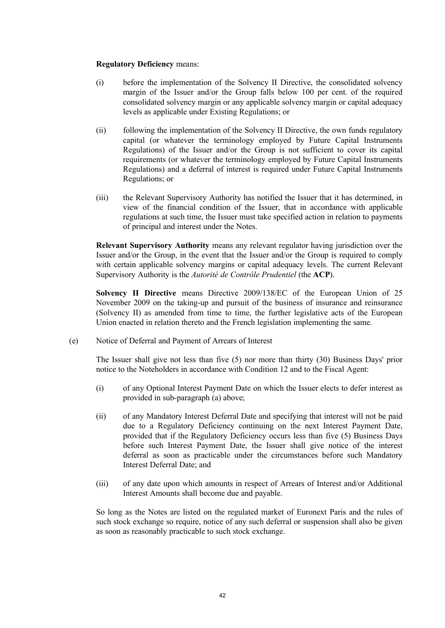### **Regulatory Deficiency** means:

- (i) before the implementation of the Solvency II Directive, the consolidated solvency margin of the Issuer and/or the Group falls below 100 per cent. of the required consolidated solvency margin or any applicable solvency margin or capital adequacy levels as applicable under Existing Regulations; or
- (ii) following the implementation of the Solvency II Directive, the own funds regulatory capital (or whatever the terminology employed by Future Capital Instruments Regulations) of the Issuer and/or the Group is not sufficient to cover its capital requirements (or whatever the terminology employed by Future Capital Instruments Regulations) and a deferral of interest is required under Future Capital Instruments Regulations; or
- (iii) the Relevant Supervisory Authority has notified the Issuer that it has determined, in view of the financial condition of the Issuer, that in accordance with applicable regulations at such time, the Issuer must take specified action in relation to payments of principal and interest under the Notes.

**Relevant Supervisory Authority** means any relevant regulator having jurisdiction over the Issuer and/or the Group, in the event that the Issuer and/or the Group is required to comply with certain applicable solvency margins or capital adequacy levels. The current Relevant Supervisory Authority is the *Autorité de Contrôle Prudentiel* (the **ACP**).

**Solvency II Directive** means Directive 2009/138/EC of the European Union of 25 November 2009 on the taking-up and pursuit of the business of insurance and reinsurance (Solvency II) as amended from time to time, the further legislative acts of the European Union enacted in relation thereto and the French legislation implementing the same.

(e) Notice of Deferral and Payment of Arrears of Interest

The Issuer shall give not less than five (5) nor more than thirty (30) Business Days' prior notice to the Noteholders in accordance with Condition 12 and to the Fiscal Agent:

- (i) of any Optional Interest Payment Date on which the Issuer elects to defer interest as provided in sub-paragraph (a) above;
- (ii) of any Mandatory Interest Deferral Date and specifying that interest will not be paid due to a Regulatory Deficiency continuing on the next Interest Payment Date, provided that if the Regulatory Deficiency occurs less than five (5) Business Days before such Interest Payment Date, the Issuer shall give notice of the interest deferral as soon as practicable under the circumstances before such Mandatory Interest Deferral Date; and
- (iii) of any date upon which amounts in respect of Arrears of Interest and/or Additional Interest Amounts shall become due and payable.

So long as the Notes are listed on the regulated market of Euronext Paris and the rules of such stock exchange so require, notice of any such deferral or suspension shall also be given as soon as reasonably practicable to such stock exchange.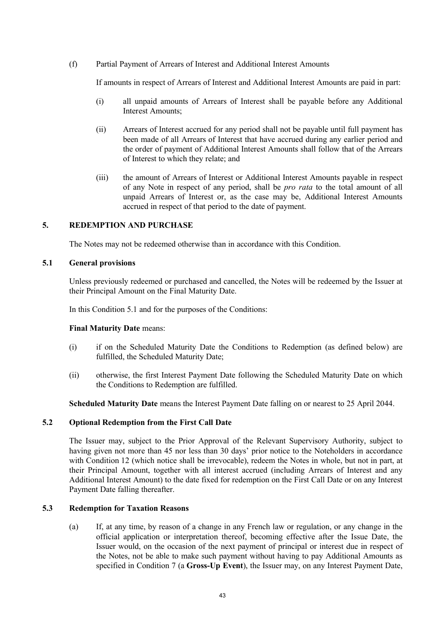(f) Partial Payment of Arrears of Interest and Additional Interest Amounts

If amounts in respect of Arrears of Interest and Additional Interest Amounts are paid in part:

- (i) all unpaid amounts of Arrears of Interest shall be payable before any Additional Interest Amounts;
- (ii) Arrears of Interest accrued for any period shall not be payable until full payment has been made of all Arrears of Interest that have accrued during any earlier period and the order of payment of Additional Interest Amounts shall follow that of the Arrears of Interest to which they relate; and
- (iii) the amount of Arrears of Interest or Additional Interest Amounts payable in respect of any Note in respect of any period, shall be *pro rata* to the total amount of all unpaid Arrears of Interest or, as the case may be, Additional Interest Amounts accrued in respect of that period to the date of payment.

# **5. REDEMPTION AND PURCHASE**

The Notes may not be redeemed otherwise than in accordance with this Condition.

## **5.1 General provisions**

Unless previously redeemed or purchased and cancelled, the Notes will be redeemed by the Issuer at their Principal Amount on the Final Maturity Date.

In this Condition 5.1 and for the purposes of the Conditions:

### **Final Maturity Date** means:

- (i) if on the Scheduled Maturity Date the Conditions to Redemption (as defined below) are fulfilled, the Scheduled Maturity Date;
- (ii) otherwise, the first Interest Payment Date following the Scheduled Maturity Date on which the Conditions to Redemption are fulfilled.

**Scheduled Maturity Date** means the Interest Payment Date falling on or nearest to 25 April 2044.

### **5.2 Optional Redemption from the First Call Date**

The Issuer may, subject to the Prior Approval of the Relevant Supervisory Authority, subject to having given not more than 45 nor less than 30 days' prior notice to the Noteholders in accordance with Condition 12 (which notice shall be irrevocable), redeem the Notes in whole, but not in part, at their Principal Amount, together with all interest accrued (including Arrears of Interest and any Additional Interest Amount) to the date fixed for redemption on the First Call Date or on any Interest Payment Date falling thereafter.

# **5.3 Redemption for Taxation Reasons**

(a) If, at any time, by reason of a change in any French law or regulation, or any change in the official application or interpretation thereof, becoming effective after the Issue Date, the Issuer would, on the occasion of the next payment of principal or interest due in respect of the Notes, not be able to make such payment without having to pay Additional Amounts as specified in Condition 7 (a **Gross-Up Event**), the Issuer may, on any Interest Payment Date,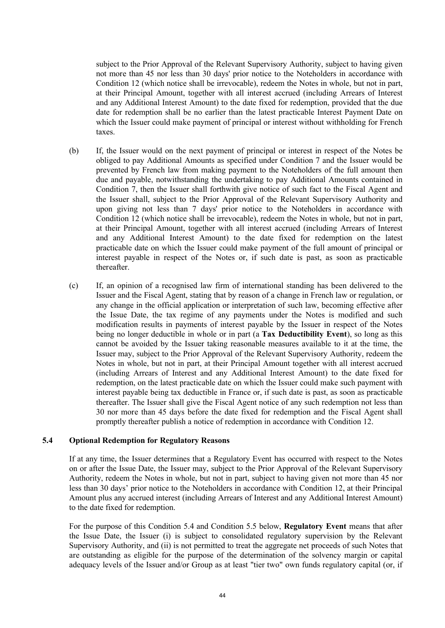subject to the Prior Approval of the Relevant Supervisory Authority, subject to having given not more than 45 nor less than 30 days' prior notice to the Noteholders in accordance with Condition 12 (which notice shall be irrevocable), redeem the Notes in whole, but not in part, at their Principal Amount, together with all interest accrued (including Arrears of Interest and any Additional Interest Amount) to the date fixed for redemption, provided that the due date for redemption shall be no earlier than the latest practicable Interest Payment Date on which the Issuer could make payment of principal or interest without withholding for French taxes.

- (b) If, the Issuer would on the next payment of principal or interest in respect of the Notes be obliged to pay Additional Amounts as specified under Condition 7 and the Issuer would be prevented by French law from making payment to the Noteholders of the full amount then due and payable, notwithstanding the undertaking to pay Additional Amounts contained in Condition 7, then the Issuer shall forthwith give notice of such fact to the Fiscal Agent and the Issuer shall, subject to the Prior Approval of the Relevant Supervisory Authority and upon giving not less than 7 days' prior notice to the Noteholders in accordance with Condition 12 (which notice shall be irrevocable), redeem the Notes in whole, but not in part, at their Principal Amount, together with all interest accrued (including Arrears of Interest and any Additional Interest Amount) to the date fixed for redemption on the latest practicable date on which the Issuer could make payment of the full amount of principal or interest payable in respect of the Notes or, if such date is past, as soon as practicable thereafter.
- (c) If, an opinion of a recognised law firm of international standing has been delivered to the Issuer and the Fiscal Agent, stating that by reason of a change in French law or regulation, or any change in the official application or interpretation of such law, becoming effective after the Issue Date, the tax regime of any payments under the Notes is modified and such modification results in payments of interest payable by the Issuer in respect of the Notes being no longer deductible in whole or in part (a **Tax Deductibility Event**), so long as this cannot be avoided by the Issuer taking reasonable measures available to it at the time, the Issuer may, subject to the Prior Approval of the Relevant Supervisory Authority, redeem the Notes in whole, but not in part, at their Principal Amount together with all interest accrued (including Arrears of Interest and any Additional Interest Amount) to the date fixed for redemption, on the latest practicable date on which the Issuer could make such payment with interest payable being tax deductible in France or, if such date is past, as soon as practicable thereafter. The Issuer shall give the Fiscal Agent notice of any such redemption not less than 30 nor more than 45 days before the date fixed for redemption and the Fiscal Agent shall promptly thereafter publish a notice of redemption in accordance with Condition 12.

#### **5.4 Optional Redemption for Regulatory Reasons**

If at any time, the Issuer determines that a Regulatory Event has occurred with respect to the Notes on or after the Issue Date, the Issuer may, subject to the Prior Approval of the Relevant Supervisory Authority, redeem the Notes in whole, but not in part, subject to having given not more than 45 nor less than 30 days' prior notice to the Noteholders in accordance with Condition 12, at their Principal Amount plus any accrued interest (including Arrears of Interest and any Additional Interest Amount) to the date fixed for redemption.

For the purpose of this Condition 5.4 and Condition 5.5 below, **Regulatory Event** means that after the Issue Date, the Issuer (i) is subject to consolidated regulatory supervision by the Relevant Supervisory Authority, and (ii) is not permitted to treat the aggregate net proceeds of such Notes that are outstanding as eligible for the purpose of the determination of the solvency margin or capital adequacy levels of the Issuer and/or Group as at least "tier two" own funds regulatory capital (or, if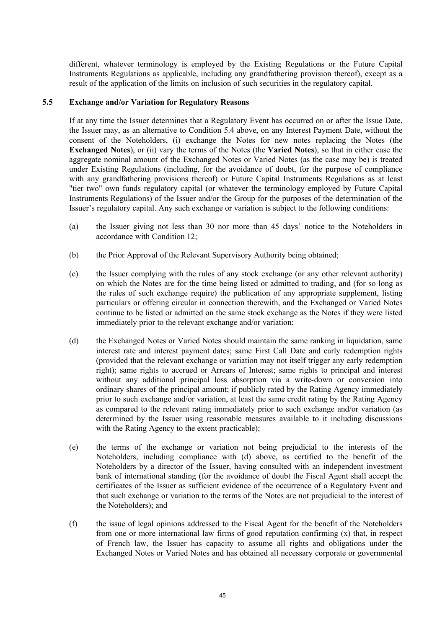different, whatever terminology is employed by the Existing Regulations or the Future Capital Instruments Regulations as applicable, including any grandfathering provision thereof), except as a result of the application of the limits on inclusion of such securities in the regulatory capital.

## **5.5 Exchange and/or Variation for Regulatory Reasons**

If at any time the Issuer determines that a Regulatory Event has occurred on or after the Issue Date, the Issuer may, as an alternative to Condition 5.4 above, on any Interest Payment Date, without the consent of the Noteholders, (i) exchange the Notes for new notes replacing the Notes (the **Exchanged Notes**), or (ii) vary the terms of the Notes (the **Varied Notes**), so that in either case the aggregate nominal amount of the Exchanged Notes or Varied Notes (as the case may be) is treated under Existing Regulations (including, for the avoidance of doubt, for the purpose of compliance with any grandfathering provisions thereof) or Future Capital Instruments Regulations as at least "tier two" own funds regulatory capital (or whatever the terminology employed by Future Capital Instruments Regulations) of the Issuer and/or the Group for the purposes of the determination of the Issuer's regulatory capital. Any such exchange or variation is subject to the following conditions:

- (a) the Issuer giving not less than 30 nor more than 45 days' notice to the Noteholders in accordance with Condition 12;
- (b) the Prior Approval of the Relevant Supervisory Authority being obtained;
- (c) the Issuer complying with the rules of any stock exchange (or any other relevant authority) on which the Notes are for the time being listed or admitted to trading, and (for so long as the rules of such exchange require) the publication of any appropriate supplement, listing particulars or offering circular in connection therewith, and the Exchanged or Varied Notes continue to be listed or admitted on the same stock exchange as the Notes if they were listed immediately prior to the relevant exchange and/or variation;
- (d) the Exchanged Notes or Varied Notes should maintain the same ranking in liquidation, same interest rate and interest payment dates; same First Call Date and early redemption rights (provided that the relevant exchange or variation may not itself trigger any early redemption right); same rights to accrued or Arrears of Interest; same rights to principal and interest without any additional principal loss absorption via a write-down or conversion into ordinary shares of the principal amount; if publicly rated by the Rating Agency immediately prior to such exchange and/or variation, at least the same credit rating by the Rating Agency as compared to the relevant rating immediately prior to such exchange and/or variation (as determined by the Issuer using reasonable measures available to it including discussions with the Rating Agency to the extent practicable);
- (e) the terms of the exchange or variation not being prejudicial to the interests of the Noteholders, including compliance with (d) above, as certified to the benefit of the Noteholders by a director of the Issuer, having consulted with an independent investment bank of international standing (for the avoidance of doubt the Fiscal Agent shall accept the certificates of the Issuer as sufficient evidence of the occurrence of a Regulatory Event and that such exchange or variation to the terms of the Notes are not prejudicial to the interest of the Noteholders); and
- (f) the issue of legal opinions addressed to the Fiscal Agent for the benefit of the Noteholders from one or more international law firms of good reputation confirming (x) that, in respect of French law, the Issuer has capacity to assume all rights and obligations under the Exchanged Notes or Varied Notes and has obtained all necessary corporate or governmental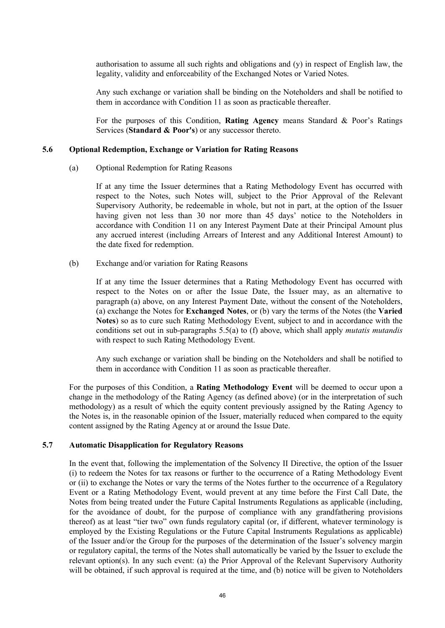authorisation to assume all such rights and obligations and (y) in respect of English law, the legality, validity and enforceability of the Exchanged Notes or Varied Notes.

Any such exchange or variation shall be binding on the Noteholders and shall be notified to them in accordance with Condition 11 as soon as practicable thereafter.

For the purposes of this Condition, **Rating Agency** means Standard & Poor's Ratings Services (**Standard & Poor's**) or any successor thereto.

#### **5.6 Optional Redemption, Exchange or Variation for Rating Reasons**

(a) Optional Redemption for Rating Reasons

If at any time the Issuer determines that a Rating Methodology Event has occurred with respect to the Notes, such Notes will, subject to the Prior Approval of the Relevant Supervisory Authority, be redeemable in whole, but not in part, at the option of the Issuer having given not less than 30 nor more than 45 days' notice to the Noteholders in accordance with Condition 11 on any Interest Payment Date at their Principal Amount plus any accrued interest (including Arrears of Interest and any Additional Interest Amount) to the date fixed for redemption.

(b) Exchange and/or variation for Rating Reasons

If at any time the Issuer determines that a Rating Methodology Event has occurred with respect to the Notes on or after the Issue Date, the Issuer may, as an alternative to paragraph (a) above, on any Interest Payment Date, without the consent of the Noteholders, (a) exchange the Notes for **Exchanged Notes**, or (b) vary the terms of the Notes (the **Varied Notes**) so as to cure such Rating Methodology Event, subject to and in accordance with the conditions set out in sub-paragraphs 5.5(a) to (f) above, which shall apply *mutatis mutandis* with respect to such Rating Methodology Event.

Any such exchange or variation shall be binding on the Noteholders and shall be notified to them in accordance with Condition 11 as soon as practicable thereafter.

For the purposes of this Condition, a **Rating Methodology Event** will be deemed to occur upon a change in the methodology of the Rating Agency (as defined above) (or in the interpretation of such methodology) as a result of which the equity content previously assigned by the Rating Agency to the Notes is, in the reasonable opinion of the Issuer, materially reduced when compared to the equity content assigned by the Rating Agency at or around the Issue Date.

#### **5.7 Automatic Disapplication for Regulatory Reasons**

In the event that, following the implementation of the Solvency II Directive, the option of the Issuer (i) to redeem the Notes for tax reasons or further to the occurrence of a Rating Methodology Event or (ii) to exchange the Notes or vary the terms of the Notes further to the occurrence of a Regulatory Event or a Rating Methodology Event, would prevent at any time before the First Call Date, the Notes from being treated under the Future Capital Instruments Regulations as applicable (including, for the avoidance of doubt, for the purpose of compliance with any grandfathering provisions thereof) as at least "tier two" own funds regulatory capital (or, if different, whatever terminology is employed by the Existing Regulations or the Future Capital Instruments Regulations as applicable) of the Issuer and/or the Group for the purposes of the determination of the Issuer's solvency margin or regulatory capital, the terms of the Notes shall automatically be varied by the Issuer to exclude the relevant option(s). In any such event: (a) the Prior Approval of the Relevant Supervisory Authority will be obtained, if such approval is required at the time, and (b) notice will be given to Noteholders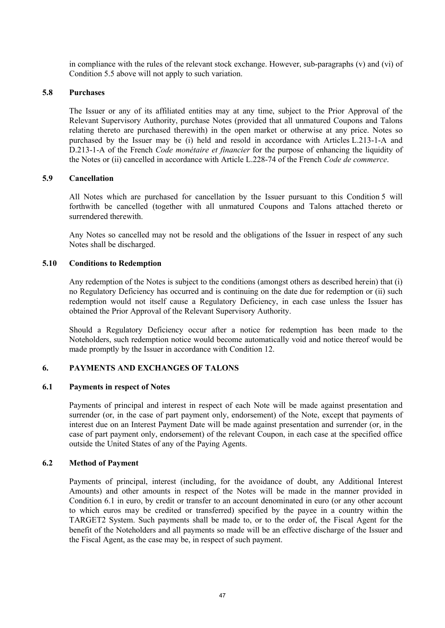in compliance with the rules of the relevant stock exchange. However, sub-paragraphs (v) and (vi) of Condition 5.5 above will not apply to such variation.

#### **5.8 Purchases**

The Issuer or any of its affiliated entities may at any time, subject to the Prior Approval of the Relevant Supervisory Authority, purchase Notes (provided that all unmatured Coupons and Talons relating thereto are purchased therewith) in the open market or otherwise at any price. Notes so purchased by the Issuer may be (i) held and resold in accordance with Articles L.213-1-A and D.213-1-A of the French *Code monétaire et financier* for the purpose of enhancing the liquidity of the Notes or (ii) cancelled in accordance with Article L.228-74 of the French *Code de commerce*.

#### **5.9 Cancellation**

All Notes which are purchased for cancellation by the Issuer pursuant to this Condition 5 will forthwith be cancelled (together with all unmatured Coupons and Talons attached thereto or surrendered therewith

Any Notes so cancelled may not be resold and the obligations of the Issuer in respect of any such Notes shall be discharged.

#### **5.10 Conditions to Redemption**

Any redemption of the Notes is subject to the conditions (amongst others as described herein) that (i) no Regulatory Deficiency has occurred and is continuing on the date due for redemption or (ii) such redemption would not itself cause a Regulatory Deficiency, in each case unless the Issuer has obtained the Prior Approval of the Relevant Supervisory Authority.

Should a Regulatory Deficiency occur after a notice for redemption has been made to the Noteholders, such redemption notice would become automatically void and notice thereof would be made promptly by the Issuer in accordance with Condition 12.

## **6. PAYMENTS AND EXCHANGES OF TALONS**

#### **6.1 Payments in respect of Notes**

Payments of principal and interest in respect of each Note will be made against presentation and surrender (or, in the case of part payment only, endorsement) of the Note, except that payments of interest due on an Interest Payment Date will be made against presentation and surrender (or, in the case of part payment only, endorsement) of the relevant Coupon, in each case at the specified office outside the United States of any of the Paying Agents.

### **6.2 Method of Payment**

Payments of principal, interest (including, for the avoidance of doubt, any Additional Interest Amounts) and other amounts in respect of the Notes will be made in the manner provided in Condition 6.1 in euro, by credit or transfer to an account denominated in euro (or any other account to which euros may be credited or transferred) specified by the payee in a country within the TARGET2 System. Such payments shall be made to, or to the order of, the Fiscal Agent for the benefit of the Noteholders and all payments so made will be an effective discharge of the Issuer and the Fiscal Agent, as the case may be, in respect of such payment.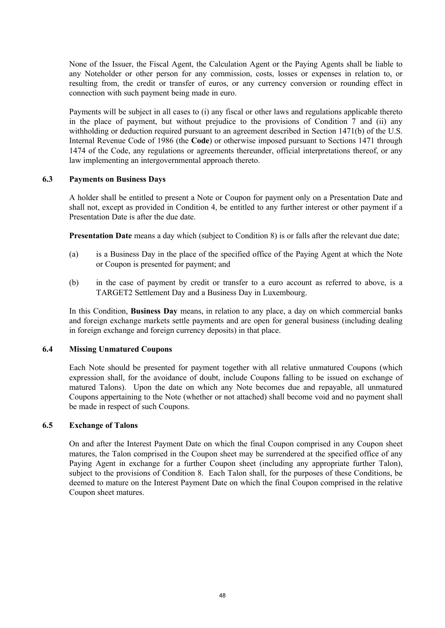None of the Issuer, the Fiscal Agent, the Calculation Agent or the Paying Agents shall be liable to any Noteholder or other person for any commission, costs, losses or expenses in relation to, or resulting from, the credit or transfer of euros, or any currency conversion or rounding effect in connection with such payment being made in euro.

Payments will be subject in all cases to (i) any fiscal or other laws and regulations applicable thereto in the place of payment, but without prejudice to the provisions of Condition 7 and (ii) any withholding or deduction required pursuant to an agreement described in Section 1471(b) of the U.S. Internal Revenue Code of 1986 (the **Code**) or otherwise imposed pursuant to Sections 1471 through 1474 of the Code, any regulations or agreements thereunder, official interpretations thereof, or any law implementing an intergovernmental approach thereto.

#### **6.3 Payments on Business Days**

A holder shall be entitled to present a Note or Coupon for payment only on a Presentation Date and shall not, except as provided in Condition 4, be entitled to any further interest or other payment if a Presentation Date is after the due date.

**Presentation Date** means a day which (subject to Condition 8) is or falls after the relevant due date;

- (a) is a Business Day in the place of the specified office of the Paying Agent at which the Note or Coupon is presented for payment; and
- (b) in the case of payment by credit or transfer to a euro account as referred to above, is a TARGET2 Settlement Day and a Business Day in Luxembourg.

In this Condition, **Business Day** means, in relation to any place, a day on which commercial banks and foreign exchange markets settle payments and are open for general business (including dealing in foreign exchange and foreign currency deposits) in that place.

### **6.4 Missing Unmatured Coupons**

Each Note should be presented for payment together with all relative unmatured Coupons (which expression shall, for the avoidance of doubt, include Coupons falling to be issued on exchange of matured Talons). Upon the date on which any Note becomes due and repayable, all unmatured Coupons appertaining to the Note (whether or not attached) shall become void and no payment shall be made in respect of such Coupons.

## **6.5 Exchange of Talons**

On and after the Interest Payment Date on which the final Coupon comprised in any Coupon sheet matures, the Talon comprised in the Coupon sheet may be surrendered at the specified office of any Paying Agent in exchange for a further Coupon sheet (including any appropriate further Talon), subject to the provisions of Condition 8. Each Talon shall, for the purposes of these Conditions, be deemed to mature on the Interest Payment Date on which the final Coupon comprised in the relative Coupon sheet matures.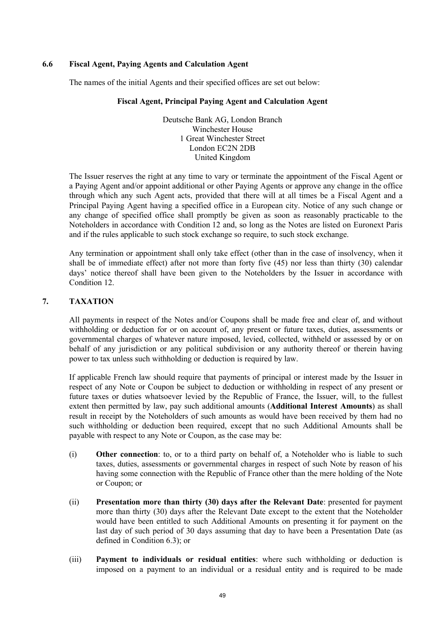## **6.6 Fiscal Agent, Paying Agents and Calculation Agent**

The names of the initial Agents and their specified offices are set out below:

## **Fiscal Agent, Principal Paying Agent and Calculation Agent**

Deutsche Bank AG, London Branch Winchester House 1 Great Winchester Street London EC2N 2DB United Kingdom

The Issuer reserves the right at any time to vary or terminate the appointment of the Fiscal Agent or a Paying Agent and/or appoint additional or other Paying Agents or approve any change in the office through which any such Agent acts, provided that there will at all times be a Fiscal Agent and a Principal Paying Agent having a specified office in a European city. Notice of any such change or any change of specified office shall promptly be given as soon as reasonably practicable to the Noteholders in accordance with Condition 12 and, so long as the Notes are listed on Euronext Paris and if the rules applicable to such stock exchange so require, to such stock exchange.

Any termination or appointment shall only take effect (other than in the case of insolvency, when it shall be of immediate effect) after not more than forty five (45) nor less than thirty (30) calendar days' notice thereof shall have been given to the Noteholders by the Issuer in accordance with Condition 12.

# **7. TAXATION**

All payments in respect of the Notes and/or Coupons shall be made free and clear of, and without withholding or deduction for or on account of, any present or future taxes, duties, assessments or governmental charges of whatever nature imposed, levied, collected, withheld or assessed by or on behalf of any jurisdiction or any political subdivision or any authority thereof or therein having power to tax unless such withholding or deduction is required by law.

If applicable French law should require that payments of principal or interest made by the Issuer in respect of any Note or Coupon be subject to deduction or withholding in respect of any present or future taxes or duties whatsoever levied by the Republic of France, the Issuer, will, to the fullest extent then permitted by law, pay such additional amounts (**Additional Interest Amounts**) as shall result in receipt by the Noteholders of such amounts as would have been received by them had no such withholding or deduction been required, except that no such Additional Amounts shall be payable with respect to any Note or Coupon, as the case may be:

- (i) **Other connection**: to, or to a third party on behalf of, a Noteholder who is liable to such taxes, duties, assessments or governmental charges in respect of such Note by reason of his having some connection with the Republic of France other than the mere holding of the Note or Coupon; or
- (ii) **Presentation more than thirty (30) days after the Relevant Date**: presented for payment more than thirty (30) days after the Relevant Date except to the extent that the Noteholder would have been entitled to such Additional Amounts on presenting it for payment on the last day of such period of 30 days assuming that day to have been a Presentation Date (as defined in Condition 6.3); or
- (iii) **Payment to individuals or residual entities**: where such withholding or deduction is imposed on a payment to an individual or a residual entity and is required to be made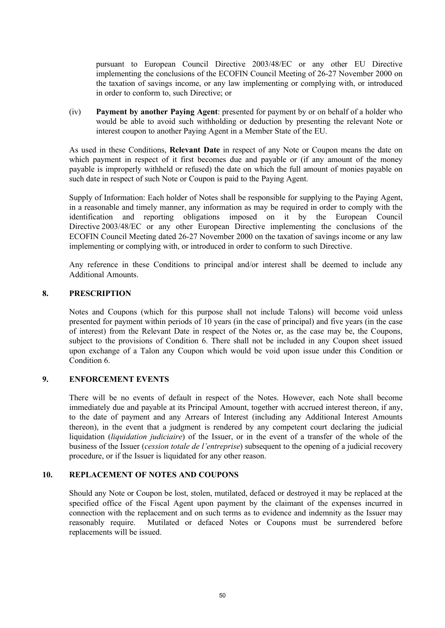pursuant to European Council Directive 2003/48/EC or any other EU Directive implementing the conclusions of the ECOFIN Council Meeting of 26-27 November 2000 on the taxation of savings income, or any law implementing or complying with, or introduced in order to conform to, such Directive; or

(iv) **Payment by another Paying Agent**: presented for payment by or on behalf of a holder who would be able to avoid such withholding or deduction by presenting the relevant Note or interest coupon to another Paying Agent in a Member State of the EU.

As used in these Conditions, **Relevant Date** in respect of any Note or Coupon means the date on which payment in respect of it first becomes due and payable or (if any amount of the money payable is improperly withheld or refused) the date on which the full amount of monies payable on such date in respect of such Note or Coupon is paid to the Paying Agent.

Supply of Information: Each holder of Notes shall be responsible for supplying to the Paying Agent, in a reasonable and timely manner, any information as may be required in order to comply with the identification and reporting obligations imposed on it by the European Council Directive 2003/48/EC or any other European Directive implementing the conclusions of the ECOFIN Council Meeting dated 26-27 November 2000 on the taxation of savings income or any law implementing or complying with, or introduced in order to conform to such Directive.

Any reference in these Conditions to principal and/or interest shall be deemed to include any Additional Amounts.

### **8. PRESCRIPTION**

Notes and Coupons (which for this purpose shall not include Talons) will become void unless presented for payment within periods of 10 years (in the case of principal) and five years (in the case of interest) from the Relevant Date in respect of the Notes or, as the case may be, the Coupons, subject to the provisions of Condition 6. There shall not be included in any Coupon sheet issued upon exchange of a Talon any Coupon which would be void upon issue under this Condition or Condition 6.

### **9. ENFORCEMENT EVENTS**

There will be no events of default in respect of the Notes. However, each Note shall become immediately due and payable at its Principal Amount, together with accrued interest thereon, if any, to the date of payment and any Arrears of Interest (including any Additional Interest Amounts thereon), in the event that a judgment is rendered by any competent court declaring the judicial liquidation (*liquidation judiciaire*) of the Issuer, or in the event of a transfer of the whole of the business of the Issuer (*cession totale de l'entreprise*) subsequent to the opening of a judicial recovery procedure, or if the Issuer is liquidated for any other reason.

### **10. REPLACEMENT OF NOTES AND COUPONS**

Should any Note or Coupon be lost, stolen, mutilated, defaced or destroyed it may be replaced at the specified office of the Fiscal Agent upon payment by the claimant of the expenses incurred in connection with the replacement and on such terms as to evidence and indemnity as the Issuer may reasonably require. Mutilated or defaced Notes or Coupons must be surrendered before replacements will be issued.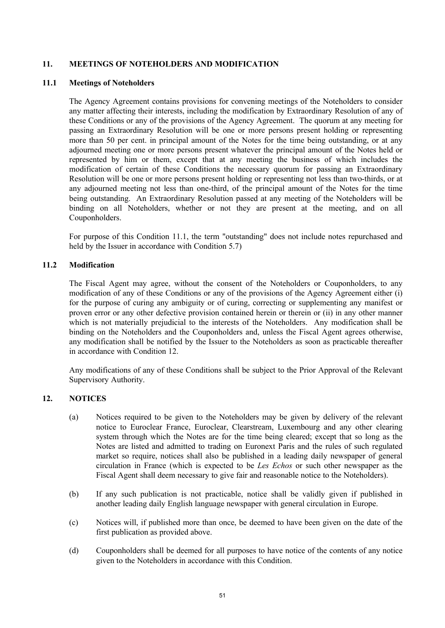## **11. MEETINGS OF NOTEHOLDERS AND MODIFICATION**

#### **11.1 Meetings of Noteholders**

The Agency Agreement contains provisions for convening meetings of the Noteholders to consider any matter affecting their interests, including the modification by Extraordinary Resolution of any of these Conditions or any of the provisions of the Agency Agreement. The quorum at any meeting for passing an Extraordinary Resolution will be one or more persons present holding or representing more than 50 per cent. in principal amount of the Notes for the time being outstanding, or at any adjourned meeting one or more persons present whatever the principal amount of the Notes held or represented by him or them, except that at any meeting the business of which includes the modification of certain of these Conditions the necessary quorum for passing an Extraordinary Resolution will be one or more persons present holding or representing not less than two-thirds, or at any adjourned meeting not less than one-third, of the principal amount of the Notes for the time being outstanding. An Extraordinary Resolution passed at any meeting of the Noteholders will be binding on all Noteholders, whether or not they are present at the meeting, and on all Couponholders.

For purpose of this Condition 11.1, the term "outstanding" does not include notes repurchased and held by the Issuer in accordance with Condition 5.7)

## **11.2 Modification**

The Fiscal Agent may agree, without the consent of the Noteholders or Couponholders, to any modification of any of these Conditions or any of the provisions of the Agency Agreement either (i) for the purpose of curing any ambiguity or of curing, correcting or supplementing any manifest or proven error or any other defective provision contained herein or therein or (ii) in any other manner which is not materially prejudicial to the interests of the Noteholders. Any modification shall be binding on the Noteholders and the Couponholders and, unless the Fiscal Agent agrees otherwise, any modification shall be notified by the Issuer to the Noteholders as soon as practicable thereafter in accordance with Condition 12.

Any modifications of any of these Conditions shall be subject to the Prior Approval of the Relevant Supervisory Authority.

# **12. NOTICES**

- (a) Notices required to be given to the Noteholders may be given by delivery of the relevant notice to Euroclear France, Euroclear, Clearstream, Luxembourg and any other clearing system through which the Notes are for the time being cleared; except that so long as the Notes are listed and admitted to trading on Euronext Paris and the rules of such regulated market so require, notices shall also be published in a leading daily newspaper of general circulation in France (which is expected to be *Les Echos* or such other newspaper as the Fiscal Agent shall deem necessary to give fair and reasonable notice to the Noteholders).
- (b) If any such publication is not practicable, notice shall be validly given if published in another leading daily English language newspaper with general circulation in Europe.
- (c) Notices will, if published more than once, be deemed to have been given on the date of the first publication as provided above.
- (d) Couponholders shall be deemed for all purposes to have notice of the contents of any notice given to the Noteholders in accordance with this Condition.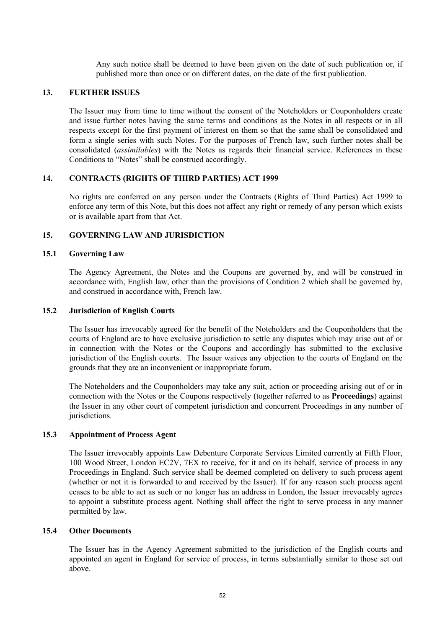Any such notice shall be deemed to have been given on the date of such publication or, if published more than once or on different dates, on the date of the first publication.

#### **13. FURTHER ISSUES**

The Issuer may from time to time without the consent of the Noteholders or Couponholders create and issue further notes having the same terms and conditions as the Notes in all respects or in all respects except for the first payment of interest on them so that the same shall be consolidated and form a single series with such Notes. For the purposes of French law, such further notes shall be consolidated (*assimilables*) with the Notes as regards their financial service. References in these Conditions to "Notes" shall be construed accordingly.

#### **14. CONTRACTS (RIGHTS OF THIRD PARTIES) ACT 1999**

No rights are conferred on any person under the Contracts (Rights of Third Parties) Act 1999 to enforce any term of this Note, but this does not affect any right or remedy of any person which exists or is available apart from that Act.

#### **15. GOVERNING LAW AND JURISDICTION**

#### **15.1 Governing Law**

The Agency Agreement, the Notes and the Coupons are governed by, and will be construed in accordance with, English law, other than the provisions of Condition 2 which shall be governed by, and construed in accordance with, French law.

#### **15.2 Jurisdiction of English Courts**

The Issuer has irrevocably agreed for the benefit of the Noteholders and the Couponholders that the courts of England are to have exclusive jurisdiction to settle any disputes which may arise out of or in connection with the Notes or the Coupons and accordingly has submitted to the exclusive jurisdiction of the English courts. The Issuer waives any objection to the courts of England on the grounds that they are an inconvenient or inappropriate forum.

The Noteholders and the Couponholders may take any suit, action or proceeding arising out of or in connection with the Notes or the Coupons respectively (together referred to as **Proceedings**) against the Issuer in any other court of competent jurisdiction and concurrent Proceedings in any number of jurisdictions.

### **15.3 Appointment of Process Agent**

The Issuer irrevocably appoints Law Debenture Corporate Services Limited currently at Fifth Floor, 100 Wood Street, London EC2V, 7EX to receive, for it and on its behalf, service of process in any Proceedings in England. Such service shall be deemed completed on delivery to such process agent (whether or not it is forwarded to and received by the Issuer). If for any reason such process agent ceases to be able to act as such or no longer has an address in London, the Issuer irrevocably agrees to appoint a substitute process agent. Nothing shall affect the right to serve process in any manner permitted by law.

#### **15.4 Other Documents**

The Issuer has in the Agency Agreement submitted to the jurisdiction of the English courts and appointed an agent in England for service of process, in terms substantially similar to those set out above.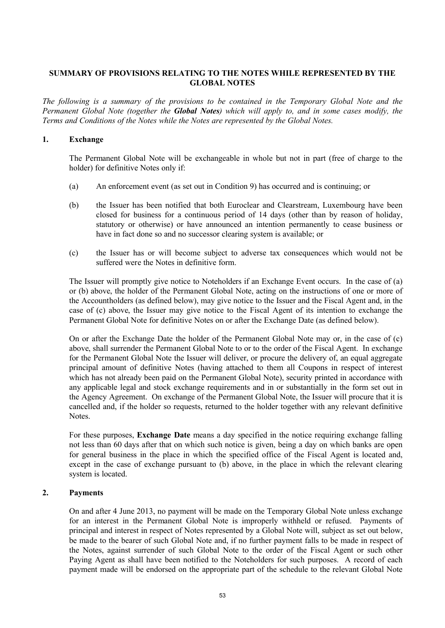# **SUMMARY OF PROVISIONS RELATING TO THE NOTES WHILE REPRESENTED BY THE GLOBAL NOTES**

*The following is a summary of the provisions to be contained in the Temporary Global Note and the Permanent Global Note (together the Global Notes) which will apply to, and in some cases modify, the Terms and Conditions of the Notes while the Notes are represented by the Global Notes.*

## **1. Exchange**

The Permanent Global Note will be exchangeable in whole but not in part (free of charge to the holder) for definitive Notes only if:

- (a) An enforcement event (as set out in Condition 9) has occurred and is continuing; or
- (b) the Issuer has been notified that both Euroclear and Clearstream, Luxembourg have been closed for business for a continuous period of 14 days (other than by reason of holiday, statutory or otherwise) or have announced an intention permanently to cease business or have in fact done so and no successor clearing system is available; or
- (c) the Issuer has or will become subject to adverse tax consequences which would not be suffered were the Notes in definitive form.

The Issuer will promptly give notice to Noteholders if an Exchange Event occurs. In the case of (a) or (b) above, the holder of the Permanent Global Note, acting on the instructions of one or more of the Accountholders (as defined below), may give notice to the Issuer and the Fiscal Agent and, in the case of (c) above, the Issuer may give notice to the Fiscal Agent of its intention to exchange the Permanent Global Note for definitive Notes on or after the Exchange Date (as defined below).

On or after the Exchange Date the holder of the Permanent Global Note may or, in the case of (c) above, shall surrender the Permanent Global Note to or to the order of the Fiscal Agent. In exchange for the Permanent Global Note the Issuer will deliver, or procure the delivery of, an equal aggregate principal amount of definitive Notes (having attached to them all Coupons in respect of interest which has not already been paid on the Permanent Global Note), security printed in accordance with any applicable legal and stock exchange requirements and in or substantially in the form set out in the Agency Agreement. On exchange of the Permanent Global Note, the Issuer will procure that it is cancelled and, if the holder so requests, returned to the holder together with any relevant definitive **Notes**.

For these purposes, **Exchange Date** means a day specified in the notice requiring exchange falling not less than 60 days after that on which such notice is given, being a day on which banks are open for general business in the place in which the specified office of the Fiscal Agent is located and, except in the case of exchange pursuant to (b) above, in the place in which the relevant clearing system is located.

# **2. Payments**

On and after 4 June 2013, no payment will be made on the Temporary Global Note unless exchange for an interest in the Permanent Global Note is improperly withheld or refused. Payments of principal and interest in respect of Notes represented by a Global Note will, subject as set out below, be made to the bearer of such Global Note and, if no further payment falls to be made in respect of the Notes, against surrender of such Global Note to the order of the Fiscal Agent or such other Paying Agent as shall have been notified to the Noteholders for such purposes. A record of each payment made will be endorsed on the appropriate part of the schedule to the relevant Global Note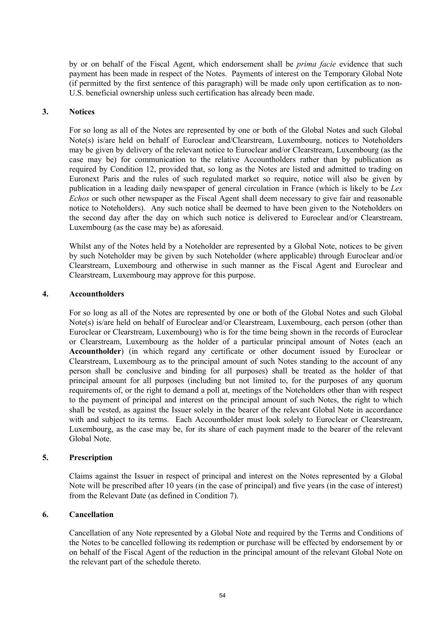by or on behalf of the Fiscal Agent, which endorsement shall be *prima facie* evidence that such payment has been made in respect of the Notes. Payments of interest on the Temporary Global Note (if permitted by the first sentence of this paragraph) will be made only upon certification as to non-U.S. beneficial ownership unless such certification has already been made.

#### **3. Notices**

For so long as all of the Notes are represented by one or both of the Global Notes and such Global Note(s) is/are held on behalf of Euroclear and/Clearstream, Luxembourg, notices to Noteholders may be given by delivery of the relevant notice to Euroclear and/or Clearstream, Luxembourg (as the case may be) for communication to the relative Accountholders rather than by publication as required by Condition 12, provided that, so long as the Notes are listed and admitted to trading on Euronext Paris and the rules of such regulated market so require, notice will also be given by publication in a leading daily newspaper of general circulation in France (which is likely to be *Les Echos* or such other newspaper as the Fiscal Agent shall deem necessary to give fair and reasonable notice to Noteholders). Any such notice shall be deemed to have been given to the Noteholders on the second day after the day on which such notice is delivered to Euroclear and/or Clearstream, Luxembourg (as the case may be) as aforesaid.

Whilst any of the Notes held by a Noteholder are represented by a Global Note, notices to be given by such Noteholder may be given by such Noteholder (where applicable) through Euroclear and/or Clearstream, Luxembourg and otherwise in such manner as the Fiscal Agent and Euroclear and Clearstream, Luxembourg may approve for this purpose.

#### **4. Accountholders**

For so long as all of the Notes are represented by one or both of the Global Notes and such Global Note(s) is/are held on behalf of Euroclear and/or Clearstream, Luxembourg, each person (other than Euroclear or Clearstream, Luxembourg) who is for the time being shown in the records of Euroclear or Clearstream, Luxembourg as the holder of a particular principal amount of Notes (each an **Accountholder**) (in which regard any certificate or other document issued by Euroclear or Clearstream, Luxembourg as to the principal amount of such Notes standing to the account of any person shall be conclusive and binding for all purposes) shall be treated as the holder of that principal amount for all purposes (including but not limited to, for the purposes of any quorum requirements of, or the right to demand a poll at, meetings of the Noteholders other than with respect to the payment of principal and interest on the principal amount of such Notes, the right to which shall be vested, as against the Issuer solely in the bearer of the relevant Global Note in accordance with and subject to its terms. Each Accountholder must look solely to Euroclear or Clearstream, Luxembourg, as the case may be, for its share of each payment made to the bearer of the relevant Global Note.

## **5. Prescription**

Claims against the Issuer in respect of principal and interest on the Notes represented by a Global Note will be prescribed after 10 years (in the case of principal) and five years (in the case of interest) from the Relevant Date (as defined in Condition 7).

### **6. Cancellation**

Cancellation of any Note represented by a Global Note and required by the Terms and Conditions of the Notes to be cancelled following its redemption or purchase will be effected by endorsement by or on behalf of the Fiscal Agent of the reduction in the principal amount of the relevant Global Note on the relevant part of the schedule thereto.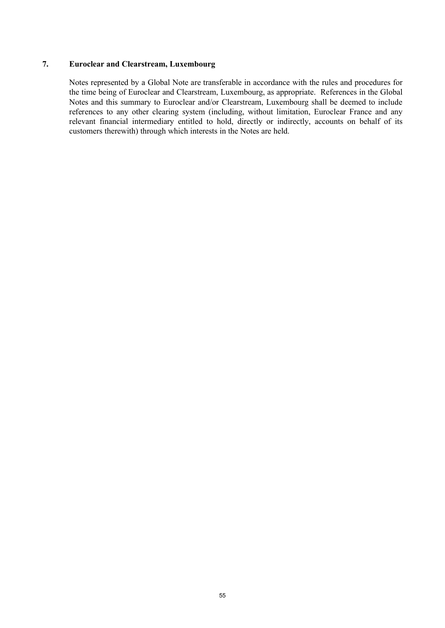## **7. Euroclear and Clearstream, Luxembourg**

Notes represented by a Global Note are transferable in accordance with the rules and procedures for the time being of Euroclear and Clearstream, Luxembourg, as appropriate. References in the Global Notes and this summary to Euroclear and/or Clearstream, Luxembourg shall be deemed to include references to any other clearing system (including, without limitation, Euroclear France and any relevant financial intermediary entitled to hold, directly or indirectly, accounts on behalf of its customers therewith) through which interests in the Notes are held.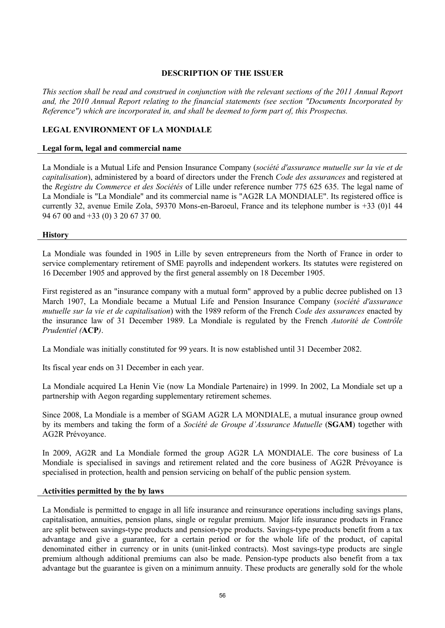## **DESCRIPTION OF THE ISSUER**

*This section shall be read and construed in conjunction with the relevant sections of the 2011 Annual Report and, the 2010 Annual Report relating to the financial statements (see section "Documents Incorporated by Reference") which are incorporated in, and shall be deemed to form part of, this Prospectus.*

## **LEGAL ENVIRONMENT OF LA MONDIALE**

#### **Legal form, legal and commercial name**

La Mondiale is a Mutual Life and Pension Insurance Company (*société d'assurance mutuelle sur la vie et de capitalisation*), administered by a board of directors under the French *Code des assurances* and registered at the *Registre du Commerce et des Sociétés* of Lille under reference number 775 625 635. The legal name of La Mondiale is "La Mondiale" and its commercial name is "AG2R LA MONDIALE". Its registered office is currently 32, avenue Emile Zola, 59370 Mons-en-Baroeul, France and its telephone number is +33 (0)1 44 94 67 00 and +33 (0) 3 20 67 37 00.

#### **History**

La Mondiale was founded in 1905 in Lille by seven entrepreneurs from the North of France in order to service complementary retirement of SME payrolls and independent workers. Its statutes were registered on 16 December 1905 and approved by the first general assembly on 18 December 1905.

First registered as an "insurance company with a mutual form" approved by a public decree published on 13 March 1907, La Mondiale became a Mutual Life and Pension Insurance Company (*société d'assurance mutuelle sur la vie et de capitalisation*) with the 1989 reform of the French *Code des assurances* enacted by the insurance law of 31 December 1989. La Mondiale is regulated by the French *Autorité de Contrôle Prudentiel (***ACP***)*.

La Mondiale was initially constituted for 99 years. It is now established until 31 December 2082.

Its fiscal year ends on 31 December in each year.

La Mondiale acquired La Henin Vie (now La Mondiale Partenaire) in 1999. In 2002, La Mondiale set up a partnership with Aegon regarding supplementary retirement schemes.

Since 2008, La Mondiale is a member of SGAM AG2R LA MONDIALE, a mutual insurance group owned by its members and taking the form of a *Société de Groupe d'Assurance Mutuelle* (**SGAM**) together with AG2R Prévoyance.

In 2009, AG2R and La Mondiale formed the group AG2R LA MONDIALE. The core business of La Mondiale is specialised in savings and retirement related and the core business of AG2R Prévoyance is specialised in protection, health and pension servicing on behalf of the public pension system.

### **Activities permitted by the by laws**

La Mondiale is permitted to engage in all life insurance and reinsurance operations including savings plans, capitalisation, annuities, pension plans, single or regular premium. Major life insurance products in France are split between savings-type products and pension-type products. Savings-type products benefit from a tax advantage and give a guarantee, for a certain period or for the whole life of the product, of capital denominated either in currency or in units (unit-linked contracts). Most savings-type products are single premium although additional premiums can also be made. Pension-type products also benefit from a tax advantage but the guarantee is given on a minimum annuity. These products are generally sold for the whole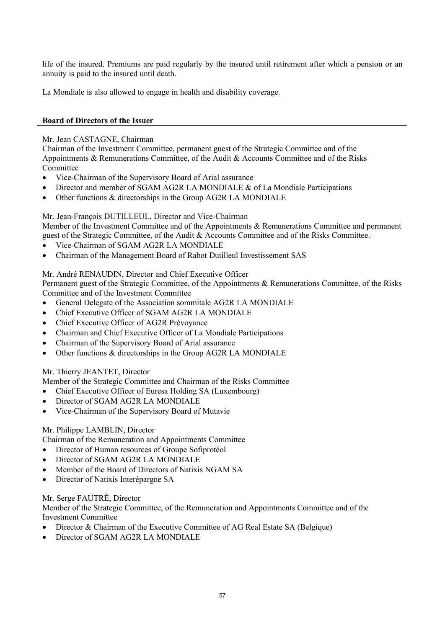life of the insured. Premiums are paid regularly by the insured until retirement after which a pension or an annuity is paid to the insured until death.

La Mondiale is also allowed to engage in health and disability coverage.

## **Board of Directors of the Issuer**

## Mr. Jean CASTAGNE, Chairman

Chairman of the Investment Committee, permanent guest of the Strategic Committee and of the Appointments & Remunerations Committee, of the Audit & Accounts Committee and of the Risks **Committee** 

- Vice-Chairman of the Supervisory Board of Arial assurance
- Director and member of SGAM AG2R LA MONDIALE & of La Mondiale Participations
- Other functions & directorships in the Group AG2R LA MONDIALE

## Mr. Jean-François DUTILLEUL, Director and Vice-Chairman

Member of the Investment Committee and of the Appointments & Remunerations Committee and permanent guest of the Strategic Committee, of the Audit & Accounts Committee and of the Risks Committee.

- · Vice-Chairman of SGAM AG2R LA MONDIALE
- · Chairman of the Management Board of Rabot Dutilleul Investissement SAS

## Mr. André RENAUDIN, Director and Chief Executive Officer

Permanent guest of the Strategic Committee, of the Appointments & Remunerations Committee, of the Risks Committee and of the Investment Committee

- General Delegate of the Association sommitale AG2R LA MONDIALE
- Chief Executive Officer of SGAM AG2R LA MONDIALE
- Chief Executive Officer of AG2R Prévoyance
- Chairman and Chief Executive Officer of La Mondiale Participations
- Chairman of the Supervisory Board of Arial assurance
- Other functions & directorships in the Group AG2R LA MONDIALE

## Mr. Thierry JEANTET, Director

Member of the Strategic Committee and Chairman of the Risks Committee

- Chief Executive Officer of Euresa Holding SA (Luxembourg)
- Director of SGAM AG2R LA MONDIALE
- · Vice-Chairman of the Supervisory Board of Mutavie

# Mr. Philippe LAMBLIN, Director

Chairman of the Remuneration and Appointments Committee

- · Director of Human resources of Groupe Sofiprotéol
- Director of SGAM AG2R LA MONDIALE
- · Member of the Board of Directors of Natixis NGAM SA
- · Director of Natixis Interépargne SA

# Mr. Serge FAUTRÉ, Director

Member of the Strategic Committee, of the Remuneration and Appointments Committee and of the Investment Committee

- · Director & Chairman of the Executive Committee of AG Real Estate SA (Belgique)
- Director of SGAM AG2R LA MONDIALE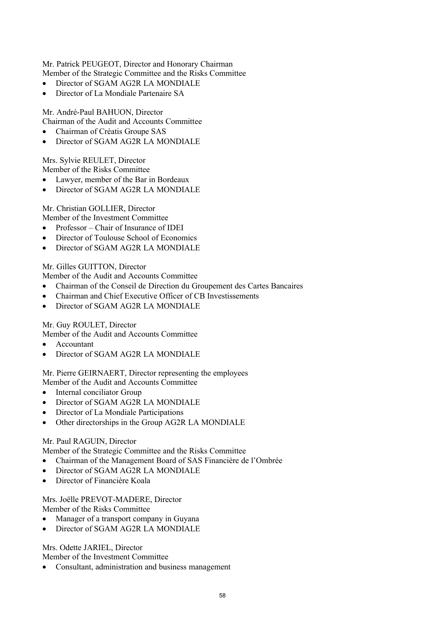Mr. Patrick PEUGEOT, Director and Honorary Chairman Member of the Strategic Committee and the Risks Committee

- Director of SGAM AG2R LA MONDIALE
- · Director of La Mondiale Partenaire SA

Mr. André-Paul BAHUON, Director Chairman of the Audit and Accounts Committee

- Chairman of Créatis Groupe SAS
- Director of SGAM AG2R LA MONDIALE

Mrs. Sylvie REULET, Director

Member of the Risks Committee

- Lawyer, member of the Bar in Bordeaux
- Director of SGAM AG2R LA MONDIALE

Mr. Christian GOLLIER, Director Member of the Investment Committee

- · Professor Chair of Insurance of IDEI
- Director of Toulouse School of Economics
- Director of SGAM AG2R LA MONDIALE

Mr. Gilles GUITTON, Director

Member of the Audit and Accounts Committee

- · Chairman of the Conseil de Direction du Groupement des Cartes Bancaires
- · Chairman and Chief Executive Officer of CB Investissements
- Director of SGAM AG2R LA MONDIALE

Mr. Guy ROULET, Director

Member of the Audit and Accounts Committee

- · Accountant
- Director of SGAM AG2R LA MONDIALE

Mr. Pierre GEIRNAERT, Director representing the employees

Member of the Audit and Accounts Committee

- Internal conciliator Group
- Director of SGAM AG2R LA MONDIALE
- · Director of La Mondiale Participations
- Other directorships in the Group AG2R LA MONDIALE

### Mr. Paul RAGUIN, Director

Member of the Strategic Committee and the Risks Committee

- · Chairman of the Management Board of SAS Financière de l'Ombrée
- Director of SGAM AG2R LA MONDIALE
- · Director of Financière Koala

Mrs. Joëlle PREVOT-MADERE, Director Member of the Risks Committee

Manager of a transport company in Guyana

Director of SGAM AG2R LA MONDIALE

Mrs. Odette JARIEL, Director

Member of the Investment Committee

Consultant, administration and business management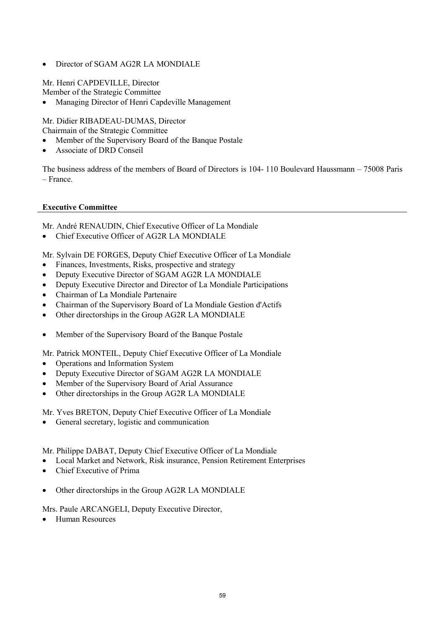• Director of SGAM AG2R LA MONDIALE

Mr. Henri CAPDEVILLE, Director Member of the Strategic Committee

· Managing Director of Henri Capdeville Management

Mr. Didier RIBADEAU-DUMAS, Director Chairmain of the Strategic Committee

- · Member of the Supervisory Board of the Banque Postale
- Associate of DRD Conseil

The business address of the members of Board of Directors is 104- 110 Boulevard Haussmann – 75008 Paris – France.

### **Executive Committee**

Mr. André RENAUDIN, Chief Executive Officer of La Mondiale

• Chief Executive Officer of AG2R LA MONDIALE

Mr. Sylvain DE FORGES, Deputy Chief Executive Officer of La Mondiale

- Finances, Investments, Risks, prospective and strategy
- Deputy Executive Director of SGAM AG2R LA MONDIALE
- · Deputy Executive Director and Director of La Mondiale Participations
- · Chairman of La Mondiale Partenaire
- Chairman of the Supervisory Board of La Mondiale Gestion d'Actifs
- Other directorships in the Group AG2R LA MONDIALE
- Member of the Supervisory Board of the Banque Postale

Mr. Patrick MONTEIL, Deputy Chief Executive Officer of La Mondiale

- · Operations and Information System
- Deputy Executive Director of SGAM AG2R LA MONDIALE
- Member of the Supervisory Board of Arial Assurance
- Other directorships in the Group AG2R LA MONDIALE

Mr. Yves BRETON, Deputy Chief Executive Officer of La Mondiale

· General secretary, logistic and communication

Mr. Philippe DABAT, Deputy Chief Executive Officer of La Mondiale

- · Local Market and Network, Risk insurance, Pension Retirement Enterprises
- Chief Executive of Prima
- Other directorships in the Group AG2R LA MONDIALE

Mrs. Paule ARCANGELI, Deputy Executive Director,

· Human Resources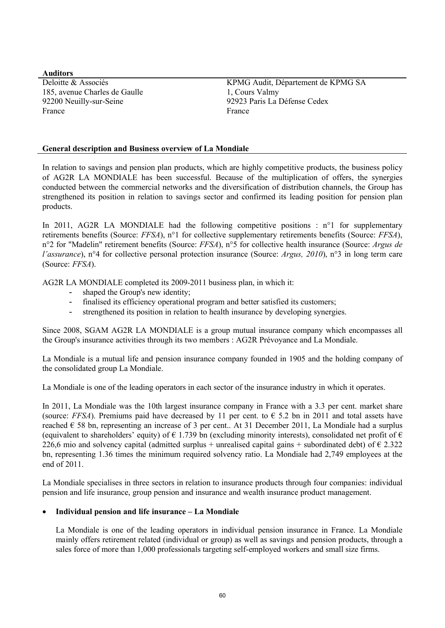**Auditors** 185, avenue Charles de Gaulle 1, Cours Valmy France France **France** 

Deloitte & Associés KPMG Audit, Département de KPMG SA 92200 Neuilly-sur-Seine 92923 Paris La Défense Cedex

## **General description and Business overview of La Mondiale**

In relation to savings and pension plan products, which are highly competitive products, the business policy of AG2R LA MONDIALE has been successful. Because of the multiplication of offers, the synergies conducted between the commercial networks and the diversification of distribution channels, the Group has strengthened its position in relation to savings sector and confirmed its leading position for pension plan products.

In 2011, AG2R LA MONDIALE had the following competitive positions :  $n^{\circ}1$  for supplementary retirements benefits (Source: *FFSA*), n°1 for collective supplementary retirements benefits (Source: *FFSA*), n°2 for "Madelin" retirement benefits (Source: *FFSA*), n°5 for collective health insurance (Source: *Argus de l'assurance*), n°4 for collective personal protection insurance (Source: *Argus, 2010*), n°3 in long term care (Source: *FFSA*).

AG2R LA MONDIALE completed its 2009-2011 business plan, in which it:

- shaped the Group's new identity;
- finalised its efficiency operational program and better satisfied its customers;
- strengthened its position in relation to health insurance by developing synergies.

Since 2008, SGAM AG2R LA MONDIALE is a group mutual insurance company which encompasses all the Group's insurance activities through its two members : AG2R Prévoyance and La Mondiale.

La Mondiale is a mutual life and pension insurance company founded in 1905 and the holding company of the consolidated group La Mondiale.

La Mondiale is one of the leading operators in each sector of the insurance industry in which it operates.

In 2011, La Mondiale was the 10th largest insurance company in France with a 3.3 per cent. market share (source: *FFSA*). Premiums paid have decreased by 11 per cent. to  $\epsilon$  5.2 bn in 2011 and total assets have reached  $\epsilon$  58 bn, representing an increase of 3 per cent.. At 31 December 2011, La Mondiale had a surplus (equivalent to shareholders' equity) of  $\epsilon$  1.739 bn (excluding minority interests), consolidated net profit of  $\epsilon$ 226,6 mio and solvency capital (admitted surplus + unrealised capital gains + subordinated debt) of  $\epsilon$  2.322 bn, representing 1.36 times the minimum required solvency ratio. La Mondiale had 2,749 employees at the end of 2011.

La Mondiale specialises in three sectors in relation to insurance products through four companies: individual pension and life insurance, group pension and insurance and wealth insurance product management.

### · **Individual pension and life insurance – La Mondiale**

La Mondiale is one of the leading operators in individual pension insurance in France. La Mondiale mainly offers retirement related (individual or group) as well as savings and pension products, through a sales force of more than 1,000 professionals targeting self-employed workers and small size firms.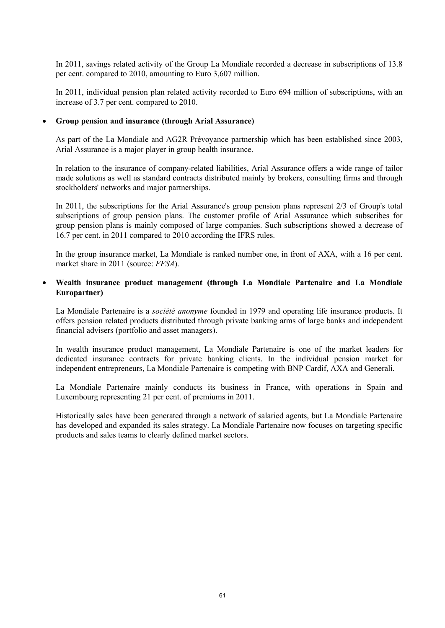In 2011, savings related activity of the Group La Mondiale recorded a decrease in subscriptions of 13.8 per cent. compared to 2010, amounting to Euro 3,607 million.

In 2011, individual pension plan related activity recorded to Euro 694 million of subscriptions, with an increase of 3.7 per cent. compared to 2010.

#### · **Group pension and insurance (through Arial Assurance)**

As part of the La Mondiale and AG2R Prévoyance partnership which has been established since 2003, Arial Assurance is a major player in group health insurance.

In relation to the insurance of company-related liabilities, Arial Assurance offers a wide range of tailor made solutions as well as standard contracts distributed mainly by brokers, consulting firms and through stockholders' networks and major partnerships.

In 2011, the subscriptions for the Arial Assurance's group pension plans represent 2/3 of Group's total subscriptions of group pension plans. The customer profile of Arial Assurance which subscribes for group pension plans is mainly composed of large companies. Such subscriptions showed a decrease of 16.7 per cent. in 2011 compared to 2010 according the IFRS rules.

In the group insurance market, La Mondiale is ranked number one, in front of AXA, with a 16 per cent. market share in 2011 (source: *FFSA*).

## · **Wealth insurance product management (through La Mondiale Partenaire and La Mondiale Europartner)**

La Mondiale Partenaire is a *société anonyme* founded in 1979 and operating life insurance products. It offers pension related products distributed through private banking arms of large banks and independent financial advisers (portfolio and asset managers).

In wealth insurance product management, La Mondiale Partenaire is one of the market leaders for dedicated insurance contracts for private banking clients. In the individual pension market for independent entrepreneurs, La Mondiale Partenaire is competing with BNP Cardif, AXA and Generali.

La Mondiale Partenaire mainly conducts its business in France, with operations in Spain and Luxembourg representing 21 per cent. of premiums in 2011.

Historically sales have been generated through a network of salaried agents, but La Mondiale Partenaire has developed and expanded its sales strategy. La Mondiale Partenaire now focuses on targeting specific products and sales teams to clearly defined market sectors.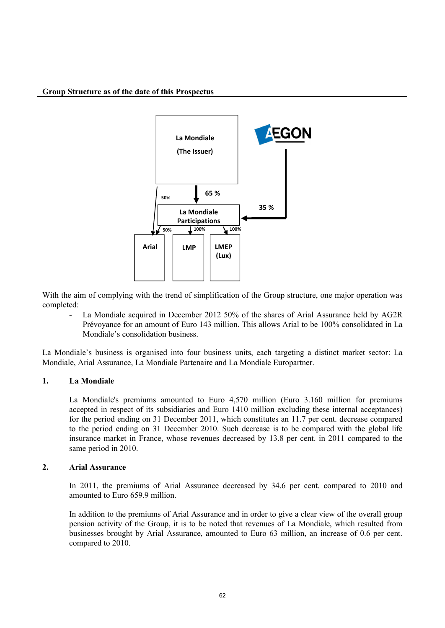#### **Group Structure as of the date of this Prospectus**



With the aim of complying with the trend of simplification of the Group structure, one major operation was completed:

 La Mondiale acquired in December 2012 50% of the shares of Arial Assurance held by AG2R Prévoyance for an amount of Euro 143 million. This allows Arial to be 100% consolidated in La Mondiale's consolidation business.

La Mondiale's business is organised into four business units, each targeting a distinct market sector: La Mondiale, Arial Assurance, La Mondiale Partenaire and La Mondiale Europartner.

### **1. La Mondiale**

La Mondiale's premiums amounted to Euro 4,570 million (Euro 3.160 million for premiums accepted in respect of its subsidiaries and Euro 1410 million excluding these internal acceptances) for the period ending on 31 December 2011, which constitutes an 11.7 per cent. decrease compared to the period ending on 31 December 2010. Such decrease is to be compared with the global life insurance market in France, whose revenues decreased by 13.8 per cent. in 2011 compared to the same period in 2010.

#### **2. Arial Assurance**

In 2011, the premiums of Arial Assurance decreased by 34.6 per cent. compared to 2010 and amounted to Euro 659.9 million.

In addition to the premiums of Arial Assurance and in order to give a clear view of the overall group pension activity of the Group, it is to be noted that revenues of La Mondiale, which resulted from businesses brought by Arial Assurance, amounted to Euro 63 million, an increase of 0.6 per cent. compared to 2010.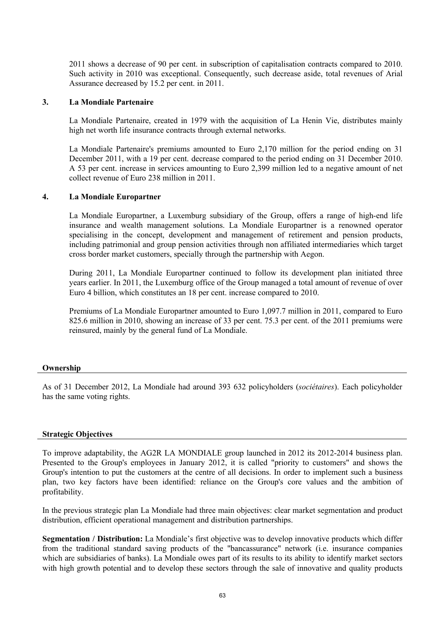2011 shows a decrease of 90 per cent. in subscription of capitalisation contracts compared to 2010. Such activity in 2010 was exceptional. Consequently, such decrease aside, total revenues of Arial Assurance decreased by 15.2 per cent. in 2011.

#### **3. La Mondiale Partenaire**

La Mondiale Partenaire, created in 1979 with the acquisition of La Henin Vie, distributes mainly high net worth life insurance contracts through external networks.

La Mondiale Partenaire's premiums amounted to Euro 2,170 million for the period ending on 31 December 2011, with a 19 per cent. decrease compared to the period ending on 31 December 2010. A 53 per cent. increase in services amounting to Euro 2,399 million led to a negative amount of net collect revenue of Euro 238 million in 2011.

#### **4. La Mondiale Europartner**

La Mondiale Europartner, a Luxemburg subsidiary of the Group, offers a range of high-end life insurance and wealth management solutions. La Mondiale Europartner is a renowned operator specialising in the concept, development and management of retirement and pension products, including patrimonial and group pension activities through non affiliated intermediaries which target cross border market customers, specially through the partnership with Aegon.

During 2011, La Mondiale Europartner continued to follow its development plan initiated three years earlier. In 2011, the Luxemburg office of the Group managed a total amount of revenue of over Euro 4 billion, which constitutes an 18 per cent. increase compared to 2010.

Premiums of La Mondiale Europartner amounted to Euro 1,097.7 million in 2011, compared to Euro 825.6 million in 2010, showing an increase of 33 per cent. 75.3 per cent. of the 2011 premiums were reinsured, mainly by the general fund of La Mondiale.

#### **Ownership**

As of 31 December 2012, La Mondiale had around 393 632 policyholders (*sociétaires*). Each policyholder has the same voting rights.

#### **Strategic Objectives**

To improve adaptability, the AG2R LA MONDIALE group launched in 2012 its 2012-2014 business plan. Presented to the Group's employees in January 2012, it is called "priority to customers" and shows the Group's intention to put the customers at the centre of all decisions. In order to implement such a business plan, two key factors have been identified: reliance on the Group's core values and the ambition of profitability.

In the previous strategic plan La Mondiale had three main objectives: clear market segmentation and product distribution, efficient operational management and distribution partnerships.

**Segmentation / Distribution:** La Mondiale's first objective was to develop innovative products which differ from the traditional standard saving products of the "bancassurance" network (i.e. insurance companies which are subsidiaries of banks). La Mondiale owes part of its results to its ability to identify market sectors with high growth potential and to develop these sectors through the sale of innovative and quality products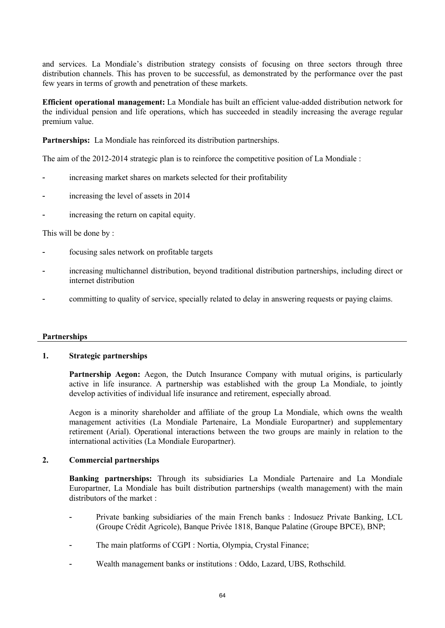and services. La Mondiale's distribution strategy consists of focusing on three sectors through three distribution channels. This has proven to be successful, as demonstrated by the performance over the past few years in terms of growth and penetration of these markets.

**Efficient operational management:** La Mondiale has built an efficient value-added distribution network for the individual pension and life operations, which has succeeded in steadily increasing the average regular premium value.

**Partnerships:** La Mondiale has reinforced its distribution partnerships.

The aim of the 2012-2014 strategic plan is to reinforce the competitive position of La Mondiale :

- increasing market shares on markets selected for their profitability
- increasing the level of assets in 2014
- increasing the return on capital equity.

### This will be done by :

- focusing sales network on profitable targets
- increasing multichannel distribution, beyond traditional distribution partnerships, including direct or internet distribution
- committing to quality of service, specially related to delay in answering requests or paying claims.

### **Partnerships**

## **1. Strategic partnerships**

Partnership Aegon: Aegon, the Dutch Insurance Company with mutual origins, is particularly active in life insurance. A partnership was established with the group La Mondiale, to jointly develop activities of individual life insurance and retirement, especially abroad.

Aegon is a minority shareholder and affiliate of the group La Mondiale, which owns the wealth management activities (La Mondiale Partenaire, La Mondiale Europartner) and supplementary retirement (Arial). Operational interactions between the two groups are mainly in relation to the international activities (La Mondiale Europartner).

### **2. Commercial partnerships**

**Banking partnerships:** Through its subsidiaries La Mondiale Partenaire and La Mondiale Europartner, La Mondiale has built distribution partnerships (wealth management) with the main distributors of the market :

- Private banking subsidiaries of the main French banks : Indosuez Private Banking, LCL (Groupe Crédit Agricole), Banque Privée 1818, Banque Palatine (Groupe BPCE), BNP;
- The main platforms of CGPI : Nortia, Olympia, Crystal Finance;
- Wealth management banks or institutions : Oddo, Lazard, UBS, Rothschild.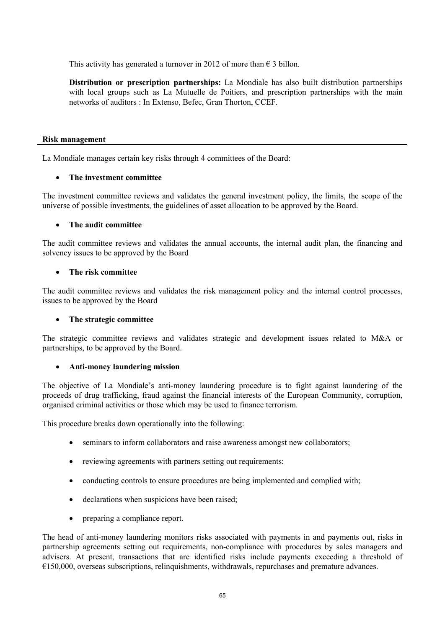This activity has generated a turnover in 2012 of more than  $\epsilon$  3 billon.

**Distribution or prescription partnerships:** La Mondiale has also built distribution partnerships with local groups such as La Mutuelle de Poitiers, and prescription partnerships with the main networks of auditors : In Extenso, Befec, Gran Thorton, CCEF.

#### **Risk management**

La Mondiale manages certain key risks through 4 committees of the Board:

### · **The investment committee**

The investment committee reviews and validates the general investment policy, the limits, the scope of the universe of possible investments, the guidelines of asset allocation to be approved by the Board.

### · **The audit committee**

The audit committee reviews and validates the annual accounts, the internal audit plan, the financing and solvency issues to be approved by the Board

### · **The risk committee**

The audit committee reviews and validates the risk management policy and the internal control processes, issues to be approved by the Board

### · **The strategic committee**

The strategic committee reviews and validates strategic and development issues related to M&A or partnerships, to be approved by the Board.

### · **Anti-money laundering mission**

The objective of La Mondiale's anti-money laundering procedure is to fight against laundering of the proceeds of drug trafficking, fraud against the financial interests of the European Community, corruption, organised criminal activities or those which may be used to finance terrorism.

This procedure breaks down operationally into the following:

- · seminars to inform collaborators and raise awareness amongst new collaborators;
- reviewing agreements with partners setting out requirements;
- · conducting controls to ensure procedures are being implemented and complied with;
- declarations when suspicions have been raised;
- preparing a compliance report.

The head of anti-money laundering monitors risks associated with payments in and payments out, risks in partnership agreements setting out requirements, non-compliance with procedures by sales managers and advisers. At present, transactions that are identified risks include payments exceeding a threshold of €150,000, overseas subscriptions, relinquishments, withdrawals, repurchases and premature advances.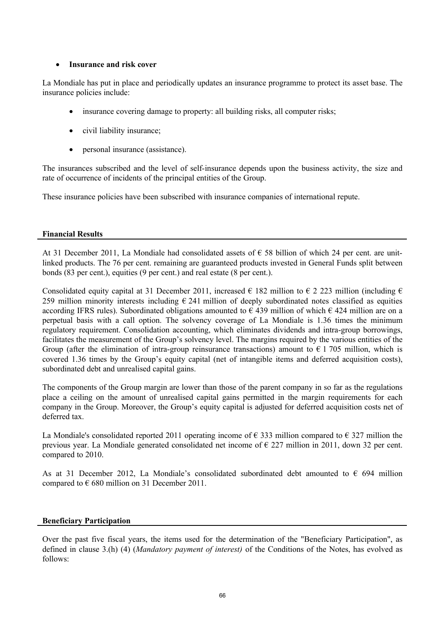## · **Insurance and risk cover**

La Mondiale has put in place and periodically updates an insurance programme to protect its asset base. The insurance policies include:

- insurance covering damage to property: all building risks, all computer risks;
- civil liability insurance;
- personal insurance (assistance).

The insurances subscribed and the level of self-insurance depends upon the business activity, the size and rate of occurrence of incidents of the principal entities of the Group.

These insurance policies have been subscribed with insurance companies of international repute.

### **Financial Results**

At 31 December 2011, La Mondiale had consolidated assets of  $\epsilon$  58 billion of which 24 per cent. are unitlinked products. The 76 per cent. remaining are guaranteed products invested in General Funds split between bonds (83 per cent.), equities (9 per cent.) and real estate (8 per cent.).

Consolidated equity capital at 31 December 2011, increased  $\epsilon$  182 million to  $\epsilon$  2 223 million (including  $\epsilon$ ) 259 million minority interests including  $\epsilon$  241 million of deeply subordinated notes classified as equities according IFRS rules). Subordinated obligations amounted to  $\epsilon$  439 million of which  $\epsilon$  424 million are on a perpetual basis with a call option. The solvency coverage of La Mondiale is 1.36 times the minimum regulatory requirement. Consolidation accounting, which eliminates dividends and intra-group borrowings, facilitates the measurement of the Group's solvency level. The margins required by the various entities of the Group (after the elimination of intra-group reinsurance transactions) amount to  $\epsilon$  1 705 million, which is covered 1.36 times by the Group's equity capital (net of intangible items and deferred acquisition costs), subordinated debt and unrealised capital gains.

The components of the Group margin are lower than those of the parent company in so far as the regulations place a ceiling on the amount of unrealised capital gains permitted in the margin requirements for each company in the Group. Moreover, the Group's equity capital is adjusted for deferred acquisition costs net of deferred tax.

La Mondiale's consolidated reported 2011 operating income of  $\epsilon$  333 million compared to  $\epsilon$  327 million the previous year. La Mondiale generated consolidated net income of € 227 million in 2011, down 32 per cent. compared to 2010.

As at 31 December 2012, La Mondiale's consolidated subordinated debt amounted to  $\epsilon$  694 million compared to  $\epsilon$  680 million on 31 December 2011.

### **Beneficiary Participation**

Over the past five fiscal years, the items used for the determination of the "Beneficiary Participation", as defined in clause 3.(h) (4) (*Mandatory payment of interest)* of the Conditions of the Notes, has evolved as follows: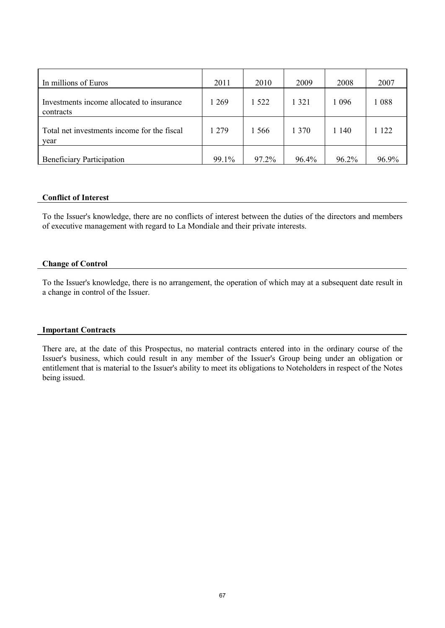| In millions of Euros                                   | 2011  | 2010    | 2009    | 2008    | 2007  |
|--------------------------------------------------------|-------|---------|---------|---------|-------|
| Investments income allocated to insurance<br>contracts | 1 269 | 1 5 2 2 | 1 3 2 1 | 1 0 9 6 | 1088  |
| Total net investments income for the fiscal<br>year    | 1 279 | 1 566   | 1 370   | 1 140   | 122   |
| <b>Beneficiary Participation</b>                       | 99.1% | 97.2%   | 96.4%   | 96.2%   | 96.9% |

#### **Conflict of Interest**

To the Issuer's knowledge, there are no conflicts of interest between the duties of the directors and members of executive management with regard to La Mondiale and their private interests.

#### **Change of Control**

To the Issuer's knowledge, there is no arrangement, the operation of which may at a subsequent date result in a change in control of the Issuer.

#### **Important Contracts**

There are, at the date of this Prospectus, no material contracts entered into in the ordinary course of the Issuer's business, which could result in any member of the Issuer's Group being under an obligation or entitlement that is material to the Issuer's ability to meet its obligations to Noteholders in respect of the Notes being issued.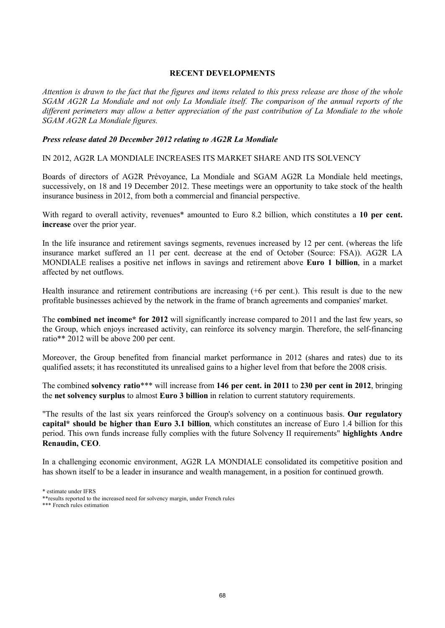## **RECENT DEVELOPMENTS**

*Attention is drawn to the fact that the figures and items related to this press release are those of the whole SGAM AG2R La Mondiale and not only La Mondiale itself. The comparison of the annual reports of the different perimeters may allow a better appreciation of the past contribution of La Mondiale to the whole SGAM AG2R La Mondiale figures.*

### *Press release dated 20 December 2012 relating to AG2R La Mondiale*

IN 2012, AG2R LA MONDIALE INCREASES ITS MARKET SHARE AND ITS SOLVENCY

Boards of directors of AG2R Prévoyance, La Mondiale and SGAM AG2R La Mondiale held meetings, successively, on 18 and 19 December 2012. These meetings were an opportunity to take stock of the health insurance business in 2012, from both a commercial and financial perspective.

With regard to overall activity, revenues<sup>\*</sup> amounted to Euro 8.2 billion, which constitutes a 10 per cent. **increase** over the prior year.

In the life insurance and retirement savings segments, revenues increased by 12 per cent. (whereas the life insurance market suffered an 11 per cent. decrease at the end of October (Source: FSA)). AG2R LA MONDIALE realises a positive net inflows in savings and retirement above **Euro 1 billion**, in a market affected by net outflows.

Health insurance and retirement contributions are increasing (+6 per cent.). This result is due to the new profitable businesses achieved by the network in the frame of branch agreements and companies' market.

The **combined net income\* for 2012** will significantly increase compared to 2011 and the last few years, so the Group, which enjoys increased activity, can reinforce its solvency margin. Therefore, the self-financing ratio\*\* 2012 will be above 200 per cent.

Moreover, the Group benefited from financial market performance in 2012 (shares and rates) due to its qualified assets; it has reconstituted its unrealised gains to a higher level from that before the 2008 crisis.

The combined **solvency ratio**\*\*\* will increase from **146 per cent. in 2011** to **230 per cent in 2012**, bringing the **net solvency surplus** to almost **Euro 3 billion** in relation to current statutory requirements.

"The results of the last six years reinforced the Group's solvency on a continuous basis. **Our regulatory capital\* should be higher than Euro 3.1 billion**, which constitutes an increase of Euro 1.4 billion for this period. This own funds increase fully complies with the future Solvency II requirements" **highlights Andre Renaudin, CEO**.

In a challenging economic environment, AG2R LA MONDIALE consolidated its competitive position and has shown itself to be a leader in insurance and wealth management, in a position for continued growth.

\*\*\* French rules estimation

<sup>\*</sup> estimate under IFRS

<sup>\*\*</sup>results reported to the increased need for solvency margin, under French rules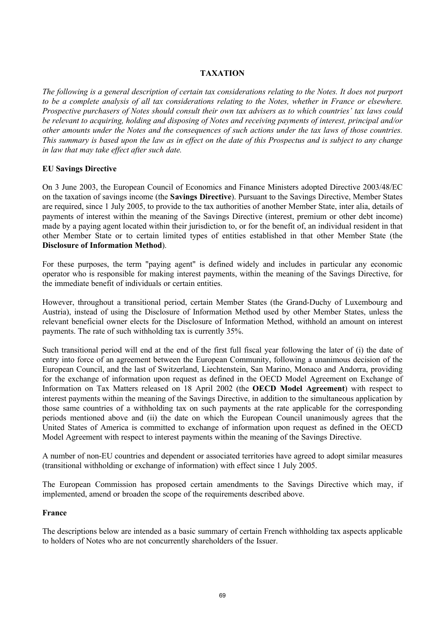# **TAXATION**

*The following is a general description of certain tax considerations relating to the Notes. It does not purport to be a complete analysis of all tax considerations relating to the Notes, whether in France or elsewhere. Prospective purchasers of Notes should consult their own tax advisers as to which countries' tax laws could be relevant to acquiring, holding and disposing of Notes and receiving payments of interest, principal and/or other amounts under the Notes and the consequences of such actions under the tax laws of those countries. This summary is based upon the law as in effect on the date of this Prospectus and is subject to any change in law that may take effect after such date.*

### **EU Savings Directive**

On 3 June 2003, the European Council of Economics and Finance Ministers adopted Directive 2003/48/EC on the taxation of savings income (the **Savings Directive**). Pursuant to the Savings Directive, Member States are required, since 1 July 2005, to provide to the tax authorities of another Member State, inter alia, details of payments of interest within the meaning of the Savings Directive (interest, premium or other debt income) made by a paying agent located within their jurisdiction to, or for the benefit of, an individual resident in that other Member State or to certain limited types of entities established in that other Member State (the **Disclosure of Information Method**).

For these purposes, the term "paying agent" is defined widely and includes in particular any economic operator who is responsible for making interest payments, within the meaning of the Savings Directive, for the immediate benefit of individuals or certain entities.

However, throughout a transitional period, certain Member States (the Grand-Duchy of Luxembourg and Austria), instead of using the Disclosure of Information Method used by other Member States, unless the relevant beneficial owner elects for the Disclosure of Information Method, withhold an amount on interest payments. The rate of such withholding tax is currently 35%.

Such transitional period will end at the end of the first full fiscal year following the later of (i) the date of entry into force of an agreement between the European Community, following a unanimous decision of the European Council, and the last of Switzerland, Liechtenstein, San Marino, Monaco and Andorra, providing for the exchange of information upon request as defined in the OECD Model Agreement on Exchange of Information on Tax Matters released on 18 April 2002 (the **OECD Model Agreement**) with respect to interest payments within the meaning of the Savings Directive, in addition to the simultaneous application by those same countries of a withholding tax on such payments at the rate applicable for the corresponding periods mentioned above and (ii) the date on which the European Council unanimously agrees that the United States of America is committed to exchange of information upon request as defined in the OECD Model Agreement with respect to interest payments within the meaning of the Savings Directive.

A number of non-EU countries and dependent or associated territories have agreed to adopt similar measures (transitional withholding or exchange of information) with effect since 1 July 2005.

The European Commission has proposed certain amendments to the Savings Directive which may, if implemented, amend or broaden the scope of the requirements described above.

### **France**

The descriptions below are intended as a basic summary of certain French withholding tax aspects applicable to holders of Notes who are not concurrently shareholders of the Issuer.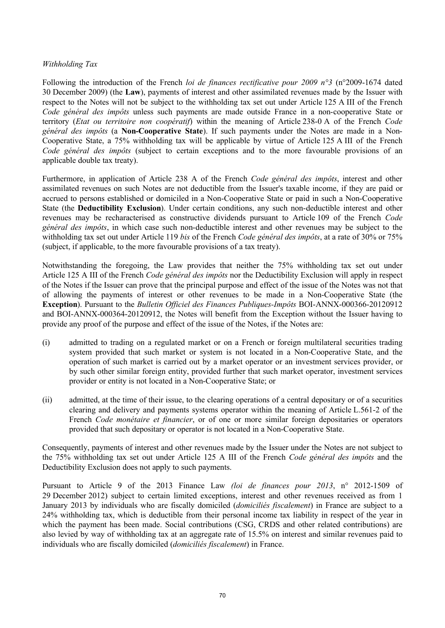## *Withholding Tax*

Following the introduction of the French *loi de finances rectificative pour 2009 n°3* (n°2009-1674 dated 30 December 2009) (the **Law**), payments of interest and other assimilated revenues made by the Issuer with respect to the Notes will not be subject to the withholding tax set out under Article 125 A III of the French *Code général des impôts* unless such payments are made outside France in a non-cooperative State or territory (*Etat ou territoire non coopératif*) within the meaning of Article 238-0 A of the French *Code général des impôts* (a **Non-Cooperative State**). If such payments under the Notes are made in a Non-Cooperative State, a 75% withholding tax will be applicable by virtue of Article 125 A III of the French *Code général des impôts* (subject to certain exceptions and to the more favourable provisions of an applicable double tax treaty).

Furthermore, in application of Article 238 A of the French *Code général des impôts*, interest and other assimilated revenues on such Notes are not deductible from the Issuer's taxable income, if they are paid or accrued to persons established or domiciled in a Non-Cooperative State or paid in such a Non-Cooperative State (the **Deductibility Exclusion**). Under certain conditions, any such non-deductible interest and other revenues may be recharacterised as constructive dividends pursuant to Article 109 of the French *Code général des impôts*, in which case such non-deductible interest and other revenues may be subject to the withholding tax set out under Article 119 *bis* of the French *Code général des impôts*, at a rate of 30% or 75% (subject, if applicable, to the more favourable provisions of a tax treaty).

Notwithstanding the foregoing, the Law provides that neither the 75% withholding tax set out under Article 125 A III of the French *Code général des impôts* nor the Deductibility Exclusion will apply in respect of the Notes if the Issuer can prove that the principal purpose and effect of the issue of the Notes was not that of allowing the payments of interest or other revenues to be made in a Non-Cooperative State (the **Exception**). Pursuant to the *Bulletin Officiel des Finances Publiques-Impôts* BOI-ANNX-000366-20120912 and BOI-ANNX-000364-20120912, the Notes will benefit from the Exception without the Issuer having to provide any proof of the purpose and effect of the issue of the Notes, if the Notes are:

- (i) admitted to trading on a regulated market or on a French or foreign multilateral securities trading system provided that such market or system is not located in a Non-Cooperative State, and the operation of such market is carried out by a market operator or an investment services provider, or by such other similar foreign entity, provided further that such market operator, investment services provider or entity is not located in a Non-Cooperative State; or
- (ii) admitted, at the time of their issue, to the clearing operations of a central depositary or of a securities clearing and delivery and payments systems operator within the meaning of Article L.561-2 of the French *Code monétaire et financier*, or of one or more similar foreign depositaries or operators provided that such depositary or operator is not located in a Non-Cooperative State.

Consequently, payments of interest and other revenues made by the Issuer under the Notes are not subject to the 75% withholding tax set out under Article 125 A III of the French *Code général des impôts* and the Deductibility Exclusion does not apply to such payments.

Pursuant to Article 9 of the 2013 Finance Law *(loi de finances pour 2013*, n° 2012-1509 of 29 December 2012) subject to certain limited exceptions, interest and other revenues received as from 1 January 2013 by individuals who are fiscally domiciled (*domiciliés fiscalement*) in France are subject to a 24% withholding tax, which is deductible from their personal income tax liability in respect of the year in which the payment has been made. Social contributions (CSG, CRDS and other related contributions) are also levied by way of withholding tax at an aggregate rate of 15.5% on interest and similar revenues paid to individuals who are fiscally domiciled (*domiciliés fiscalement*) in France.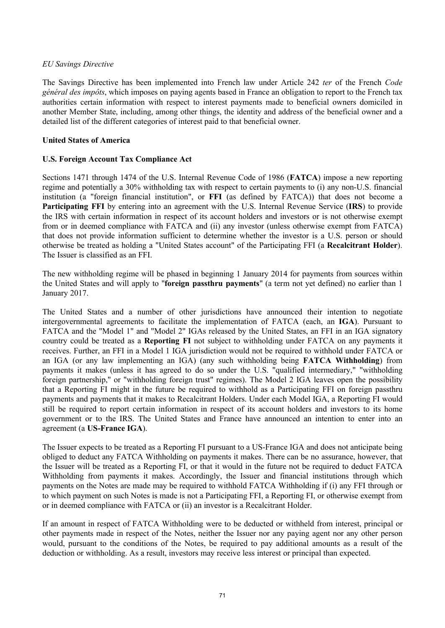## *EU Savings Directive*

The Savings Directive has been implemented into French law under Article 242 *ter* of the French *Code général des impôts*, which imposes on paying agents based in France an obligation to report to the French tax authorities certain information with respect to interest payments made to beneficial owners domiciled in another Member State, including, among other things, the identity and address of the beneficial owner and a detailed list of the different categories of interest paid to that beneficial owner.

## **United States of America**

# **U.S. Foreign Account Tax Compliance Act**

Sections 1471 through 1474 of the U.S. Internal Revenue Code of 1986 (**FATCA**) impose a new reporting regime and potentially a 30% withholding tax with respect to certain payments to (i) any non-U.S. financial institution (a "foreign financial institution", or **FFI** (as defined by FATCA)) that does not become a **Participating FFI** by entering into an agreement with the U.S. Internal Revenue Service (**IRS**) to provide the IRS with certain information in respect of its account holders and investors or is not otherwise exempt from or in deemed compliance with FATCA and (ii) any investor (unless otherwise exempt from FATCA) that does not provide information sufficient to determine whether the investor is a U.S. person or should otherwise be treated as holding a "United States account" of the Participating FFI (a **Recalcitrant Holder**). The Issuer is classified as an FFI.

The new withholding regime will be phased in beginning 1 January 2014 for payments from sources within the United States and will apply to "**foreign passthru payments**" (a term not yet defined) no earlier than 1 January 2017.

The United States and a number of other jurisdictions have announced their intention to negotiate intergovernmental agreements to facilitate the implementation of FATCA (each, an **IGA**). Pursuant to FATCA and the "Model 1" and "Model 2" IGAs released by the United States, an FFI in an IGA signatory country could be treated as a **Reporting FI** not subject to withholding under FATCA on any payments it receives. Further, an FFI in a Model 1 IGA jurisdiction would not be required to withhold under FATCA or an IGA (or any law implementing an IGA) (any such withholding being **FATCA Withholding**) from payments it makes (unless it has agreed to do so under the U.S. "qualified intermediary," "withholding foreign partnership," or "withholding foreign trust" regimes). The Model 2 IGA leaves open the possibility that a Reporting FI might in the future be required to withhold as a Participating FFI on foreign passthru payments and payments that it makes to Recalcitrant Holders. Under each Model IGA, a Reporting FI would still be required to report certain information in respect of its account holders and investors to its home government or to the IRS. The United States and France have announced an intention to enter into an agreement (a **US-France IGA**).

The Issuer expects to be treated as a Reporting FI pursuant to a US-France IGA and does not anticipate being obliged to deduct any FATCA Withholding on payments it makes. There can be no assurance, however, that the Issuer will be treated as a Reporting FI, or that it would in the future not be required to deduct FATCA Withholding from payments it makes. Accordingly, the Issuer and financial institutions through which payments on the Notes are made may be required to withhold FATCA Withholding if (i) any FFI through or to which payment on such Notes is made is not a Participating FFI, a Reporting FI, or otherwise exempt from or in deemed compliance with FATCA or (ii) an investor is a Recalcitrant Holder.

If an amount in respect of FATCA Withholding were to be deducted or withheld from interest, principal or other payments made in respect of the Notes, neither the Issuer nor any paying agent nor any other person would, pursuant to the conditions of the Notes, be required to pay additional amounts as a result of the deduction or withholding. As a result, investors may receive less interest or principal than expected.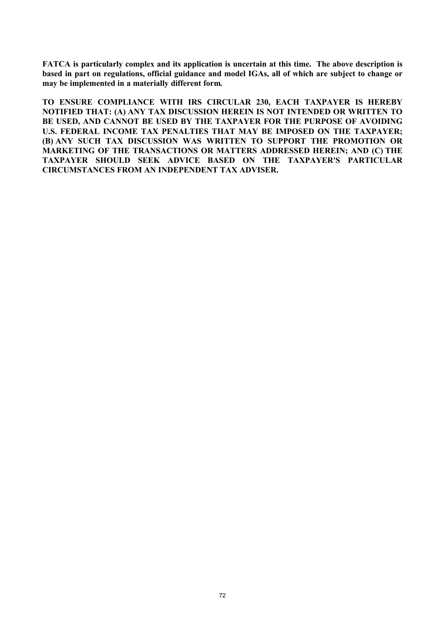**FATCA is particularly complex and its application is uncertain at this time. The above description is based in part on regulations, official guidance and model IGAs, all of which are subject to change or may be implemented in a materially different form.** 

**TO ENSURE COMPLIANCE WITH IRS CIRCULAR 230, EACH TAXPAYER IS HEREBY NOTIFIED THAT: (A) ANY TAX DISCUSSION HEREIN IS NOT INTENDED OR WRITTEN TO BE USED, AND CANNOT BE USED BY THE TAXPAYER FOR THE PURPOSE OF AVOIDING U.S. FEDERAL INCOME TAX PENALTIES THAT MAY BE IMPOSED ON THE TAXPAYER; (B) ANY SUCH TAX DISCUSSION WAS WRITTEN TO SUPPORT THE PROMOTION OR MARKETING OF THE TRANSACTIONS OR MATTERS ADDRESSED HEREIN; AND (C) THE TAXPAYER SHOULD SEEK ADVICE BASED ON THE TAXPAYER'S PARTICULAR CIRCUMSTANCES FROM AN INDEPENDENT TAX ADVISER.**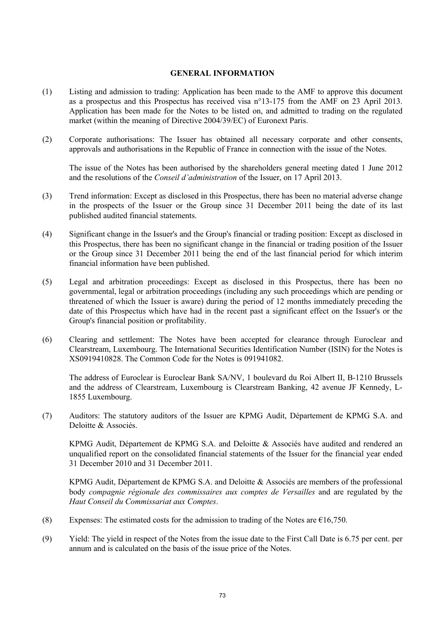### **GENERAL INFORMATION**

- (1) Listing and admission to trading: Application has been made to the AMF to approve this document as a prospectus and this Prospectus has received visa n°13-175 from the AMF on 23 April 2013. Application has been made for the Notes to be listed on, and admitted to trading on the regulated market (within the meaning of Directive 2004/39/EC) of Euronext Paris.
- (2) Corporate authorisations: The Issuer has obtained all necessary corporate and other consents, approvals and authorisations in the Republic of France in connection with the issue of the Notes.

The issue of the Notes has been authorised by the shareholders general meeting dated 1 June 2012 and the resolutions of the *Conseil d'administration* of the Issuer, on 17 April 2013.

- (3) Trend information: Except as disclosed in this Prospectus, there has been no material adverse change in the prospects of the Issuer or the Group since 31 December 2011 being the date of its last published audited financial statements.
- (4) Significant change in the Issuer's and the Group's financial or trading position: Except as disclosed in this Prospectus, there has been no significant change in the financial or trading position of the Issuer or the Group since 31 December 2011 being the end of the last financial period for which interim financial information have been published.
- (5) Legal and arbitration proceedings: Except as disclosed in this Prospectus, there has been no governmental, legal or arbitration proceedings (including any such proceedings which are pending or threatened of which the Issuer is aware) during the period of 12 months immediately preceding the date of this Prospectus which have had in the recent past a significant effect on the Issuer's or the Group's financial position or profitability.
- (6) Clearing and settlement: The Notes have been accepted for clearance through Euroclear and Clearstream, Luxembourg. The International Securities Identification Number (ISIN) for the Notes is XS0919410828. The Common Code for the Notes is 091941082.

The address of Euroclear is Euroclear Bank SA/NV, 1 boulevard du Roi Albert II, B-1210 Brussels and the address of Clearstream, Luxembourg is Clearstream Banking, 42 avenue JF Kennedy, L-1855 Luxembourg.

(7) Auditors: The statutory auditors of the Issuer are KPMG Audit, Département de KPMG S.A. and Deloitte & Associés.

KPMG Audit, Département de KPMG S.A. and Deloitte & Associés have audited and rendered an unqualified report on the consolidated financial statements of the Issuer for the financial year ended 31 December 2010 and 31 December 2011.

KPMG Audit, Département de KPMG S.A. and Deloitte & Associés are members of the professional body *compagnie régionale des commissaires aux comptes de Versailles* and are regulated by the *Haut Conseil du Commissariat aux Comptes*.

- (8) Expenses: The estimated costs for the admission to trading of the Notes are  $\epsilon$ 16,750.
- (9) Yield: The yield in respect of the Notes from the issue date to the First Call Date is 6.75 per cent. per annum and is calculated on the basis of the issue price of the Notes.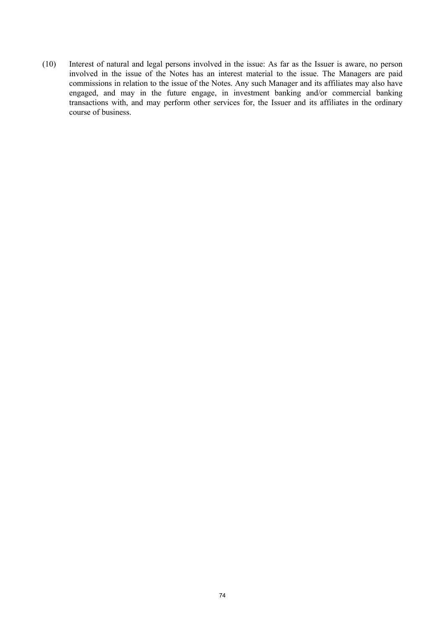(10) Interest of natural and legal persons involved in the issue: As far as the Issuer is aware, no person involved in the issue of the Notes has an interest material to the issue. The Managers are paid commissions in relation to the issue of the Notes. Any such Manager and its affiliates may also have engaged, and may in the future engage, in investment banking and/or commercial banking transactions with, and may perform other services for, the Issuer and its affiliates in the ordinary course of business.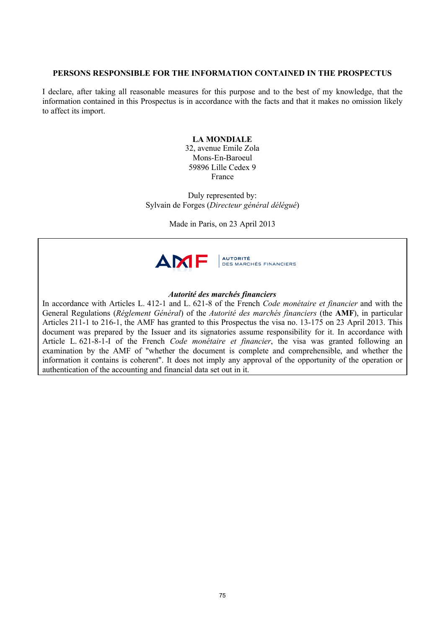# **PERSONS RESPONSIBLE FOR THE INFORMATION CONTAINED IN THE PROSPECTUS**

I declare, after taking all reasonable measures for this purpose and to the best of my knowledge, that the information contained in this Prospectus is in accordance with the facts and that it makes no omission likely to affect its import.

### **LA MONDIALE**

32, avenue Emile Zola Mons-En-Baroeul 59896 Lille Cedex 9 France

Duly represented by: Sylvain de Forges (*Directeur général délégué*)

Made in Paris, on 23 April 2013



### *Autorité des marchés financiers*

In accordance with Articles L. 412-1 and L. 621-8 of the French *Code monétaire et financier* and with the General Regulations (*Réglement Général*) of the *Autorité des marchés financiers* (the **AMF**), in particular Articles 211-1 to 216-1, the AMF has granted to this Prospectus the visa no. 13-175 on 23 April 2013. This document was prepared by the Issuer and its signatories assume responsibility for it. In accordance with Article L. 621-8-1-I of the French *Code monétaire et financier*, the visa was granted following an examination by the AMF of "whether the document is complete and comprehensible, and whether the information it contains is coherent". It does not imply any approval of the opportunity of the operation or authentication of the accounting and financial data set out in it.